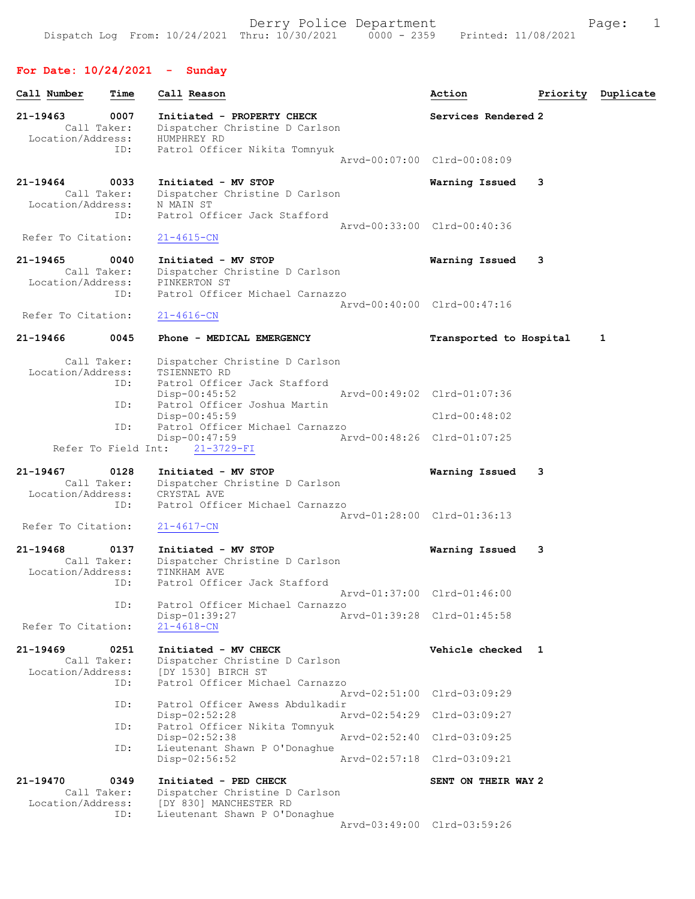# For Date: 10/24/2021 - Sunday

| Call Number                                             | Time              | Call Reason                                                                                                                                                                                                                  | Action                                                                        | Priority | Duplicate |
|---------------------------------------------------------|-------------------|------------------------------------------------------------------------------------------------------------------------------------------------------------------------------------------------------------------------------|-------------------------------------------------------------------------------|----------|-----------|
| 21-19463<br>Call Taker:<br>Location/Address:            | 0007              | Initiated - PROPERTY CHECK<br>Dispatcher Christine D Carlson<br>HUMPHREY RD                                                                                                                                                  | Services Rendered 2                                                           |          |           |
|                                                         | ID:               | Patrol Officer Nikita Tomnyuk                                                                                                                                                                                                | Aryd-00:07:00 Clrd-00:08:09                                                   |          |           |
| 21-19464<br>Call Taker:<br>Location/Address:            | 0033<br>ID:       | Initiated - MV STOP<br>Dispatcher Christine D Carlson<br>N MAIN ST<br>Patrol Officer Jack Stafford                                                                                                                           | Warning Issued                                                                | 3        |           |
| Refer To Citation:                                      |                   | $21 - 4615 - CN$                                                                                                                                                                                                             | Aryd-00:33:00 Clrd-00:40:36                                                   |          |           |
| 21-19465<br>Call Taker:<br>Location/Address:            | 0040<br>ID:       | Initiated - MV STOP<br>Dispatcher Christine D Carlson<br>PINKERTON ST<br>Patrol Officer Michael Carnazzo                                                                                                                     | Warning Issued                                                                | 3        |           |
| Refer To Citation:                                      |                   | $21 - 4616 - CN$                                                                                                                                                                                                             | Arvd-00:40:00 Clrd-00:47:16                                                   |          |           |
| 21-19466                                                | 0045              | Phone - MEDICAL EMERGENCY                                                                                                                                                                                                    | Transported to Hospital                                                       |          | 1         |
| Call Taker:<br>Location/Address:<br>Refer To Field Int: | ID:<br>ID:<br>ID: | Dispatcher Christine D Carlson<br>TSIENNETO RD<br>Patrol Officer Jack Stafford<br>$Disp-00:45:52$<br>Patrol Officer Joshua Martin<br>Disp-00:45:59<br>Patrol Officer Michael Carnazzo<br>$Disp-00:47:59$<br>$21 - 3729 - FI$ | Arvd-00:49:02 Clrd-01:07:36<br>$Clrd-00:48:02$<br>Arvd-00:48:26 Clrd-01:07:25 |          |           |
| 21-19467<br>Call Taker:<br>Location/Address:            | 0128<br>ID:       | Initiated - MV STOP<br>Dispatcher Christine D Carlson<br>CRYSTAL AVE<br>Patrol Officer Michael Carnazzo                                                                                                                      | Warning Issued<br>Arvd-01:28:00 Clrd-01:36:13                                 | 3        |           |
| Refer To Citation:                                      |                   | $21 - 4617 - CN$                                                                                                                                                                                                             |                                                                               |          |           |
| 21-19468<br>Call Taker:<br>Location/Address:            | 0137<br>ID:       | Initiated - MV STOP<br>Dispatcher Christine D Carlson<br>TINKHAM AVE<br>Patrol Officer Jack Stafford                                                                                                                         | Warning Issued                                                                | 3        |           |
|                                                         | ID:               | Patrol Officer Michael Carnazzo<br>Disp-01:39:27                                                                                                                                                                             | Arvd-01:37:00 Clrd-01:46:00<br>Arvd-01:39:28 Clrd-01:45:58                    |          |           |
| Refer To Citation:                                      |                   | $21 - 4618 - CN$                                                                                                                                                                                                             |                                                                               |          |           |
| 21-19469<br>Call Taker:<br>Location/Address:            | 0251<br>ID:       | Initiated - MV CHECK<br>Dispatcher Christine D Carlson<br>[DY 1530] BIRCH ST<br>Patrol Officer Michael Carnazzo                                                                                                              | Vehicle checked 1                                                             |          |           |
|                                                         | ID:               | Patrol Officer Awess Abdulkadir                                                                                                                                                                                              | Arvd-02:51:00 Clrd-03:09:29                                                   |          |           |
|                                                         | ID:               | Disp-02:52:28<br>Patrol Officer Nikita Tomnyuk                                                                                                                                                                               | Arvd-02:54:29 Clrd-03:09:27                                                   |          |           |
|                                                         | ID:               | $Disp-02:52:38$<br>Lieutenant Shawn P O'Donaghue<br>$Disp-02:56:52$                                                                                                                                                          | Arvd-02:52:40 Clrd-03:09:25<br>Arvd-02:57:18 Clrd-03:09:21                    |          |           |
| 21-19470<br>Call Taker:<br>Location/Address:            | 0349<br>ID:       | Initiated - PED CHECK<br>Dispatcher Christine D Carlson<br>[DY 830] MANCHESTER RD<br>Lieutenant Shawn P O'Donaghue                                                                                                           | SENT ON THEIR WAY 2<br>Arvd-03:49:00 Clrd-03:59:26                            |          |           |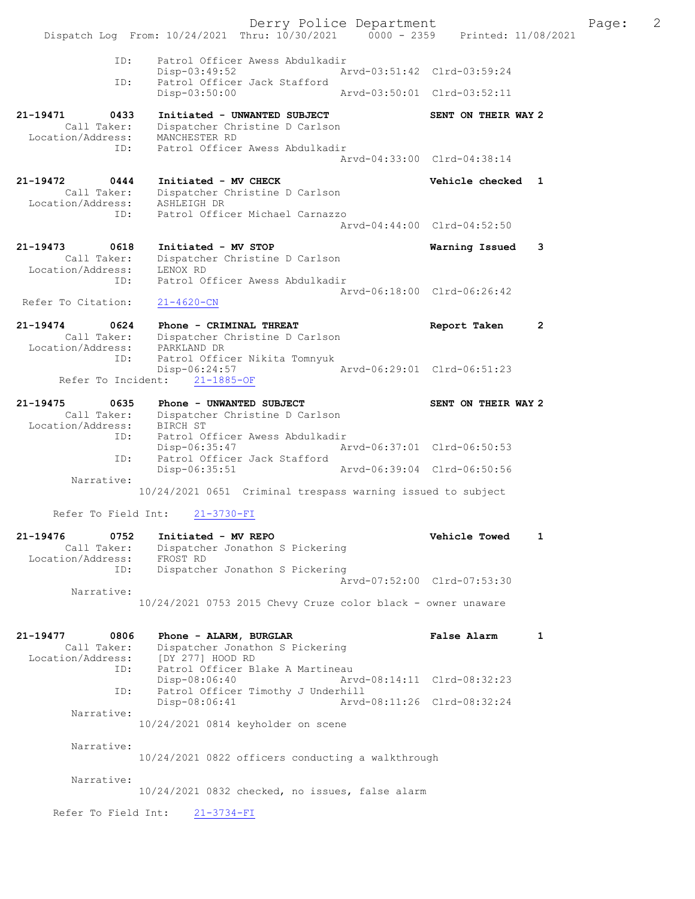Derry Police Department The Page: 2 Dispatch Log From: 10/24/2021 Thru: 10/30/2021 0000 - 2359 Printed: 11/08/2021 ID: Patrol Officer Awess Abdulkadir Disp-03:49:52 Arvd-03:51:42 Clrd-03:59:24 ID: Patrol Officer Jack Stafford Disp-03:50:00 Arvd-03:50:01 Clrd-03:52:11 21-19471 0433 Initiated - UNWANTED SUBJECT SENT ON THEIR WAY 2 Call Taker: Dispatcher Christine D Carlson Location/Address: MANCHESTER RD ID: Patrol Officer Awess Abdulkadir Arvd-04:33:00 Clrd-04:38:14 21-19472 0444 Initiated - MV CHECK Vehicle checked 1 Call Taker: Dispatcher Christine D Carlson Location/Address: ASHLEIGH DR ID: Patrol Officer Michael Carnazzo Arvd-04:44:00 Clrd-04:52:50 21-19473 0618 Initiated - MV STOP Warning Issued 3 Call Taker: Dispatcher Christine D Carlson Location/Address: LENOX RD ID: Patrol Officer Awess Abdulkadir Arvd-06:18:00 Clrd-06:26:42 Refer To Citation: 21-4620-CN 21-19474 0624 Phone - CRIMINAL THREAT Report Taken 2 Call Taker: Dispatcher Christine D Carlson Location/Address: PARKLAND DR ID: Patrol Officer Nikita Tomnyuk Disp-06:24:57 Arvd-06:29:01 Clrd-06:51:23 Refer To Incident: 21-1885-OF 21-19475 0635 Phone - UNWANTED SUBJECT SENT ON THEIR WAY 2 Call Taker: Dispatcher Christine D Carlson Location/Address: BIRCH ST ID: Patrol Officer Awess Abdulkadir Disp-06:35:47 Arvd-06:37:01 Clrd-06:50:53 ID: Patrol Officer Jack Stafford Disp-06:35:51 Arvd-06:39:04 Clrd-06:50:56 Narrative: 10/24/2021 0651 Criminal trespass warning issued to subject Refer To Field Int: 21-3730-FI 21-19476 0752 Initiated - MV REPO Vehicle Towed 1 Call Taker: Dispatcher Jonathon S Pickering Location/Address: FROST RD ID: Dispatcher Jonathon S Pickering Arvd-07:52:00 Clrd-07:53:30 Narrative: 10/24/2021 0753 2015 Chevy Cruze color black - owner unaware 21-19477 0806 Phone - ALARM, BURGLAR False Alarm 1 Call Taker: Dispatcher Jonathon S Pickering Location/Address: [DY 277] HOOD RD ESS. [DI 277] HOOD AD<br>ID: Patrol Officer Blake A Martineau<br>Disp-08:06:40 Arv Disp-08:06:40 Arvd-08:14:11 Clrd-08:32:23 ID: Patrol Officer Timothy J Underhill Disp-08:06:41 Arvd-08:11:26 Clrd-08:32:24 Narrative: 10/24/2021 0814 keyholder on scene Narrative: 10/24/2021 0822 officers conducting a walkthrough Narrative: 10/24/2021 0832 checked, no issues, false alarm Refer To Field Int: 21-3734-FI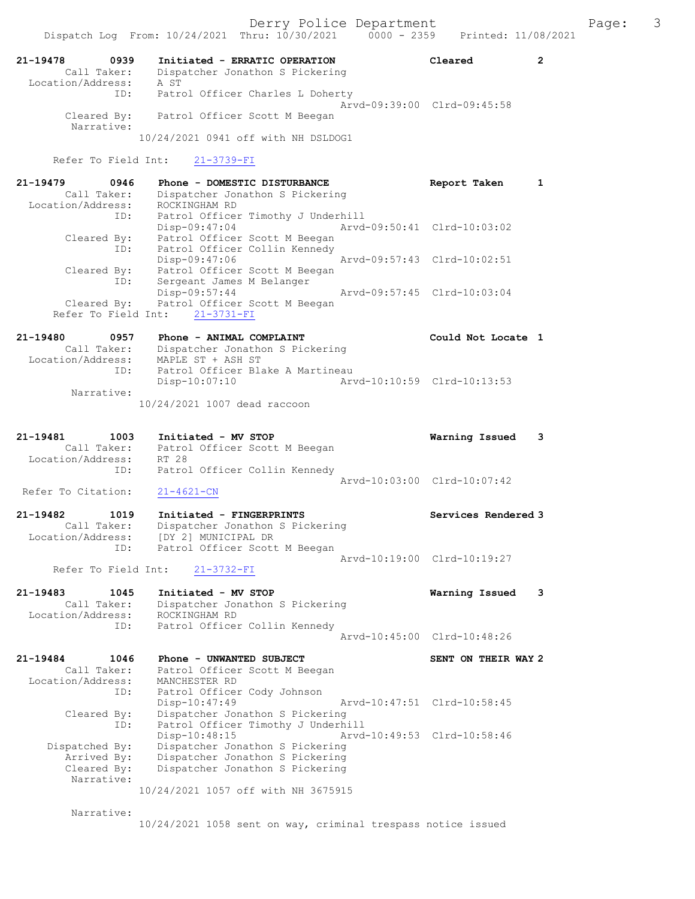Derry Police Department Fage: 3

| 21-19478<br>Call Taker:<br>Location/Address: | 0939       | Initiated - ERRATIC OPERATION<br>Dispatcher Jonathon S Pickering<br>A ST | Cleared                     |  |
|----------------------------------------------|------------|--------------------------------------------------------------------------|-----------------------------|--|
|                                              | ID:        | Patrol Officer Charles L Doherty                                         | Aryd-09:39:00 Clrd-09:45:58 |  |
| Cleared By:                                  | Narrative: | Patrol Officer Scott M Beegan                                            |                             |  |
|                                              |            | 10/24/2021 0941 off with NH DSLDOG1                                      |                             |  |

Refer To Field Int: 21-3739-FI

| 21-19479          | 0946        | Phone - DOMESTIC DISTURBANCE       | Report Taken                |  |
|-------------------|-------------|------------------------------------|-----------------------------|--|
|                   | Call Taker: | Dispatcher Jonathon S Pickering    |                             |  |
| Location/Address: |             | ROCKINGHAM RD                      |                             |  |
|                   | ID:         | Patrol Officer Timothy J Underhill |                             |  |
|                   |             | Disp-09:47:04                      | Arvd-09:50:41 Clrd-10:03:02 |  |
|                   | Cleared By: | Patrol Officer Scott M Beegan      |                             |  |
|                   | ID:         | Patrol Officer Collin Kennedy      |                             |  |
|                   |             | Disp-09:47:06                      | Arvd-09:57:43 Clrd-10:02:51 |  |
|                   | Cleared By: | Patrol Officer Scott M Beegan      |                             |  |
|                   | ID:         | Sergeant James M Belanger          |                             |  |
|                   |             | $Disp-09:57:44$                    | Arvd-09:57:45 Clrd-10:03:04 |  |
|                   | Cleared By: | Patrol Officer Scott M Beegan      |                             |  |
|                   |             | Refer To Field Int: 21-3731-FI     |                             |  |

### 21-19480 0957 Phone - ANIMAL COMPLAINT Could Not Locate 1 Call Taker: Dispatcher Jonathon S Pickering Location/Address: MAPLE ST + ASH ST ID: Patrol Officer Blake A Martineau Disp-10:07:10 Arvd-10:10:59 Clrd-10:13:53 Narrative:

10/24/2021 1007 dead raccoon

| 21-19481           | 1003        | Initiated - MV STOP           |                               |                             | Warning Issued 3 |  |
|--------------------|-------------|-------------------------------|-------------------------------|-----------------------------|------------------|--|
|                    | Call Taker: | Patrol Officer Scott M Beegan |                               |                             |                  |  |
| Location/Address:  |             | RT 28                         |                               |                             |                  |  |
|                    | ID:         |                               | Patrol Officer Collin Kennedy |                             |                  |  |
|                    |             |                               |                               | Arvd-10:03:00 Clrd-10:07:42 |                  |  |
| Refer To Citation: |             | 21-4621-CN                    |                               |                             |                  |  |

21-19482 1019 Initiated - FINGERPRINTS Services Rendered 3 Call Taker: Dispatcher Jonathon S Pickering Location/Address: [DY 2] MUNICIPAL DR ID: Patrol Officer Scott M Beegan Arvd-10:19:00 Clrd-10:19:27

#### Refer To Field Int: 21-3732-FI

21-19483 1045 Initiated - MV STOP Warning Issued 3 Call Taker: Dispatcher Jonathon S Pickering Location/Address: ROCKINGHAM RD ID: Patrol Officer Collin Kennedy Arvd-10:45:00 Clrd-10:48:26

21-19484 1046 Phone - UNWANTED SUBJECT SENT ON THEIR WAY 2 Call Taker: Patrol Officer Scott M Beegan Location/Address: MANCHESTER RD ID: Patrol Officer Cody Johnson Disp-10:47:49 Arvd-10:47:51 Clrd-10:58:45 Cleared By: Dispatcher Jonathon S Pickering ID: Patrol Officer Timothy J Underhill Disp-10:48:15 Arvd-10:49:53 Clrd-10:58:46 Dispatched By: Dispatcher Jonathon S Pickering<br>Arrived By: Dispatcher Jonathon S Pickering Arrived By: Dispatcher Jonathon S Pickering<br>Cleared By: Dispatcher Jonathon S Pickering Dispatcher Jonathon S Pickering Narrative: 10/24/2021 1057 off with NH 3675915

Narrative:

10/24/2021 1058 sent on way, criminal trespass notice issued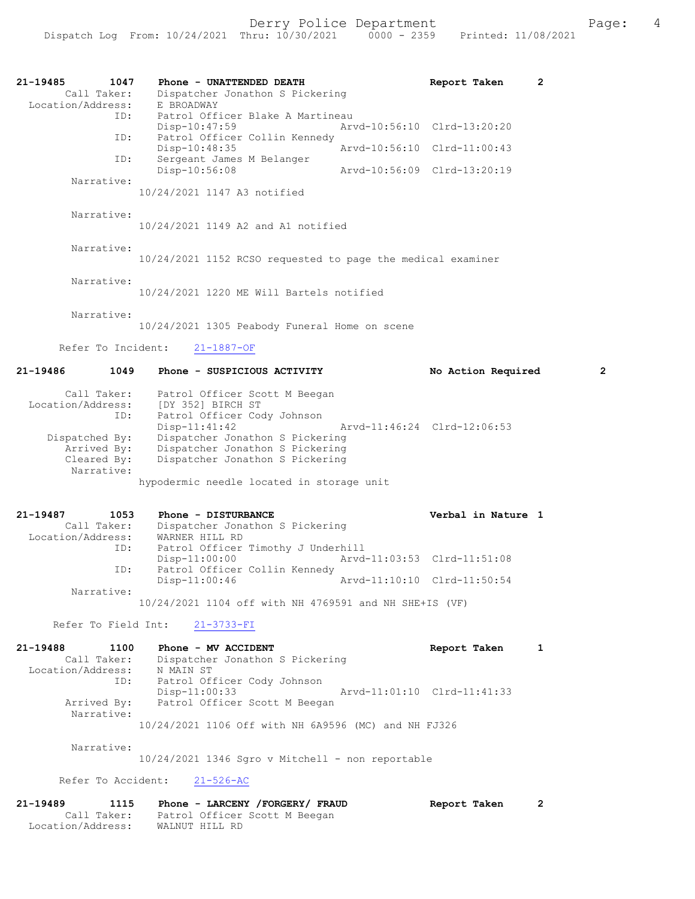| 21-19485<br>1047<br>Call Taker:<br>Location/Address:        | Phone - UNATTENDED DEATH<br>Dispatcher Jonathon S Pickering<br>E BROADWAY                                              |                             | Report Taken                | 2 |
|-------------------------------------------------------------|------------------------------------------------------------------------------------------------------------------------|-----------------------------|-----------------------------|---|
| ID:                                                         | Patrol Officer Blake A Martineau<br>Disp-10:47:59                                                                      |                             | Arvd-10:56:10 Clrd-13:20:20 |   |
| ID:                                                         | Patrol Officer Collin Kennedy<br>Disp-10:48:35                                                                         |                             | Arvd-10:56:10 Clrd-11:00:43 |   |
| ID:<br>Narrative:                                           | Sergeant James M Belanger<br>Disp-10:56:08                                                                             | Arvd-10:56:09 Clrd-13:20:19 |                             |   |
|                                                             | 10/24/2021 1147 A3 notified                                                                                            |                             |                             |   |
| Narrative:                                                  | 10/24/2021 1149 A2 and A1 notified                                                                                     |                             |                             |   |
| Narrative:                                                  | 10/24/2021 1152 RCSO requested to page the medical examiner                                                            |                             |                             |   |
| Narrative:                                                  | 10/24/2021 1220 ME Will Bartels notified                                                                               |                             |                             |   |
| Narrative:                                                  | 10/24/2021 1305 Peabody Funeral Home on scene                                                                          |                             |                             |   |
| Refer To Incident:                                          | $21 - 1887 - OF$                                                                                                       |                             |                             |   |
| 21-19486<br>1049                                            | Phone - SUSPICIOUS ACTIVITY                                                                                            |                             | No Action Required          | 2 |
| Call Taker:<br>Location/Address:<br>ID:                     | Patrol Officer Scott M Beegan<br>[DY 352] BIRCH ST<br>Patrol Officer Cody Johnson                                      |                             |                             |   |
| Dispatched By:<br>Arrived By:<br>Cleared By:                | Disp-11:41:42<br>Dispatcher Jonathon S Pickering<br>Dispatcher Jonathon S Pickering<br>Dispatcher Jonathon S Pickering |                             | Arvd-11:46:24 Clrd-12:06:53 |   |
| Narrative:                                                  | hypodermic needle located in storage unit                                                                              |                             |                             |   |
| 21-19487<br>1053<br>Call Taker:<br>Location/Address:        | Phone - DISTURBANCE<br>Dispatcher Jonathon S Pickering<br>WARNER HILL RD                                               |                             | Verbal in Nature 1          |   |
| ID:<br>ID:                                                  | Patrol Officer Timothy J Underhill<br>$Disp-11:00:00$<br>Patrol Officer Collin Kennedy                                 | Arvd-11:03:53 Clrd-11:51:08 |                             |   |
| Narrative:                                                  | $Disp-11:00:46$                                                                                                        | Arvd-11:10:10 Clrd-11:50:54 |                             |   |
|                                                             | 10/24/2021 1104 off with NH 4769591 and NH SHE+IS (VF)                                                                 |                             |                             |   |
|                                                             | Refer To Field Int: 21-3733-FI                                                                                         |                             |                             |   |
| 21-19488<br>1100<br>Call Taker:<br>Location/Address:<br>ID: | Phone - MV ACCIDENT<br>Dispatcher Jonathon S Pickering<br>N MAIN ST<br>Patrol Officer Cody Johnson                     |                             | Report Taken                | 1 |
| Narrative:                                                  | Disp-11:00:33<br>Arrived By: Patrol Officer Scott M Beegan                                                             | Arvd-11:01:10 Clrd-11:41:33 |                             |   |
| Narrative:                                                  | 10/24/2021 1106 Off with NH 6A9596 (MC) and NH FJ326<br>10/24/2021 1346 Sqro v Mitchell - non reportable               |                             |                             |   |
|                                                             | Refer To Accident: 21-526-AC                                                                                           |                             |                             |   |
|                                                             | $21-19489$ $1115$ $20000 - 138$ CENV $(500058)$ $523$ HD $2110$ $320000 + 73$                                          |                             |                             |   |

21-19489 1115 Phone - LARCENY /FORGERY/ FRAUD Report Taken 2 Call Taker: Patrol Officer Scott M Beegan Location/Address: WALNUT HILL RD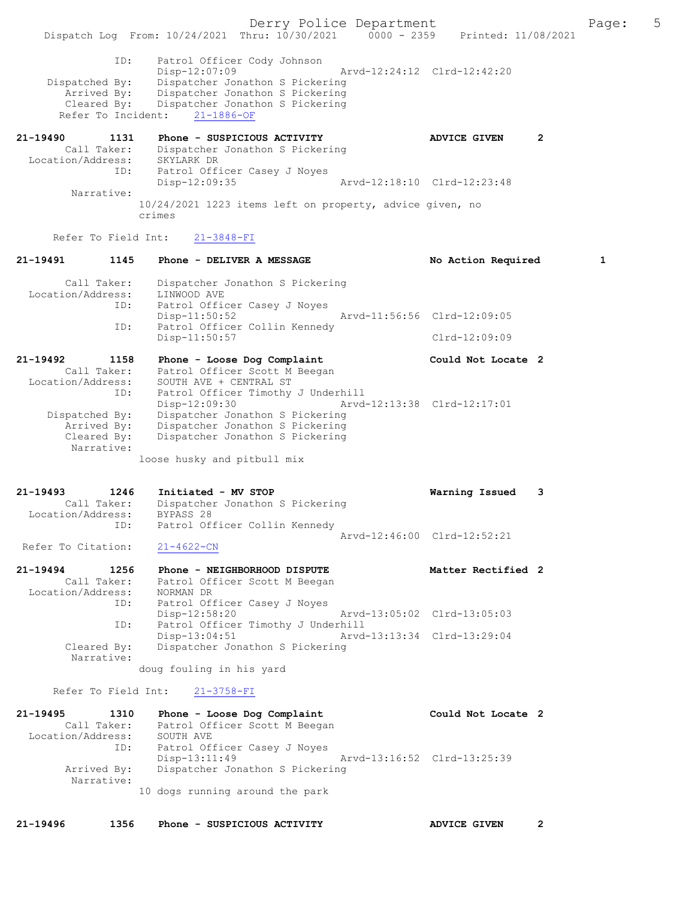Derry Police Department Fage: 5 Dispatch Log From: 10/24/2021 Thru: 10/30/2021 0000 - 2359 Printed: 11/08/2021 ID: Patrol Officer Cody Johnson Disp-12:07:09 Arvd-12:24:12 Clrd-12:42:20 Dispatched By: Dispatcher Jonathon S Pickering Arrived By: Dispatcher Jonathon S Pickering Cleared By: Dispatcher Jonathon S Pickering Refer To Incident: 21-1886-OF 21-19490 1131 Phone - SUSPICIOUS ACTIVITY ADVICE GIVEN 2 Call Taker: Dispatcher Jonathon S Pickering Location/Address: SKYLARK DR ID: Patrol Officer Casey J Noyes Disp-12:09:35 Arvd-12:18:10 Clrd-12:23:48 Narrative: 10/24/2021 1223 items left on property, advice given, no crimes Refer To Field Int: 21-3848-FI 21-19491 1145 Phone - DELIVER A MESSAGE No Action Required 1 Call Taker: Dispatcher Jonathon S Pickering Location/Address: LINWOOD AVE ID: Patrol Officer Casey J Noyes Disp-11:50:52 Arvd-11:56:56 Clrd-12:09:05 ID: Patrol Officer Collin Kennedy Disp-11:50:57 Clrd-12:09:09 21-19492 1158 Phone - Loose Dog Complaint Could Not Locate 2 Call Taker: Patrol Officer Scott M Beegan Location/Address: SOUTH AVE + CENTRAL ST ID: Patrol Officer Timothy J Underhill Disp-12:09:30 Arvd-12:13:38 Clrd-12:17:01 Dispatched By: Dispatcher Jonathon S Pickering Arrived By: Dispatcher Jonathon S Pickering Cleared By: Dispatcher Jonathon S Pickering Narrative: loose husky and pitbull mix 21-19493 1246 Initiated - MV STOP Warning Issued 3 Call Taker: Dispatcher Jonathon S Pickering Location/Address: BYPASS 28 ID: Patrol Officer Collin Kennedy Arvd-12:46:00 Clrd-12:52:21 Refer To Citation: 21-4622-CN 21-19494 1256 Phone - NEIGHBORHOOD DISPUTE Matter Rectified 2 Call Taker: Patrol Officer Scott M Beegan Location/Address: NORMAN DR ID: Patrol Officer Casey J Noyes Disp-12:58:20 Arvd-13:05:02 Clrd-13:05:03 ID: Patrol Officer Timothy J Underhill<br>Disp-13:04:51 Arvd-13:13:34 Clrd-13:29:04 Disp-13:04:51 Arvd-13:13:34 Clrd-13:29:04 Cleared By: Dispatcher Jonathon S Pickering Narrative: doug fouling in his yard Refer To Field Int: 21-3758-FI 21-19495 1310 Phone - Loose Dog Complaint Could Not Locate 2 Call Taker: Patrol Officer Scott M Beegan Location/Address: SOUTH AVE ID: Patrol Officer Casey J Noyes Disp-13:11:49 Arvd-13:16:52 Clrd-13:25:39 Arrived By: Dispatcher Jonathon S Pickering Narrative: 10 dogs running around the park 21-19496 1356 Phone - SUSPICIOUS ACTIVITY ADVICE GIVEN 2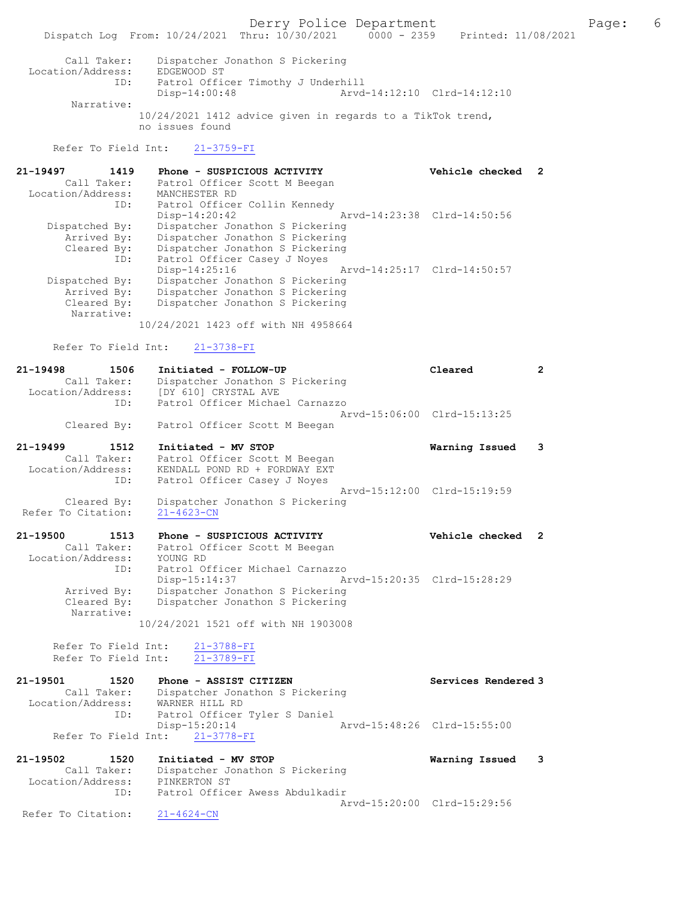Derry Police Department The Page: 6 Dispatch Log From: 10/24/2021 Thru: 10/30/2021 0000 - 2359 Printed: 11/08/2021 Call Taker: Dispatcher Jonathon S Pickering Location/Address: EDGEWOOD ST ID: Patrol Officer Timothy J Underhill Disp-14:00:48 Arvd-14:12:10 Clrd-14:12:10 Narrative: 10/24/2021 1412 advice given in regards to a TikTok trend, no issues found Refer To Field Int: 21-3759-FI 21-19497 1419 Phone - SUSPICIOUS ACTIVITY Vehicle checked 2 Call Taker: Patrol Officer Scott M Beegan Location/Address: MANCHESTER RD ID: Patrol Officer Collin Kennedy Disp-14:20:42 Arvd-14:23:38 Clrd-14:50:56 Dispatched By: Dispatcher Jonathon S Pickering Arrived By: Dispatcher Jonathon S Pickering Cleared By: Dispatcher Jonathon S Pickering ID: Patrol Officer Casey J Noyes Disp-14:25:16 Arvd-14:25:17 Clrd-14:50:57 Dispatched By: Dispatcher Jonathon S Pickering Arrived By: Dispatcher Jonathon S Pickering Cleared By: Dispatcher Jonathon S Pickering Narrative: 10/24/2021 1423 off with NH 4958664 Refer To Field Int: 21-3738-FI 21-19498 1506 Initiated - FOLLOW-UP Cleared 2 Call Taker: Dispatcher Jonathon S Pickering Location/Address: [DY 610] CRYSTAL AVE ID: Patrol Officer Michael Carnazzo Arvd-15:06:00 Clrd-15:13:25 Cleared By: Patrol Officer Scott M Beegan 21-19499 1512 Initiated - MV STOP Warning Issued 3 Call Taker: Patrol Officer Scott M Beegan Location/Address: KENDALL POND RD + FORDWAY EXT ID: Patrol Officer Casey J Noyes Arvd-15:12:00 Clrd-15:19:59 Cleared By: Dispatcher Jonathon S Pickering Refer To Citation: 21-4623-CN 21-19500 1513 Phone - SUSPICIOUS ACTIVITY Vehicle checked 2 Call Taker: Patrol Officer Scott M Beegan Location/Address: YOUNG RD ID: Patrol Officer Michael Carnazzo Disp-15:14:37 Arvd-15:20:35 Clrd-15:28:29 Arrived By: Dispatcher Jonathon S Pickering

 Cleared By: Dispatcher Jonathon S Pickering Narrative:

10/24/2021 1521 off with NH 1903008

Refer To Field Int:  $\frac{21-3788-FI}{21-3789-FI}$ Refer To Field Int:

| 21-19501          | 1520        | Phone - ASSIST CITIZEN          |                             | Services Rendered 3 |
|-------------------|-------------|---------------------------------|-----------------------------|---------------------|
|                   | Call Taker: | Dispatcher Jonathon S Pickering |                             |                     |
| Location/Address: |             | WARNER HILL RD                  |                             |                     |
|                   | ID:         | Patrol Officer Tyler S Daniel   |                             |                     |
|                   |             | $Disp-15:20:14$                 | Arvd-15:48:26 Clrd-15:55:00 |                     |
|                   |             | Refer To Field Int: 21-3778-FI  |                             |                     |

21-19502 1520 Initiated - MV STOP Warning Issued 3 Call Taker: Dispatcher Jonathon S Pickering Location/Address: PINKERTON ST ID: Patrol Officer Awess Abdulkadir Arvd-15:20:00 Clrd-15:29:56<br>21-4624-CN

Refer To Citation: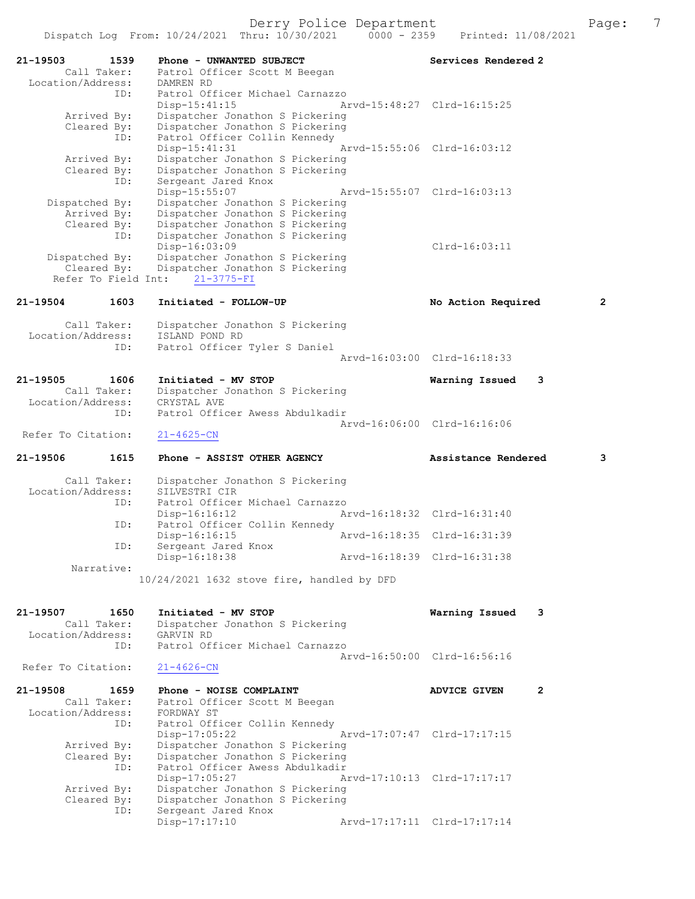21-19503 1539 Phone - UNWANTED SUBJECT Subsequent Services Rendered 2 Call Taker: Patrol Officer Scott M Beegan Location/Address: DAMREN RD ID: Patrol Officer Michael Carnazzo Disp-15:41:15 Arvd-15:48:27 Clrd-16:15:25 Arrived By: Dispatcher Jonathon S Pickering Cleared By: Dispatcher Jonathon S Pickering ID: Patrol Officer Collin Kennedy Disp-15:41:31 Arvd-15:55:06 Clrd-16:03:12 Arrived By: Dispatcher Jonathon S Pickering Cleared By: Dispatcher Jonathon S Pickering ID: Sergeant Jared Knox Disp-15:55:07 Arvd-15:55:07 Clrd-16:03:13 Dispatched By: Dispatcher Jonathon S Pickering Arrived By: Dispatcher Jonathon S Pickering Cleared By: Dispatcher Jonathon S Pickering ID: Dispatcher Jonathon S Pickering Disp-16:03:09 Clrd-16:03:11 Dispatched By: Dispatcher Jonathon S Pickering Cleared By: Dispatcher Jonathon S Pickering Refer To Field Int: 21-3775-FI 21-19504 1603 Initiated - FOLLOW-UP No Action Required 2 Call Taker: Dispatcher Jonathon S Pickering Location/Address: ISLAND POND RD ID: Patrol Officer Tyler S Daniel Arvd-16:03:00 Clrd-16:18:33 21-19505 1606 Initiated - MV STOP Warning Issued 3 Call Taker: Dispatcher Jonathon S Pickering Location/Address: CRYSTAL AVE ID: Patrol Officer Awess Abdulkadir Arvd-16:06:00 Clrd-16:16:06<br>
21-4625-CN Refer To Citation: 21-19506 1615 Phone - ASSIST OTHER AGENCY Assistance Rendered 3 Call Taker: Dispatcher Jonathon S Pickering<br>ion/Address: SILVESTRI CIR Location/Address: ID: Patrol Officer Michael Carnazzo<br>Disp-16:12 Al Disp-16:16:12 Arvd-16:18:32 Clrd-16:31:40 ID: Patrol Officer Collin Kennedy<br>Disp-16:16:15 Disp-16:15 <br>D: Sergeant Jared Knox <br>D: Sergeant Jared Knox Sergeant Jared Knox<br>Disp-16:18:38 Disp-16:18:38 Arvd-16:18:39 Clrd-16:31:38 Narrative: 10/24/2021 1632 stove fire, handled by DFD 21-19507 1650 Initiated - MV STOP Warning Issued 3 Call Taker: Dispatcher Jonathon S Pickering Location/Address: GARVIN RD ID: Patrol Officer Michael Carnazzo Arvd-16:50:00 Clrd-16:56:16 Refer To Citation: 21-4626-CN 21-19508 1659 Phone - NOISE COMPLAINT AND ADVICE GIVEN 2 Call Taker: Patrol Officer Scott M Beegan Location/Address: FORDWAY ST ID: Patrol Officer Collin Kennedy Disp-17:05:22 Arvd-17:07:47 Clrd-17:17:15 Arrived By: Dispatcher Jonathon S Pickering Cleared By: Dispatcher Jonathon S Pickering ID: Patrol Officer Awess Abdulkadir Disp-17:05:27 Arvd-17:10:13 Clrd-17:17:17 Arrived By: Dispatcher Jonathon S Pickering Cleared By: Dispatcher Jonathon S Pickering<br>ID: Sergeant Jared Knox Sergeant Jared Knox<br>Disp-17:17:10 Disp-17:17:10 Arvd-17:17:11 Clrd-17:17:14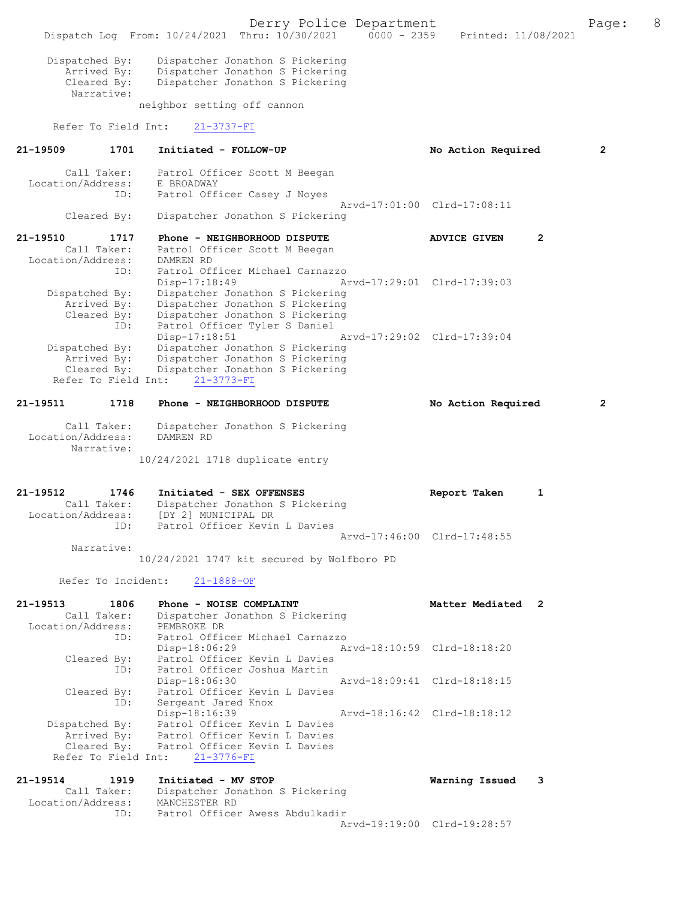Derry Police Department The Page: 8 Dispatch Log From: 10/24/2021 Thru: 10/30/2021 0000 - 2359 Printed: 11/08/2021 Dispatched By: Dispatcher Jonathon S Pickering Arrived By: Dispatcher Jonathon S Pickering<br>Cleared Bv: Dispatcher Jonathon S Pickering Dispatcher Jonathon S Pickering Narrative: neighbor setting off cannon Refer To Field Int: 21-3737-FI 21-19509 1701 Initiated - FOLLOW-UP No Action Required 2 Call Taker: Patrol Officer Scott M Beegan Location/Address: E BROADWAY ID: Patrol Officer Casey J Noyes Arvd-17:01:00 Clrd-17:08:11<br>Cleared By: Dispatcher Jonathon S Pickering Dispatcher Jonathon S Pickering 21-19510 1717 Phone - NEIGHBORHOOD DISPUTE ADVICE GIVEN 2 Call Taker: Patrol Officer Scott M Beegan Location/Address: DAMREN RD ID: Patrol Officer Michael Carnazzo Disp-17:18:49 Arvd-17:29:01 Clrd-17:39:03 Dispatched By: Dispatcher Jonathon S Pickering Arrived By: Dispatcher Jonathon S Pickering Cleared By: Dispatcher Jonathon S Pickering ID: Patrol Officer Tyler S Daniel Disp-17:18:51 Arvd-17:29:02 Clrd-17:39:04 Dispatched By: Dispatcher Jonathon S Pickering Arrived By: Dispatcher Jonathon S Pickering Cleared By: Dispatcher Jonathon S Pickering Refer To Field Int: 21-3773-FI 21-19511 1718 Phone - NEIGHBORHOOD DISPUTE No Action Required 2 Call Taker: Dispatcher Jonathon S Pickering Location/Address: DAMREN RD Narrative: 10/24/2021 1718 duplicate entry 21-19512 1746 Initiated - SEX OFFENSES Report Taken 1 Call Taker: Dispatcher Jonathon S Pickering Location/Address: [DY 2] MUNICIPAL DR<br>ID: Patrol Officer Kevir .<br>Patrol Officer Kevin L Davies Arvd-17:46:00 Clrd-17:48:55 Narrative: 10/24/2021 1747 kit secured by Wolfboro PD Refer To Incident: 21-1888-OF 21-19513 1806 Phone - NOISE COMPLAINT Matter Mediated 2 Call Taker: Dispatcher Jonathon S Pickering Location/Address: PEMBROKE DR ID: Patrol Officer Michael Carnazzo<br>Disp-18:06:29 A Disp-18:06:29 Arvd-18:10:59 Clrd-18:18:20 Cleared By: Patrol Officer Kevin L Davies ID: Patrol Officer Joshua Martin Disp-18:06:30 Arvd-18:09:41 Clrd-18:18:15 Cleared By: Patrol Officer Kevin L Davies ID: Sergeant Jared Knox Disp-18:16:39 Arvd-18:16:42 Clrd-18:18:12 Dispatched By: Patrol Officer Kevin L Davies Arrived By: Patrol Officer Kevin L Davies Cleared By: Patrol Officer Kevin L Davies Refer To Field Int: 21-3776-FI 21-19514 1919 Initiated - MV STOP Warning Issued 3 Call Taker: Dispatcher Jonathon S Pickering Location/Address: MANCHESTER RD ID: Patrol Officer Awess Abdulkadir Arvd-19:19:00 Clrd-19:28:57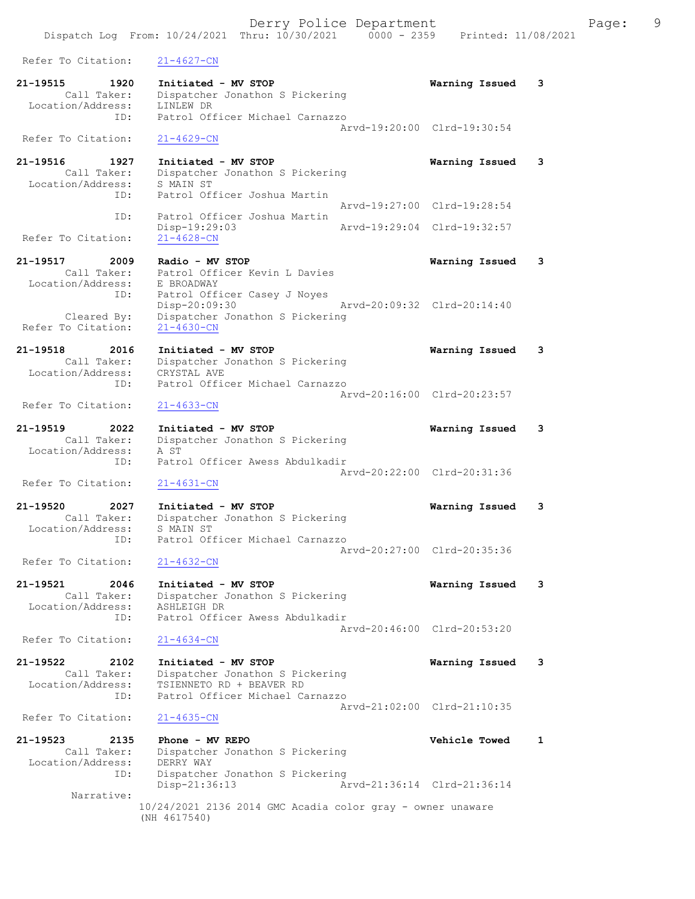Derry Police Department Fage: 9 Dispatch Log From: 10/24/2021 Thru: 10/30/2021 0000 - 2359 Printed: 11/08/2021 Refer To Citation: 21-4627-CN 21-19515 1920 Initiated - MV STOP Warning Issued 3 Call Taker: Dispatcher Jonathon S Pickering Location/Address: LINLEW DR ID: Patrol Officer Michael Carnazzo Arvd-19:20:00 Clrd-19:30:54 Refer To Citation: 21-4629-CN 21-19516 1927 Initiated - MV STOP Warning Issued 3 Call Taker: Dispatcher Jonathon S Pickering Location/Address: S MAIN ST ID: Patrol Officer Joshua Martin Arvd-19:27:00 Clrd-19:28:54 ID: Patrol Officer Joshua Martin Disp-19:29:03 Arvd-19:29:04 Clrd-19:32:57 Refer To Citation: 21-19517 2009 Radio - MV STOP Warning Issued 3 Call Taker: Patrol Officer Kevin L Davies Location/Address: E BROADWAY ID: Patrol Officer Casey J Noyes<br>Disp-20:09:30 Disp-20:09:30 Arvd-20:09:32 Clrd-20:14:40 Cleared By: Dispatcher Jonathon S Pickering Refer To Citation: 21-4630-CN 21-19518 2016 Initiated - MV STOP Warning Issued 3 Call Taker: Dispatcher Jonathon S Pickering Location/Address: CRYSTAL AVE ID: Patrol Officer Michael Carnazzo Arvd-20:16:00 Clrd-20:23:57<br>21-4633-CN Refer To Citation: 21-19519 2022 Initiated - MV STOP Warning Issued 3 Call Taker: Dispatcher Jonathon S Pickering Location/Address: A ST<br>TD: Patro Patrol Officer Awess Abdulkadir Arvd-20:22:00 Clrd-20:31:36 Refer To Citation: 21-4631-CN 21-19520 2027 Initiated - MV STOP Warning Issued 3 Call Taker: Dispatcher Jonathon S Pickering Location/Address: S MAIN ST ID: Patrol Officer Michael Carnazzo Arvd-20:27:00 Clrd-20:35:36<br>21-4632-CN Refer To Citation: 21-19521 2046 Initiated - MV STOP Warning Issued 3 Call Taker: Dispatcher Jonathon S Pickering Location/Address: ASHLEIGH DR ID: Patrol Officer Awess Abdulkadir Arvd-20:46:00 Clrd-20:53:20 Refer To Citation: 21-4634-CN 21-19522 2102 Initiated - MV STOP Warning Issued 3 Call Taker: Dispatcher Jonathon S Pickering Location/Address: TSIENNETO RD + BEAVER RD<br>TD: Patrol Officer Michael Car Patrol Officer Michael Carnazzo Arvd-21:02:00 Clrd-21:10:35 Refer To Citation: 21-4635-CN 21-19523 2135 Phone - MV REPO Vehicle Towed 1 Call Taker: Dispatcher Jonathon S Pickering Location/Address: DERRY WAY ID: Dispatcher Jonathon S Pickering Disp-21:36:13 Arvd-21:36:14 Clrd-21:36:14 Narrative: 10/24/2021 2136 2014 GMC Acadia color gray - owner unaware (NH 4617540)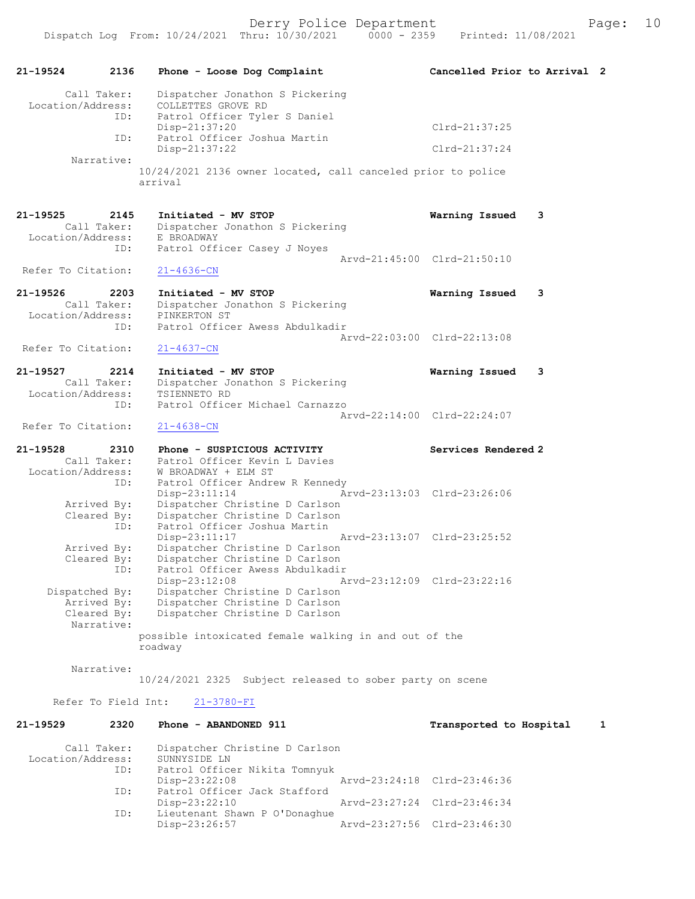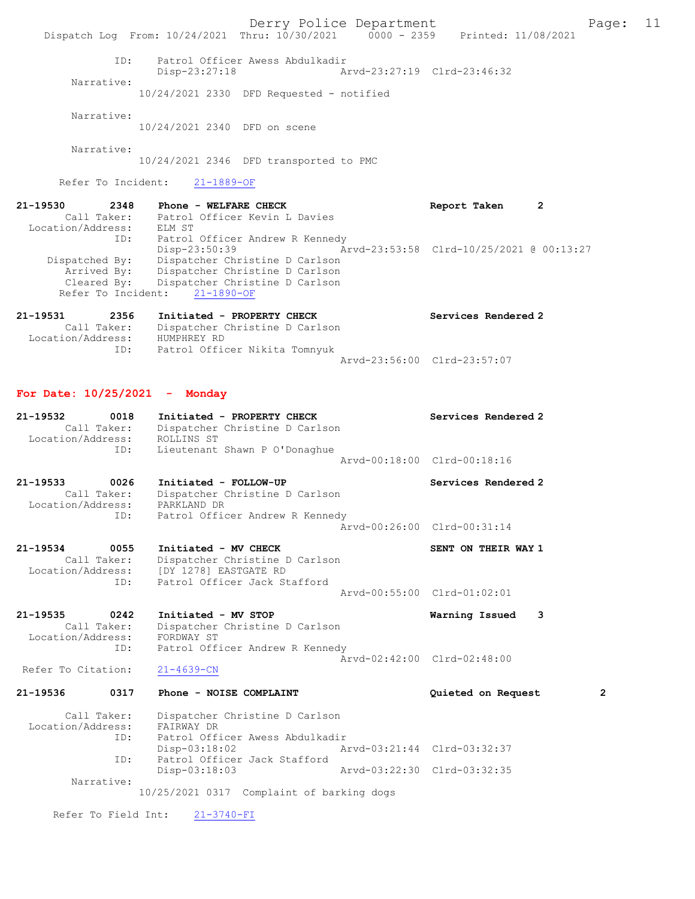Derry Police Department Fage: 11 Dispatch Log From: 10/24/2021 Thru: 10/30/2021 0000 - 2359 Printed: 11/08/2021 ID: Patrol Officer Awess Abdulkadir Disp-23:27:18 Arvd-23:27:19 Clrd-23:46:32 Narrative: 10/24/2021 2330 DFD Requested - notified Narrative: 10/24/2021 2340 DFD on scene Narrative: 10/24/2021 2346 DFD transported to PMC Refer To Incident: 21-1889-OF 21-19530 2348 Phone - WELFARE CHECK 2 Report Taken 2 Call Taker: Patrol Officer Kevin L Davies Location/Address: ELM ST ID: Patrol Officer Andrew R Kennedy Disp-23:50:39 Arvd-23:53:58 Clrd-10/25/2021 @ 00:13:27 Dispatched By: Dispatcher Christine D Carlson Arrived By: Dispatcher Christine D Carlson Cleared By: Dispatcher Christine D Carlson Refer To Incident: 21-1890-OF 21-19531 2356 Initiated - PROPERTY CHECK Services Rendered 2 Call Taker: Dispatcher Christine D Carlson Location/Address: HUMPHREY RD ID: Patrol Officer Nikita Tomnyuk Arvd-23:56:00 Clrd-23:57:07 For Date: 10/25/2021 - Monday 21-19532 0018 Initiated - PROPERTY CHECK Services Rendered 2 Call Taker: Dispatcher Christine D Carlson Location/Address: ROLLINS ST ID: Lieutenant Shawn P O'Donaghue Arvd-00:18:00 Clrd-00:18:16 21-19533 0026 Initiated - FOLLOW-UP Services Rendered 2 Call Taker: Dispatcher Christine D Carlson Location/Address: PARKLAND DR ID: Patrol Officer Andrew R Kennedy Arvd-00:26:00 Clrd-00:31:14 21-19534 0055 Initiated - MV CHECK SENT ON THEIR WAY 1 Call Taker: Dispatcher Christine D Carlson Location/Address: [DY 1278] EASTGATE RD ID: Patrol Officer Jack Stafford Arvd-00:55:00 Clrd-01:02:01 21-19535 0242 Initiated - MV STOP Warning Issued 3 Call Taker: Dispatcher Christine D Carlson Location/Address: FORDWAY ST ID: Patrol Officer Andrew R Kennedy Arvd-02:42:00 Clrd-02:48:00<br>21-4639-CN Refer To Citation: 21-19536 0317 Phone - NOISE COMPLAINT Quieted on Request 2 Call Taker: Dispatcher Christine D Carlson Location/Address: FAIRWAY DR ID: Patrol Officer Awess Abdulkadir Disp-03:18:02 Arvd-03:21:44 Clrd-03:32:37 ID: Patrol Officer Jack Stafford<br>Disp-03:18:03 Disp-03:18:03 Arvd-03:22:30 Clrd-03:32:35 Narrative: 10/25/2021 0317 Complaint of barking dogs Refer To Field Int: 21-3740-FI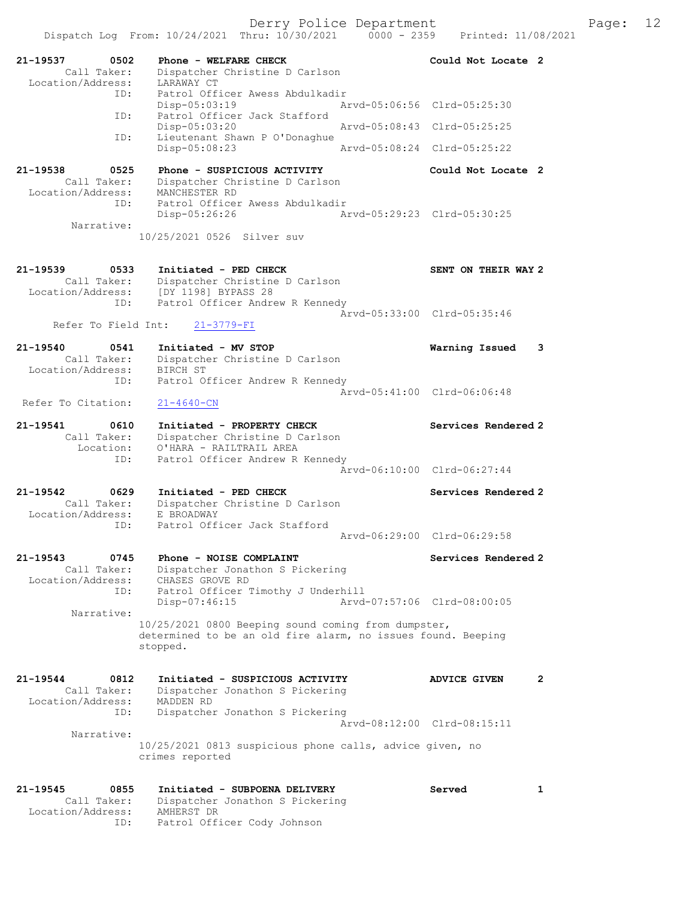Derry Police Department Fage: 12

|                                                                 | Dispatch Log From: 10/24/2021 Thru: 10/30/2021                                                                                      | $0000 - 2359$ | Printed: 11/08/2021         |   |
|-----------------------------------------------------------------|-------------------------------------------------------------------------------------------------------------------------------------|---------------|-----------------------------|---|
| 21-19537<br>0502<br>Call Taker:<br>Location/Address:            | Phone - WELFARE CHECK<br>Dispatcher Christine D Carlson<br>LARAWAY CT                                                               |               | Could Not Locate 2          |   |
| ID:<br>ID:                                                      | Patrol Officer Awess Abdulkadir<br>$Disp-05:03:19$<br>Patrol Officer Jack Stafford                                                  |               | Aryd-05:06:56 Clrd-05:25:30 |   |
|                                                                 | Disp-05:03:20                                                                                                                       |               | Arvd-05:08:43 Clrd-05:25:25 |   |
| ID:                                                             | Lieutenant Shawn P O'Donaghue<br>Disp-05:08:23                                                                                      |               | Aryd-05:08:24 Clrd-05:25:22 |   |
| $21 - 19538$<br>0525<br>Call Taker:                             | Phone - SUSPICIOUS ACTIVITY<br>Dispatcher Christine D Carlson                                                                       |               | Could Not Locate 2          |   |
| Location/Address:<br>ID:<br>Narrative:                          | MANCHESTER RD<br>Patrol Officer Awess Abdulkadir<br>Disp-05:26:26                                                                   |               | Arvd-05:29:23 Clrd-05:30:25 |   |
|                                                                 | 10/25/2021 0526 Silver suv                                                                                                          |               |                             |   |
| $21 - 19539$<br>0533<br>Call Taker:<br>ID:                      | Initiated - PED CHECK<br>Dispatcher Christine D Carlson<br>Location/Address: [DY 1198] BYPASS 28<br>Patrol Officer Andrew R Kennedy |               | SENT ON THEIR WAY 2         |   |
| Refer To Field Int:                                             | 21-3779-FI                                                                                                                          |               | Arvd-05:33:00 Clrd-05:35:46 |   |
| 21-19540<br>0541<br>Call Taker:<br>Location/Address:            | Initiated - MV STOP<br>Dispatcher Christine D Carlson<br>BIRCH ST                                                                   |               | Warning Issued              | 3 |
| ID:<br>Refer To Citation:                                       | Patrol Officer Andrew R Kennedy<br>$21 - 4640 - CN$                                                                                 |               | Arvd-05:41:00 Clrd-06:06:48 |   |
| 21-19541<br>0610                                                | Initiated - PROPERTY CHECK                                                                                                          |               | Services Rendered 2         |   |
| Call Taker:<br>Location:<br>ID:                                 | Dispatcher Christine D Carlson<br>O'HARA - RAILTRAIL AREA<br>Patrol Officer Andrew R Kennedy                                        |               |                             |   |
|                                                                 |                                                                                                                                     |               | Arvd-06:10:00 Clrd-06:27:44 |   |
| 21-19542<br>0629<br>Call Taker:<br>Location/Address:            | Initiated - PED CHECK<br>Dispatcher Christine D Carlson<br>E BROADWAY                                                               |               | Services Rendered 2         |   |
| ID:                                                             | Patrol Officer Jack Stafford                                                                                                        |               | Aryd-06:29:00 Clrd-06:29:58 |   |
| 0745<br>21-19543<br>Call Taker:<br>Location/Address:            | Phone - NOISE COMPLAINT<br>Dispatcher Jonathon S Pickering<br>CHASES GROVE RD                                                       |               | Services Rendered 2         |   |
| ID:<br>Narrative:                                               | Patrol Officer Timothy J Underhill<br>Disp-07:46:15                                                                                 |               | Arvd-07:57:06 Clrd-08:00:05 |   |
|                                                                 | 10/25/2021 0800 Beeping sound coming from dumpster,<br>determined to be an old fire alarm, no issues found. Beeping<br>stopped.     |               |                             |   |
| 21-19544<br>0812<br>Call Taker:<br>Location/Address:            | Initiated - SUSPICIOUS ACTIVITY<br>Dispatcher Jonathon S Pickering<br>MADDEN RD                                                     |               | <b>ADVICE GIVEN</b>         | 2 |
| ID:                                                             | Dispatcher Jonathon S Pickering                                                                                                     |               | Arvd-08:12:00 Clrd-08:15:11 |   |
| Narrative:                                                      | 10/25/2021 0813 suspicious phone calls, advice given, no<br>crimes reported                                                         |               |                             |   |
| $21 - 19545$<br>0855<br>Call Taker:<br>Location/Address:<br>ID: | Initiated - SUBPOENA DELIVERY<br>Dispatcher Jonathon S Pickering<br>AMHERST DR<br>Patrol Officer Cody Johnson                       |               | Served                      | 1 |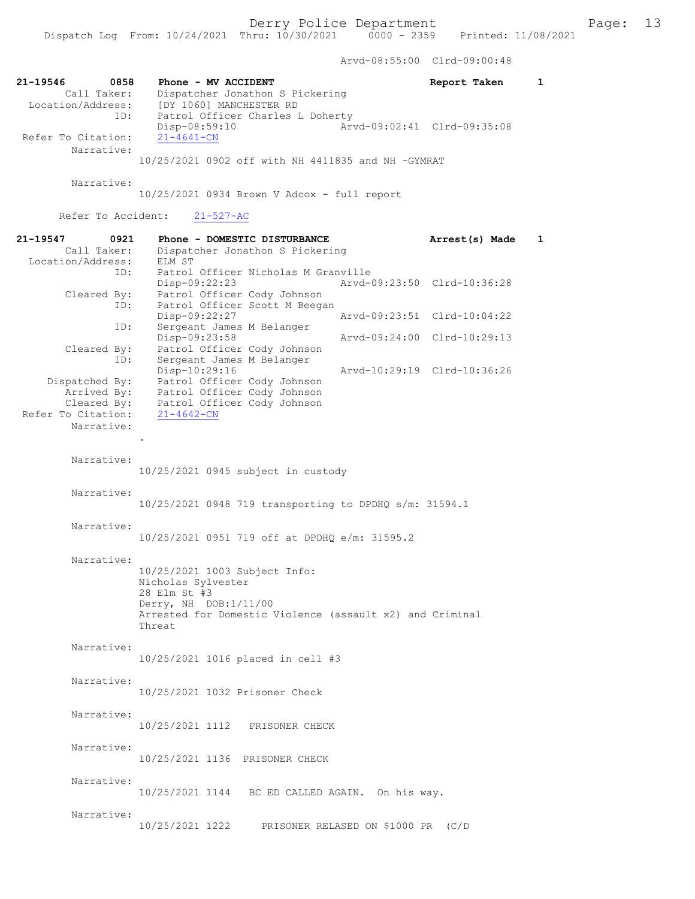Arvd-08:55:00 Clrd-09:00:48

| 21-19546<br>0858<br>Call Taker:<br>Location/Address: | Phone - MV ACCIDENT<br>Dispatcher Jonathon S Pickering<br>[DY 1060] MANCHESTER RD                                                                                  | Report Taken                | 1 |
|------------------------------------------------------|--------------------------------------------------------------------------------------------------------------------------------------------------------------------|-----------------------------|---|
| ID:<br>Refer To Citation:                            | Patrol Officer Charles L Doherty<br>Disp-08:59:10<br>$21 - 4641 - CN$                                                                                              | Arvd-09:02:41 Clrd-09:35:08 |   |
| Narrative:                                           | 10/25/2021 0902 off with NH 4411835 and NH -GYMRAT                                                                                                                 |                             |   |
| Narrative:                                           | $10/25/2021$ 0934 Brown V Adcox - full report                                                                                                                      |                             |   |
| Refer To Accident:                                   | $21 - 527 - AC$                                                                                                                                                    |                             |   |
| 21-19547<br>0921<br>Call Taker:<br>Location/Address: | Phone - DOMESTIC DISTURBANCE<br>Dispatcher Jonathon S Pickering<br>ELM ST                                                                                          | Arrest(s) Made              | 1 |
| ID:<br>Cleared By:                                   | Patrol Officer Nicholas M Granville<br>$Disp-09:22:23$<br>Patrol Officer Cody Johnson                                                                              | Arvd-09:23:50 Clrd-10:36:28 |   |
| ID:<br>ID:                                           | Patrol Officer Scott M Beegan<br>Disp-09:22:27                                                                                                                     | Aryd-09:23:51 Clrd-10:04:22 |   |
| Cleared By:                                          | Sergeant James M Belanger<br>Disp-09:23:58<br>Patrol Officer Cody Johnson                                                                                          | Arvd-09:24:00 Clrd-10:29:13 |   |
| ID:                                                  | Sergeant James M Belanger<br>Disp-10:29:16                                                                                                                         | Arvd-10:29:19 Clrd-10:36:26 |   |
| Dispatched By:                                       | Patrol Officer Cody Johnson                                                                                                                                        |                             |   |
| Arrived By:<br>Cleared By:                           | Patrol Officer Cody Johnson<br>Patrol Officer Cody Johnson                                                                                                         |                             |   |
| Refer To Citation:                                   | $21 - 4642 - CN$                                                                                                                                                   |                             |   |
| Narrative:                                           |                                                                                                                                                                    |                             |   |
| Narrative:                                           | 10/25/2021 0945 subject in custody                                                                                                                                 |                             |   |
| Narrative:                                           | 10/25/2021 0948 719 transporting to DPDHQ s/m: 31594.1                                                                                                             |                             |   |
| Narrative:                                           | 10/25/2021 0951 719 off at DPDHQ e/m: 31595.2                                                                                                                      |                             |   |
| Narrative:                                           |                                                                                                                                                                    |                             |   |
|                                                      | 10/25/2021 1003 Subject Info:<br>Nicholas Sylvester<br>28 Elm St #3<br>Derry, NH DOB:1/11/00<br>Arrested for Domestic Violence (assault x2) and Criminal<br>Threat |                             |   |
| Narrative:                                           | 10/25/2021 1016 placed in cell #3                                                                                                                                  |                             |   |
| Narrative:                                           | 10/25/2021 1032 Prisoner Check                                                                                                                                     |                             |   |
| Narrative:                                           | 10/25/2021 1112 PRISONER CHECK                                                                                                                                     |                             |   |
| Narrative:                                           | 10/25/2021 1136 PRISONER CHECK                                                                                                                                     |                             |   |
| Narrative:                                           | 10/25/2021 1144 BC ED CALLED AGAIN. On his way.                                                                                                                    |                             |   |
| Narrative:                                           | 10/25/2021 1222 PRISONER RELASED ON \$1000 PR (C/D                                                                                                                 |                             |   |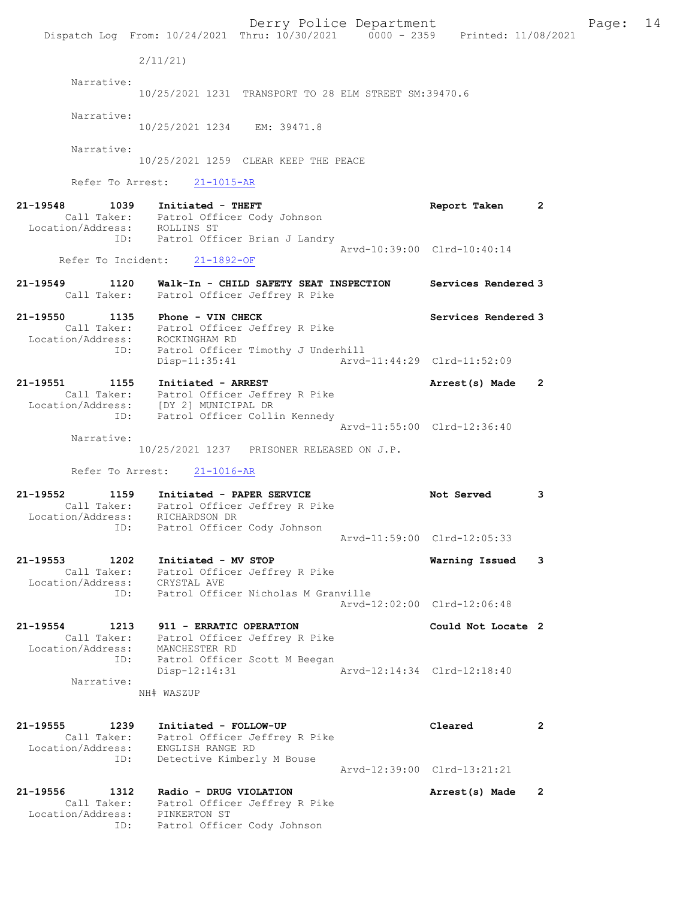Derry Police Department Fage: 14 Dispatch Log From: 10/24/2021 Thru: 10/30/2021 0000 - 2359 Printed: 11/08/2021 2/11/21) Narrative: 10/25/2021 1231 TRANSPORT TO 28 ELM STREET SM:39470.6 Narrative: 10/25/2021 1234 EM: 39471.8 Narrative: 10/25/2021 1259 CLEAR KEEP THE PEACE Refer To Arrest: 21-1015-AR 21-19548 1039 Initiated - THEFT Report Taken 2 Call Taker: Patrol Officer Cody Johnson Location/Address: ROLLINS ST ID: Patrol Officer Brian J Landry Arvd-10:39:00 Clrd-10:40:14 Refer To Incident: 21-1892-OF 21-19549 1120 Walk-In - CHILD SAFETY SEAT INSPECTION Services Rendered 3 Call Taker: Patrol Officer Jeffrey R Pike 21-19550 1135 Phone - VIN CHECK North Services Rendered 3 Call Taker: Patrol Officer Jeffrey R Pike Location/Address: ROCKINGHAM RD ID: Patrol Officer Timothy J Underhill Disp-11:35:41 Arvd-11:44:29 Clrd-11:52:09 21-19551 1155 Initiated - ARREST 119551 1168 Arrest(s) Made 2 Call Taker: Patrol Officer Jeffrey R Pike Location/Address: [DY 2] MUNICIPAL DR ID: Patrol Officer Collin Kennedy Arvd-11:55:00 Clrd-12:36:40 Narrative: 10/25/2021 1237 PRISONER RELEASED ON J.P. Refer To Arrest: 21-1016-AR 21-19552 1159 Initiated - PAPER SERVICE Not Served 3 Call Taker: Patrol Officer Jeffrey R Pike Location/Address: RICHARDSON DR ID: Patrol Officer Cody Johnson Arvd-11:59:00 Clrd-12:05:33 21-19553 1202 Initiated - MV STOP Warning Issued 3 Call Taker: Patrol Officer Jeffrey R Pike Location/Address: CRYSTAL AVE ID: Patrol Officer Nicholas M Granville Arvd-12:02:00 Clrd-12:06:48 21-19554 1213 911 - ERRATIC OPERATION Could Not Locate 2 Call Taker: Patrol Officer Jeffrey R Pike Location/Address: MANCHESTER RD ID: Patrol Officer Scott M Beegan Disp-12:14:31 Arvd-12:14:34 Clrd-12:18:40 Narrative: NH# WASZUP 21-19555 1239 Initiated - FOLLOW-UP Cleared 2 Call Taker: Patrol Officer Jeffrey R Pike Location/Address: ENGLISH RANGE RD ID: Detective Kimberly M Bouse Arvd-12:39:00 Clrd-13:21:21 21-19556 1312 Radio - DRUG VIOLATION Arrest(s) Made 2 Call Taker: Patrol Officer Jeffrey R Pike Location/Address: PINKERTON ST ID: Patrol Officer Cody Johnson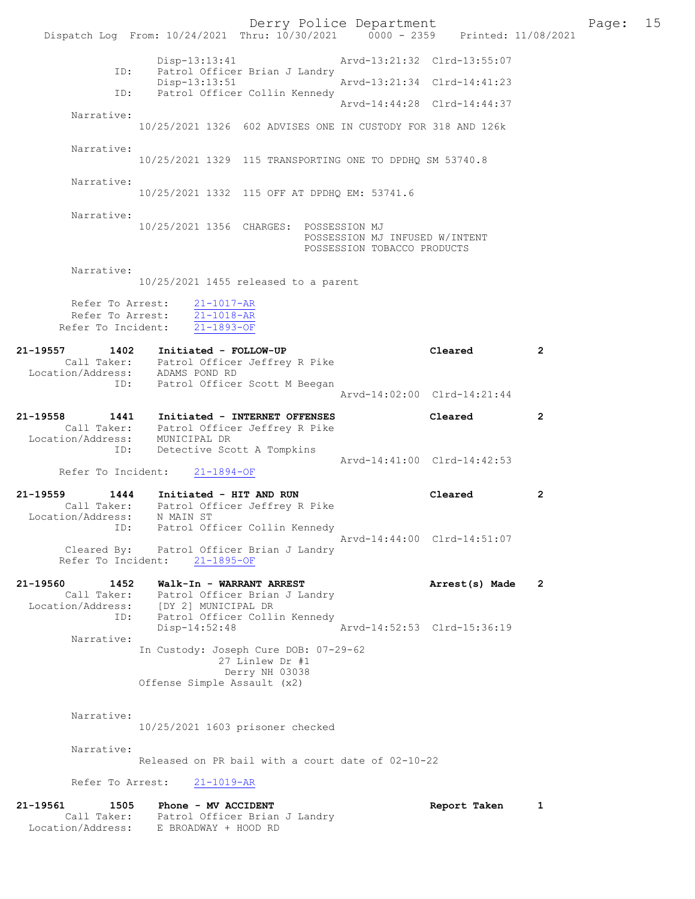Derry Police Department Fage: 15 Dispatch Log From:  $10/24/2021$  Thru:  $10/30/2021$  0000 - 2359 Printed: 11/08/2021 Disp-13:13:41 Arvd-13:21:32 Clrd-13:55:07 ID: Patrol Officer Brian J Landry Disp-13:13:51 Arvd-13:21:34 Clrd-14:41:23 ID: Patrol Officer Collin Kennedy Arvd-14:44:28 Clrd-14:44:37 Narrative: 10/25/2021 1326 602 ADVISES ONE IN CUSTODY FOR 318 AND 126k Narrative: 10/25/2021 1329 115 TRANSPORTING ONE TO DPDHQ SM 53740.8 Narrative: 10/25/2021 1332 115 OFF AT DPDHQ EM: 53741.6 Narrative: 10/25/2021 1356 CHARGES: POSSESSION MJ POSSESSION MJ INFUSED W/INTENT POSSESSION TOBACCO PRODUCTS Narrative: 10/25/2021 1455 released to a parent Refer To Arrest: 21-1017-AR Refer To Arrest: 21-1018-AR Refer To Incident: 21-1893-OF 21-19557 1402 Initiated - FOLLOW-UP Cleared 2 Call Taker: Patrol Officer Jeffrey R Pike Location/Address: ADAMS POND RD ID: Patrol Officer Scott M Beegan Arvd-14:02:00 Clrd-14:21:44 21-19558 1441 Initiated - INTERNET OFFENSES Cleared 2 Call Taker: Patrol Officer Jeffrey R Pike Location/Address: MUNICIPAL DR ID: Detective Scott A Tompkins Arvd-14:41:00 Clrd-14:42:53 Refer To Incident: 21-1894-OF 21-19559 1444 Initiated - HIT AND RUN Cleared 2 Call Taker: Patrol Officer Jeffrey R Pike Location/Address: N MAIN ST ID: Patrol Officer Collin Kennedy Arvd-14:44:00 Clrd-14:51:07 Cleared By: Patrol Officer Brian J Landry Refer To Incident: 21-1895-OF 21-19560 1452 Walk-In - WARRANT ARREST **Arrest(s)** Made 2 Call Taker: Patrol Officer Brian J Landry Location/Address: [DY 2] MUNICIPAL DR ID: Patrol Officer Collin Kennedy Disp-14:52:48 Arvd-14:52:53 Clrd-15:36:19 Narrative: In Custody: Joseph Cure DOB: 07-29-62 27 Linlew Dr #1 Derry NH 03038 Offense Simple Assault (x2) Narrative: 10/25/2021 1603 prisoner checked Narrative: Released on PR bail with a court date of 02-10-22 Refer To Arrest: 21-1019-AR 21-19561 1505 Phone - MV ACCIDENT 121-19561 Report Taken 1 Call Taker: Patrol Officer Brian J Landry Location/Address: E BROADWAY + HOOD RD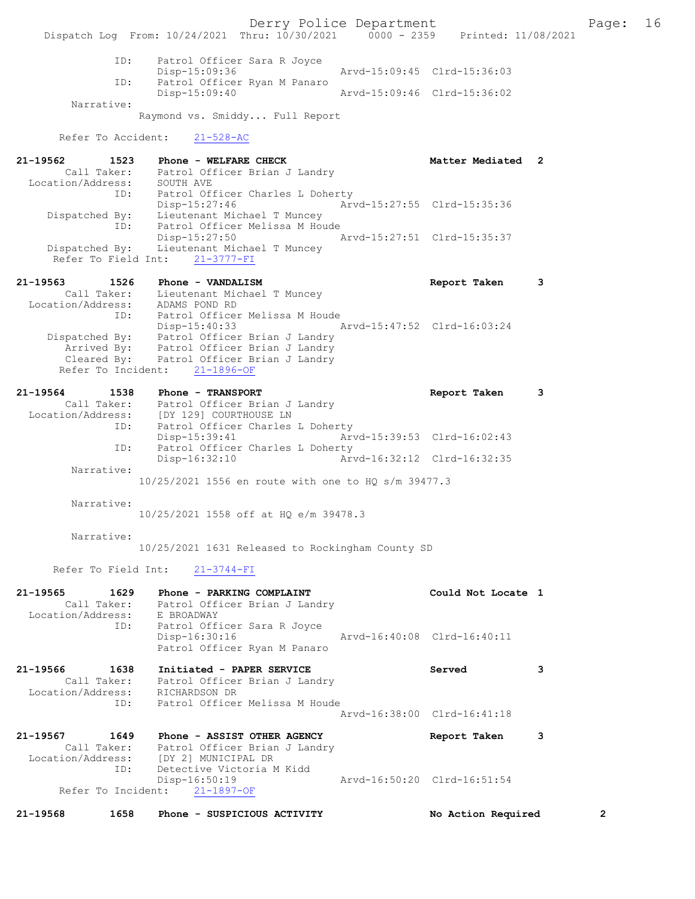Derry Police Department Fage: 16 Dispatch Log From: 10/24/2021 Thru: 10/30/2021 0000 - 2359 Printed: 11/08/2021 ID: Patrol Officer Sara R Joyce Disp-15:09:36 Arvd-15:09:45 Clrd-15:36:03 ID: Patrol Officer Ryan M Panaro<br>Disp-15:09:40 Disp-15:09:40 Arvd-15:09:46 Clrd-15:36:02 Narrative: Raymond vs. Smiddy... Full Report Refer To Accident: 21-528-AC 21-19562 1523 Phone - WELFARE CHECK 1988 Matter Mediated 2 Call Taker: Patrol Officer Brian J Landry Location/Address: SOUTH AVE ID: Patrol Officer Charles L Doherty Disp-15:27:46 Arvd-15:27:55 Clrd-15:35:36 Dispatched By: Lieutenant Michael T Muncey ID: Patrol Officer Melissa M Houde Disp-15:27:50 Arvd-15:27:51 Clrd-15:35:37 Dispatched By: Lieutenant Michael T Muncey Refer To Field Int: 21-3777-FI 21-19563 1526 Phone - VANDALISM Report Taken 3 Call Taker: Lieutenant Michael T Muncey Location/Address: ADAMS POND RD ID: Patrol Officer Melissa M Houde Disp-15:40:33 Arvd-15:47:52 Clrd-16:03:24 Dispatched By: Patrol Officer Brian J Landry Arrived By: Patrol Officer Brian J Landry Cleared By: Patrol Officer Brian J Landry Refer To Incident: 21-1896-OF 21-19564 1538 Phone - TRANSPORT 120 120 Report Taken 3 Call Taker: Patrol Officer Brian J Landry Location/Address: [DY 129] COURTHOUSE LN ID: Patrol Officer Charles L Doherty Disp-15:39:41 Arvd-15:39:53 Clrd-16:02:43 ID: Patrol Officer Charles L Doherty Disp-16:32:10 Arvd-16:32:12 Clrd-16:32:35 Narrative: 10/25/2021 1556 en route with one to HQ s/m 39477.3 Narrative: 10/25/2021 1558 off at HQ e/m 39478.3 Narrative: 10/25/2021 1631 Released to Rockingham County SD Refer To Field Int: 21-3744-FI 21-19565 1629 Phone - PARKING COMPLAINT Not could Not Locate 1 Call Taker: Patrol Officer Brian J Landry Location/Address: E BROADWAY ID: Patrol Officer Sara R Joyce<br>Disp-16:30:16 Disp-16:30:16 Arvd-16:40:08 Clrd-16:40:11 Patrol Officer Ryan M Panaro 21-19566 1638 Initiated - PAPER SERVICE Served 3 Call Taker: Patrol Officer Brian J Landry Location/Address: RICHARDSON DR ID: Patrol Officer Melissa M Houde Arvd-16:38:00 Clrd-16:41:18 21-19567 1649 Phone - ASSIST OTHER AGENCY 1950 Report Taken 3 Call Taker: Patrol Officer Brian J Landry Location/Address: [DY 2] MUNICIPAL DR ID: Detective Victoria M Kidd<br>Disp-16:50:19 Disp-16:50:19 Arvd-16:50:20 Clrd-16:51:54 Refer To Incident: 21-1897-OF 21-19568 1658 Phone - SUSPICIOUS ACTIVITY No Action Required 2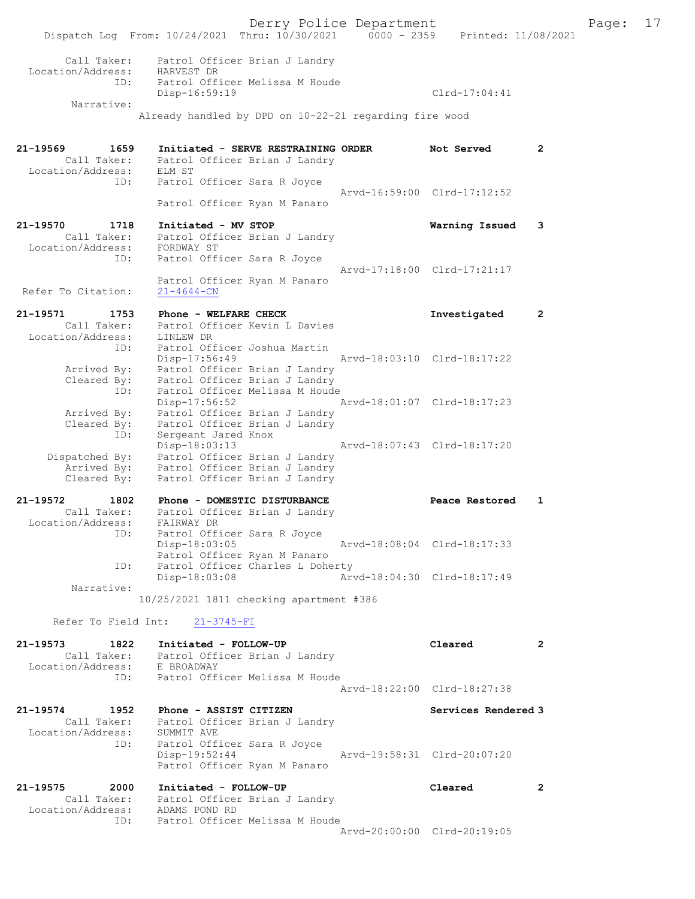Derry Police Department Fage: 17 Dispatch Log From: 10/24/2021 Thru: 10/30/2021 0000 - 2359 Printed: 11/08/2021 Call Taker: Patrol Officer Brian J Landry Location/Address: HARVEST DR ID: Patrol Officer Melissa M Houde Disp-16:59:19 Clrd-17:04:41 Narrative: Already handled by DPD on 10-22-21 regarding fire wood 21-19569 1659 Initiated - SERVE RESTRAINING ORDER Not Served 2 Call Taker: Patrol Officer Brian J Landry Location/Address: ELM ST ID: Patrol Officer Sara R Joyce Arvd-16:59:00 Clrd-17:12:52 Patrol Officer Ryan M Panaro 21-19570 1718 Initiated - MV STOP Warning Issued 3 Call Taker: Patrol Officer Brian J Landry Location/Address: FORDWAY ST ID: Patrol Officer Sara R Joyce Arvd-17:18:00 Clrd-17:21:17 Patrol Officer Ryan M Panaro Refer To Citation: 21-4644-CN 21-19571 1753 Phone - WELFARE CHECK 11 Investigated 2 Call Taker: Patrol Officer Kevin L Davies Location/Address: LINLEW DR ID: Patrol Officer Joshua Martin Disp-17:56:49 Arvd-18:03:10 Clrd-18:17:22 Arrived By: Patrol Officer Brian J Landry Cleared By: Patrol Officer Brian J Landry ID: Patrol Officer Melissa M Houde Disp-17:56:52 Arvd-18:01:07 Clrd-18:17:23 Arrived By: Patrol Officer Brian J Landry Cleared By: Patrol Officer Brian J Landry ID: Sergeant Jared Knox Disp-18:03:13 Arvd-18:07:43 Clrd-18:17:20 Dispatched By: Patrol Officer Brian J Landry Arrived By: Patrol Officer Brian J Landry Cleared By: Patrol Officer Brian J Landry 21-19572 1802 Phone - DOMESTIC DISTURBANCE Peace Restored 1 Call Taker: Patrol Officer Brian J Landry Location/Address: FAIRWAY DR ID: Patrol Officer Sara R Joyce Disp-18:03:05 Arvd-18:08:04 Clrd-18:17:33 Patrol Officer Ryan M Panaro ID: Patrol Officer Charles L Doherty Disp-18:03:08 Arvd-18:04:30 Clrd-18:17:49 Narrative: 10/25/2021 1811 checking apartment #386 Refer To Field Int: 21-3745-FI 21-19573 1822 Initiated - FOLLOW-UP Cleared 2 Call Taker: Patrol Officer Brian J Landry Location/Address: E BROADWAY ID: Patrol Officer Melissa M Houde Arvd-18:22:00 Clrd-18:27:38 21-19574 1952 Phone - ASSIST CITIZEN Services Rendered 3 Call Taker: Patrol Officer Brian J Landry Location/Address: SUMMIT AVE ID: Patrol Officer Sara R Joyce Disp-19:52:44 Arvd-19:58:31 Clrd-20:07:20 Patrol Officer Ryan M Panaro 21-19575 2000 Initiated - FOLLOW-UP Cleared 2 Call Taker: Patrol Officer Brian J Landry Location/Address: ADAMS POND RD ID: Patrol Officer Melissa M Houde Arvd-20:00:00 Clrd-20:19:05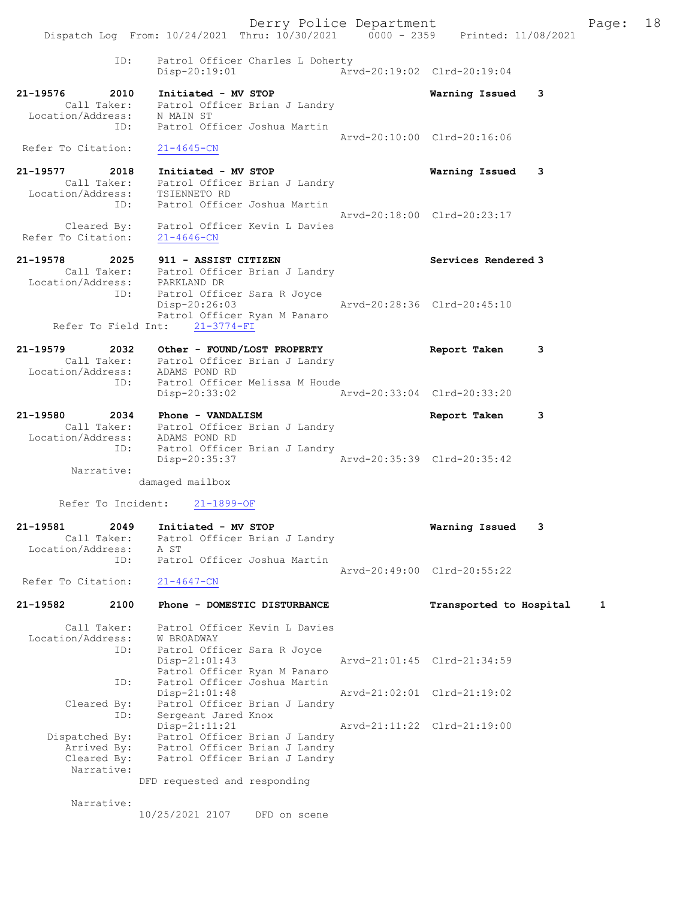Derry Police Department Fage: 18 Dispatch Log From: 10/24/2021 Thru: 10/30/2021 0000 - 2359 Printed: 11/08/2021 ID: Patrol Officer Charles L Doherty Disp-20:19:01 Arvd-20:19:02 Clrd-20:19:04 21-19576 2010 Initiated - MV STOP Warning Issued 3 Call Taker: Patrol Officer Brian J Landry Location/Address: N MAIN ST ID: Patrol Officer Joshua Martin Arvd-20:10:00 Clrd-20:16:06 Refer To Citation: 21-4645-CN 21-19577 2018 Initiated - MV STOP Warning Issued 3 Call Taker: Patrol Officer Brian J Landry Location/Address: TSIENNETO RD ID: Patrol Officer Joshua Martin Arvd-20:18:00 Clrd-20:23:17 Cleared By: Patrol Officer Kevin L Davies Refer To Citation: 21-4646-CN 21-19578 2025 911 - ASSIST CITIZEN Services Rendered 3 Call Taker: Patrol Officer Brian J Landry Location/Address: PARKLAND DR ID: Patrol Officer Sara R Joyce Disp-20:26:03 Arvd-20:28:36 Clrd-20:45:10 Patrol Officer Ryan M Panaro Refer To Field Int: 21-3774-FI 21-19579 2032 Other - FOUND/LOST PROPERTY Report Taken 3 Call Taker: Patrol Officer Brian J Landry Location/Address: ADAMS POND RD ID: Patrol Officer Melissa M Houde Disp-20:33:02 Arvd-20:33:04 Clrd-20:33:20 21-19580 2034 Phone - VANDALISM Report Taken 3 Call Taker: Patrol Officer Brian J Landry Location/Address: ADAMS POND RD ID: Patrol Officer Brian J Landry Disp-20:35:37 Arvd-20:35:39 Clrd-20:35:42 Narrative: damaged mailbox Refer To Incident: 21-1899-OF 21-19581 2049 Initiated - MV STOP Warning Issued 3 Call Taker: Patrol Officer Brian J Landry Location/Address: A ST ID: Patrol Officer Joshua Martin Arvd-20:49:00 Clrd-20:55:22 Refer To Citation: 21-4647-CN 21-19582 2100 Phone - DOMESTIC DISTURBANCE Transported to Hospital 1 Call Taker: Patrol Officer Kevin L Davies Location/Address: W BROADWAY ID: Patrol Officer Sara R Joyce Arvd-21:01:45 Clrd-21:34:59 Patrol Officer Ryan M Panaro ID: Patrol Officer Joshua Martin<br>Disp-21:01:48 Disp-21:01:48 Arvd-21:02:01 Clrd-21:19:02 Cleared By: Patrol Officer Brian J Landry ID: Sergeant Jared Knox Disp-21:11:21 Arvd-21:11:22 Clrd-21:19:00 Dispatched By: Patrol Officer Brian J Landry Arrived By: Patrol Officer Brian J Landry Cleared By: Patrol Officer Brian J Landry Narrative: DFD requested and responding Narrative: 10/25/2021 2107 DFD on scene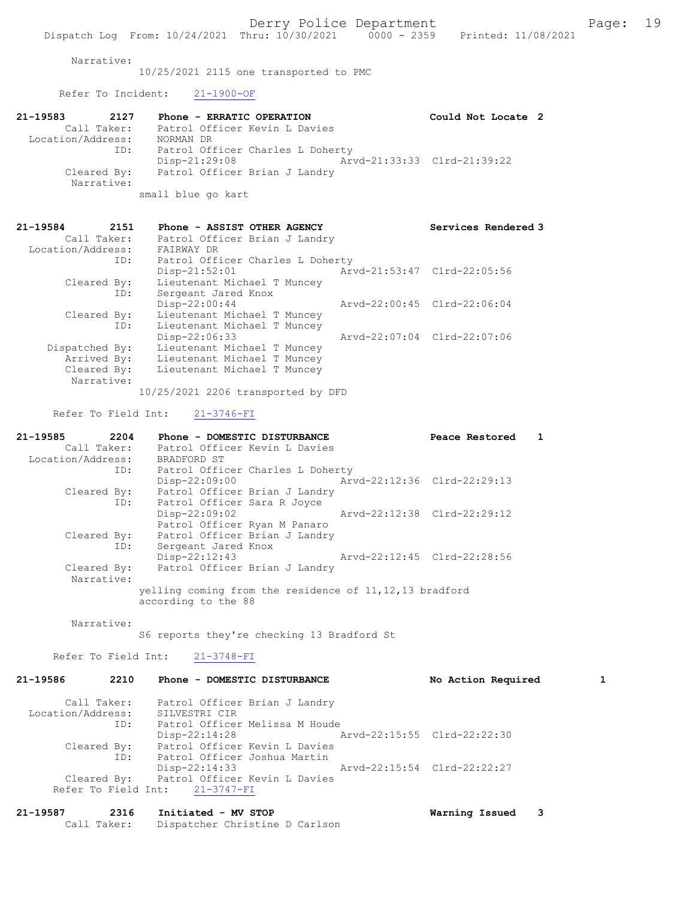Narrative:

10/25/2021 2115 one transported to PMC

Refer To Incident: 21-1900-OF

| 21-19583          | 2127        | Phone - ERRATIC OPERATION                 | Could Not Locate 2          |  |
|-------------------|-------------|-------------------------------------------|-----------------------------|--|
|                   | Call Taker: | Patrol Officer Kevin L Davies             |                             |  |
| Location/Address: |             | NORMAN DR                                 |                             |  |
|                   | ID:         | Patrol Officer Charles L Doherty          |                             |  |
|                   |             | $Disp-21:29:08$                           | Arvd-21:33:33 Clrd-21:39:22 |  |
|                   |             | Cleared By: Patrol Officer Brian J Landry |                             |  |
|                   | Narrative:  |                                           |                             |  |
|                   |             | small blue go kart                        |                             |  |

| 21-19584<br>2151<br>Call Taker: | Phone - ASSIST OTHER AGENCY<br>Patrol Officer Brian J Landry |                             | Services Rendered 3         |
|---------------------------------|--------------------------------------------------------------|-----------------------------|-----------------------------|
| Location/Address:               | FAIRWAY DR                                                   |                             |                             |
| ID:                             | Patrol Officer Charles L Doherty                             |                             |                             |
|                                 | $Disp-21:52:01$                                              | Arvd-21:53:47 Clrd-22:05:56 |                             |
| Cleared By:                     | Lieutenant Michael T Muncey                                  |                             |                             |
| ID:                             | Sergeant Jared Knox                                          |                             |                             |
|                                 | $Disp-22:00:44$                                              |                             | Arvd-22:00:45 Clrd-22:06:04 |
| Cleared By:                     | Lieutenant Michael T Muncey                                  |                             |                             |
| ID:                             | Lieutenant Michael T Muncey                                  |                             |                             |
|                                 | $Disp-22:06:33$                                              |                             | Aryd-22:07:04 Clrd-22:07:06 |
| Dispatched By:                  | Lieutenant Michael T Muncey                                  |                             |                             |
| Arrived By:                     | Lieutenant Michael T Muncey                                  |                             |                             |
| Cleared By:                     | Lieutenant Michael T Muncey                                  |                             |                             |
| Narrative:                      |                                                              |                             |                             |
|                                 | 10/25/2021 2206 transported by DFD                           |                             |                             |

Refer To Field Int: 21-3746-FI

| $21 - 19585$      | 2204        | Phone - DOMESTIC DISTURBANCE<br>Peace Restored           |  |
|-------------------|-------------|----------------------------------------------------------|--|
|                   | Call Taker: | Patrol Officer Kevin L Davies                            |  |
| Location/Address: |             | BRADFORD ST                                              |  |
|                   | ID:         | Patrol Officer Charles L Doherty                         |  |
|                   |             | Arvd-22:12:36 Clrd-22:29:13<br>$Disp-22:09:00$           |  |
|                   | Cleared By: | Patrol Officer Brian J Landry                            |  |
|                   | ID:         | Patrol Officer Sara R Joyce                              |  |
|                   |             | Arvd-22:12:38 Clrd-22:29:12<br>$Disp-22:09:02$           |  |
|                   |             | Patrol Officer Ryan M Panaro                             |  |
|                   | Cleared By: | Patrol Officer Brian J Landry                            |  |
|                   | ID:         | Sergeant Jared Knox                                      |  |
|                   |             | Arvd-22:12:45 Clrd-22:28:56<br>$Disp-22:12:43$           |  |
|                   | Cleared By: | Patrol Officer Brian J Landry                            |  |
|                   | Narrative:  |                                                          |  |
|                   |             | yelling coming from the residence of 11, 12, 13 bradford |  |
|                   |             | according to the 88                                      |  |

Narrative:

S6 reports they're checking 13 Bradford St

Refer To Field Int: 21-3748-FI

| 21-19586          | 2210               | Phone - DOMESTIC DISTURBANCE                                                       |                             | No Action Required |  |
|-------------------|--------------------|------------------------------------------------------------------------------------|-----------------------------|--------------------|--|
| Location/Address: | Call Taker:        | Patrol Officer Brian J Landry<br>SILVESTRI CIR                                     |                             |                    |  |
|                   | ID:                | Patrol Officer Melissa M Houde<br>$Disp-22:14:28$                                  | Arvd-22:15:55 Clrd-22:22:30 |                    |  |
|                   | Cleared By:<br>ID: | Patrol Officer Kevin L Davies<br>Patrol Officer Joshua Martin                      |                             |                    |  |
|                   | Cleared By:        | $Disp-22:14:33$<br>Patrol Officer Kevin L Davies<br>Refer To Field Int: 21-3747-FI | Arvd-22:15:54 Clrd-22:22:27 |                    |  |

| 21-19587 | 2316        | Initiated - MV STOP            | Warning Issued |  |
|----------|-------------|--------------------------------|----------------|--|
|          | Call Taker: | Dispatcher Christine D Carlson |                |  |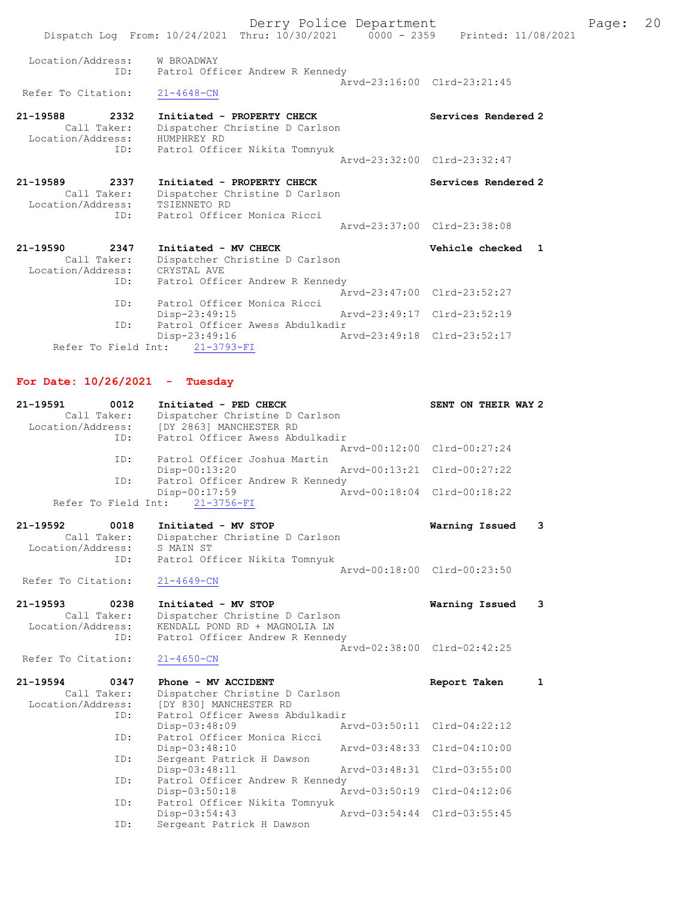Derry Police Department Fage: 20 Dispatch Log From: 10/24/2021 Thru: 10/30/2021 0000 - 2359 Printed: 11/08/2021 Location/Address: W BROADWAY ID: Patrol Officer Andrew R Kennedy  $\bar{A}rvd-23:16:00$  Clrd-23:21:45 Refer To Citation: 21-19588 2332 Initiated - PROPERTY CHECK Services Rendered 2 Call Taker: Dispatcher Christine D Carlson Location/Address: HUMPHREY RD ID: Patrol Officer Nikita Tomnyuk Arvd-23:32:00 Clrd-23:32:47 21-19589 2337 Initiated - PROPERTY CHECK Services Rendered 2 Call Taker: Dispatcher Christine D Carlson Location/Address: TSIENNETO RD ID: Patrol Officer Monica Ricci Arvd-23:37:00 Clrd-23:38:08 21-19590 2347 Initiated - MV CHECK Vehicle checked 1 Call Taker: Dispatcher Christine D Carlson Location/Address: CRYSTAL AVE ID: Patrol Officer Andrew R Kennedy Arvd-23:47:00 Clrd-23:52:27 ID: Patrol Officer Monica Ricci<br>Disp-23:49:15 Disp-23:49:15 Arvd-23:49:17 Clrd-23:52:19 ID: Patrol Officer Awess Abdulkadir Disp-23:49:16 Arvd-23:49:18 Clrd-23:52:17

Refer To Field Int: 21-3793-FI

## For Date: 10/26/2021 - Tuesday

| 21-19591<br>Call Taker:<br>Location/Address:     | 0012<br>ID: | Initiated - PED CHECK<br>Dispatcher Christine D Carlson<br>[DY 2863] MANCHESTER RD<br>Patrol Officer Awess Abdulkadir     |                                | SENT ON THEIR WAY 2                |   |
|--------------------------------------------------|-------------|---------------------------------------------------------------------------------------------------------------------------|--------------------------------|------------------------------------|---|
|                                                  | ID:         | Patrol Officer Joshua Martin<br>Disp-00:13:20                                                                             | Arvd-00:12:00<br>Arvd-00:13:21 | $Clrd-00:27:24$<br>$Clrd-00:27:22$ |   |
| Refer To Field Int:                              | ID:         | Patrol Officer Andrew R Kennedy<br>Disp-00:17:59<br>$21 - 3756 - FI$                                                      | $Arvd - 00:18:04$              | $Clrd-00:18:22$                    |   |
| $21 - 19592$<br>Call Taker:<br>Location/Address: | 0018<br>ID: | Initiated - MV STOP<br>Dispatcher Christine D Carlson<br>S MAIN ST<br>Patrol Officer Nikita Tomnyuk                       |                                | Warning Issued                     | 3 |
| Refer To Citation:                               |             | $21 - 4649 - CN$                                                                                                          | Aryd-00:18:00 Clrd-00:23:50    |                                    |   |
| $21 - 19593$<br>Call Taker:<br>Location/Address: | 0238<br>ID: | Initiated - MV STOP<br>Dispatcher Christine D Carlson<br>KENDALL POND RD + MAGNOLIA LN<br>Patrol Officer Andrew R Kennedy |                                | Warning Issued                     | 3 |
| Refer To Citation:                               |             | $21 - 4650 - CN$                                                                                                          | Arvd-02:38:00 Clrd-02:42:25    |                                    |   |
| $21 - 19594$<br>Call Taker:<br>Location/Address: | 0347<br>ID: | Phone - MV ACCIDENT<br>Dispatcher Christine D Carlson<br>[DY 830] MANCHESTER RD<br>Patrol Officer Awess Abdulkadir        |                                | Report Taken                       | 1 |
|                                                  | ID:         | Disp-03:48:09<br>Patrol Officer Monica Ricci                                                                              | Arvd-03:50:11 Clrd-04:22:12    |                                    |   |
|                                                  | ID:         | Disp-03:48:10<br>Sergeant Patrick H Dawson<br>Disp-03:48:11                                                               | Arvd-03:48:33<br>Aryd-03:48:31 | $Clrd-04:10:00$<br>$Clrd-03:55:00$ |   |
|                                                  | ID:         | Patrol Officer Andrew R Kennedy<br>Disp-03:50:18                                                                          | Aryd-03:50:19                  | $Clrd-04:12:06$                    |   |
|                                                  | ID:<br>ID:  | Patrol Officer Nikita Tomnyuk<br>Disp-03:54:43<br>Sergeant Patrick H Dawson                                               | Arvd-03:54:44                  | $Clrd-03:55:45$                    |   |
|                                                  |             |                                                                                                                           |                                |                                    |   |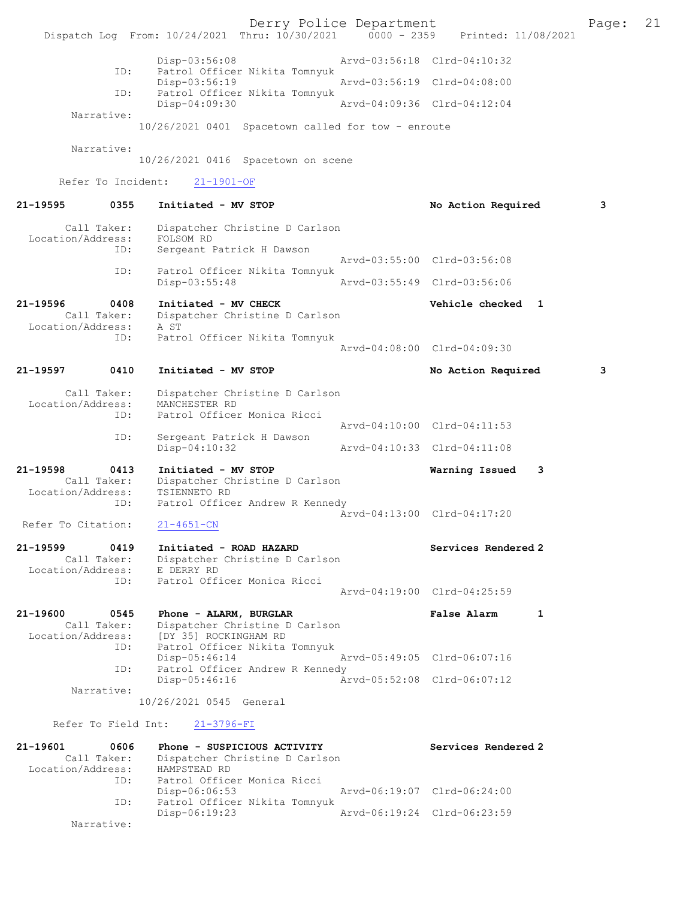Derry Police Department [11/08/2021 | Page: 21<br>
Phru: 10/30/2021 | 0000 - 2359 | Printed: 11/08/2021 Dispatch Log From: 10/24/2021 Thru: 10/30/2021 0000 - 2359 Disp-03:56:08 Arvd-03:56:18 Clrd-04:10:32 ID: Patrol Officer Nikita Tomnyuk Disp-03:56:19 <br>Disp-03:56:19 Arvd-03:56:19 Clrd-04:08:00<br>Displays Patrol Officer Nikita Tompyuk Patrol Officer Nikita Tomnyuk<br>Disp-04:09:30 Disp-04:09:30 Arvd-04:09:36 Clrd-04:12:04 Narrative: 10/26/2021 0401 Spacetown called for tow - enroute Narrative: 10/26/2021 0416 Spacetown on scene Refer To Incident: 21-1901-OF 21-19595 0355 Initiated - MV STOP No No Action Required 3 Call Taker: Dispatcher Christine D Carlson<br>ion/Address: FOLSOM RD Location/Address: ID: Sergeant Patrick H Dawson Arvd-03:55:00 Clrd-03:56:08 ID: Patrol Officer Nikita Tomnyuk Disp-03:55:48 Arvd-03:55:49 Clrd-03:56:06 21-19596 0408 Initiated - MV CHECK Vehicle checked 1 Call Taker: Dispatcher Christine D Carlson Location/Address: A ST ID: Patrol Officer Nikita Tomnyuk Arvd-04:08:00 Clrd-04:09:30 21-19597 0410 Initiated - MV STOP No Action Required 3 Call Taker: Dispatcher Christine D Carlson Location/Address: MANCHESTER RD<br>TD: Patrol Officer Patrol Officer Monica Ricci Arvd-04:10:00 Clrd-04:11:53<br>ID: Sergeant Patrick H Dawson Sergeant Patrick H Dawson<br>Disp-04:10:32 Disp-04:10:32 Arvd-04:10:33 Clrd-04:11:08 21-19598 0413 Initiated - MV STOP Warning Issued 3 Call Taker: Dispatcher Christine D Carlson Location/Address: ess: TSIENNETO RD<br>ID: Patrol Officer Andrew R Kennedy Arvd-04:13:00 Clrd-04:17:20<br>
21-4651-CN Refer To Citation: 21-19599 0419 Initiated - ROAD HAZARD Services Rendered 2 Call Taker: Dispatcher Christine D Carlson Location/Address: E DERRY RD ID: Patrol Officer Monica Ricci Arvd-04:19:00 Clrd-04:25:59 21-19600 0545 Phone - ALARM, BURGLAR False Alarm 1 Call Taker: Dispatcher Christine D Carlson Location/Address: [DY 35] ROCKINGHAM RD<br>ID: Patrol Officer Nikita To Patrol Officer Nikita Tomnyuk<br>Disp-05:46:14<br>Arvd-05:49:05 Clrd-06:07:16 Disp-05:46:14<br>ID: Patrol Officer Andrew R Ke Patrol Officer Andrew R Kennedy<br>Disp-05:46:16 Ar Disp-05:46:16 Arvd-05:52:08 Clrd-06:07:12 Narrative: 10/26/2021 0545 General Refer To Field Int: 21-3796-FI 21-19601 0606 Phone - SUSPICIOUS ACTIVITY Services Rendered 2 Call Taker: Dispatcher Christine D Carlson Location/Address: HAMPSTEAD RD ID: Patrol Officer Monica Ricci<br>Disp-06:06:53 Disp-06:06:53 Arvd-06:19:07 Clrd-06:24:00 ID: Patrol Officer Nikita Tomnyuk Disp-06:19:23 Arvd-06:19:24 Clrd-06:23:59 Narrative: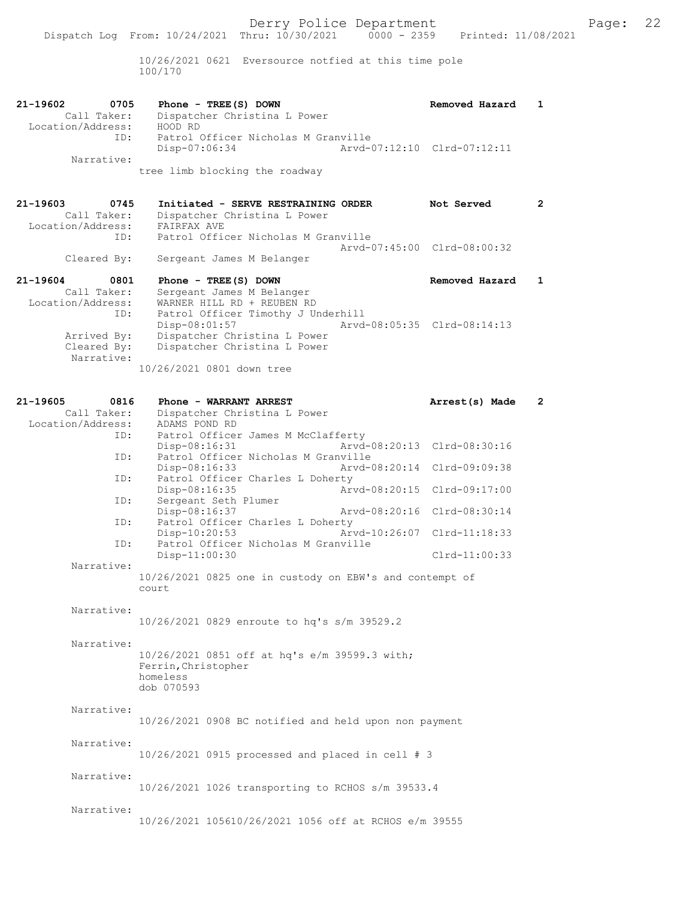10/26/2021 0621 Eversource notfied at this time pole 100/170

| 21-19602          | 0705        | Phone - TREE(S) DOWN                |                             | Removed Hazard |  |
|-------------------|-------------|-------------------------------------|-----------------------------|----------------|--|
|                   | Call Taker: | Dispatcher Christina L Power        |                             |                |  |
| Location/Address: |             | HOOD RD                             |                             |                |  |
|                   | ID:         | Patrol Officer Nicholas M Granville |                             |                |  |
|                   |             | Disp-07:06:34                       | Aryd-07:12:10 Clrd-07:12:11 |                |  |
|                   | Narrative:  |                                     |                             |                |  |

tree limb blocking the roadway

21-19603 0745 Initiated - SERVE RESTRAINING ORDER Not Served 2 Call Taker: Dispatcher Christina L Power Call Taker: Dispatcher C<br>Call Taker: Dispatcher C<br>Location/Address: FAIRFAX AVE ID: Patrol Officer Nicholas M Granville Arvd-07:45:00 Clrd-08:00:32 Cleared By: Sergeant James M Belanger

21-19604 0801 Phone - TREE(S) DOWN Removed Hazard 1 Call Taker: Sergeant James M Belanger Location/Address: WARNER HILL RD + REUBEN RD ID: Patrol Officer Timothy J Underhill Arvd-08:05:35 Clrd-08:14:13 Arrived By: Dispatcher Christina L Power Cleared By: Dispatcher Christina L Power Narrative: 10/26/2021 0801 down tree

| 21-19605 | 0816              | Phone - WARRANT ARREST                                  |               | Arrest(s) Made              | $\mathbf{2}$ |
|----------|-------------------|---------------------------------------------------------|---------------|-----------------------------|--------------|
|          | Call Taker:       | Dispatcher Christina L Power                            |               |                             |              |
|          | Location/Address: | ADAMS POND RD                                           |               |                             |              |
|          | ID:               | Patrol Officer James M McClafferty                      |               |                             |              |
|          |                   | Disp-08:16:31                                           |               | Arvd-08:20:13 Clrd-08:30:16 |              |
|          | ID:               | Patrol Officer Nicholas M Granville                     |               |                             |              |
|          |                   | Disp-08:16:33                                           |               | Arvd-08:20:14 Clrd-09:09:38 |              |
|          | ID:               | Patrol Officer Charles L Doherty                        |               |                             |              |
|          |                   | Disp-08:16:35                                           |               | Arvd-08:20:15 Clrd-09:17:00 |              |
|          | ID:               | Sergeant Seth Plumer                                    |               |                             |              |
|          |                   | Disp-08:16:37                                           |               | Arvd-08:20:16 Clrd-08:30:14 |              |
|          | ID:               | Patrol Officer Charles L Doherty                        |               |                             |              |
|          |                   | Disp-10:20:53                                           | Arvd-10:26:07 | Clrd-11:18:33               |              |
|          | ID:               | Patrol Officer Nicholas M Granville                     |               |                             |              |
|          |                   | $Disp-11:00:30$                                         |               | $Clrd-11:00:33$             |              |
|          | Narrative:        |                                                         |               |                             |              |
|          |                   | 10/26/2021 0825 one in custody on EBW's and contempt of |               |                             |              |
|          |                   | court                                                   |               |                             |              |
|          |                   |                                                         |               |                             |              |
|          | Narrative:        |                                                         |               |                             |              |
|          |                   | 10/26/2021 0829 enroute to hq's s/m 39529.2             |               |                             |              |
|          |                   |                                                         |               |                             |              |
|          | Narrative:        |                                                         |               |                             |              |
|          |                   | 10/26/2021 0851 off at hq's e/m 39599.3 with;           |               |                             |              |
|          |                   | Ferrin, Christopher                                     |               |                             |              |
|          |                   | homeless                                                |               |                             |              |
|          |                   | dob 070593                                              |               |                             |              |
|          | Narrative:        |                                                         |               |                             |              |
|          |                   |                                                         |               |                             |              |
|          |                   | 10/26/2021 0908 BC notified and held upon non payment   |               |                             |              |
|          | Narrative:        |                                                         |               |                             |              |
|          |                   |                                                         |               |                             |              |
|          |                   | $10/26/2021$ 0915 processed and placed in cell # 3      |               |                             |              |
|          | Narrative:        |                                                         |               |                             |              |
|          |                   | 10/26/2021 1026 transporting to RCHOS s/m 39533.4       |               |                             |              |
|          |                   |                                                         |               |                             |              |
|          | Narrative:        |                                                         |               |                             |              |
|          |                   | 10/26/2021 105610/26/2021 1056 off at RCHOS e/m 39555   |               |                             |              |
|          |                   |                                                         |               |                             |              |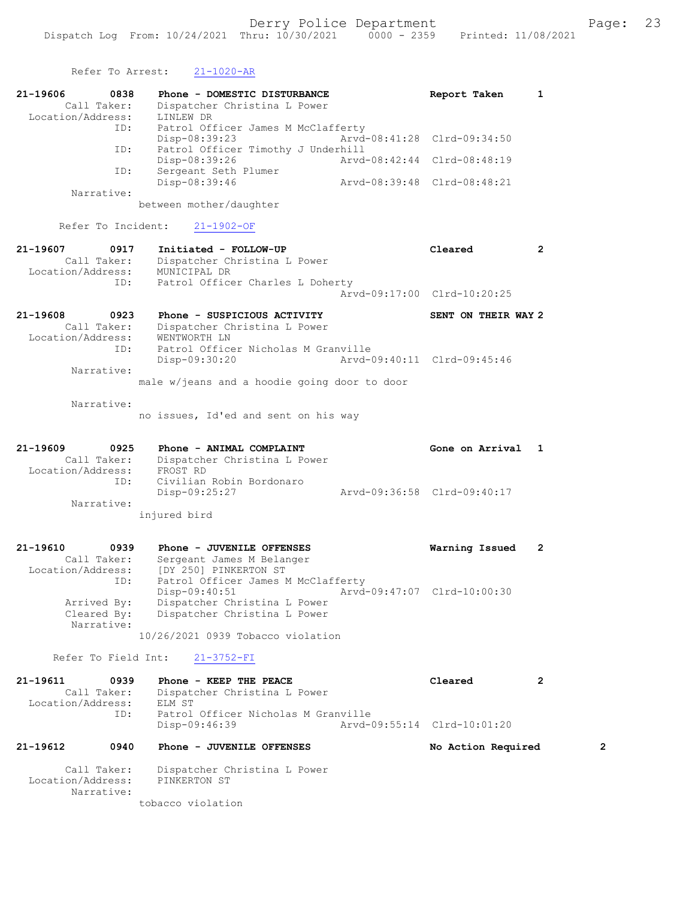Refer To Arrest: 21-1020-AR 21-19606 0838 Phone - DOMESTIC DISTURBANCE Report Taken 1 Call Taker: Dispatcher Christina L Power Location/Address: LINLEW DR ID: Patrol Officer James M McClafferty<br>Disp-08:39:23 Arvd-08:41:28 Clrd-09:34:50 Disp-08:39:23 Arvd-08:41:28 Clrd-09:34:50 ID: Patrol Officer Timothy J Underhill Disp-08:39:26 Arvd-08:42:44 Clrd-08:48:19 ID: Sergeant Seth Plumer Disp-08:39:46 Arvd-08:39:48 Clrd-08:48:21 Narrative: between mother/daughter Refer To Incident: 21-1902-OF 21-19607 0917 Initiated - FOLLOW-UP Cleared 2 Call Taker: Dispatcher Christina L Power Location/Address: MUNICIPAL DR ID: Patrol Officer Charles L Doherty Arvd-09:17:00 Clrd-10:20:25 21-19608 0923 Phone - SUSPICIOUS ACTIVITY SENT ON THEIR WAY 2 Call Taker: Dispatcher Christina L Power Location/Address: WENTWORTH LN ID: Patrol Officer Nicholas M Granville Disp-09:30:20 Arvd-09:40:11 Clrd-09:45:46 Narrative: male w/jeans and a hoodie going door to door Narrative: no issues, Id'ed and sent on his way 21-19609 0925 Phone - ANIMAL COMPLAINT Gone on Arrival 1 Call Taker: Dispatcher Christina L Power Location/Address: FROST RD ID: Civilian Robin Bordonaro Disp-09:25:27 Arvd-09:36:58 Clrd-09:40:17 Narrative: injured bird 21-19610 0939 Phone - JUVENILE OFFENSES Warning Issued 2 Call Taker: Sergeant James M Belanger Location/Address: [DY 250] PINKERTON ST ID: Patrol Officer James M McClafferty Disp-09:40:51 Arvd-09:47:07 Clrd-10:00:30 Arrived By: Dispatcher Christina L Power Cleared By: Dispatcher Christina L Power Narrative: 10/26/2021 0939 Tobacco violation Refer To Field Int: 21-3752-FI 21-19611 0939 Phone - KEEP THE PEACE Cleared 2 Call Taker: Dispatcher Christina L Power Location/Address: ELM ST<br>ID: Patrol Patrol Officer Nicholas M Granville<br>Disp-09:46:39 Arvd-0 Disp-09:46:39 Arvd-09:55:14 Clrd-10:01:20 21-19612 0940 Phone - JUVENILE OFFENSES No Action Required 2 Call Taker: Dispatcher Christina L Power Location/Address: PINKERTON ST Narrative: tobacco violation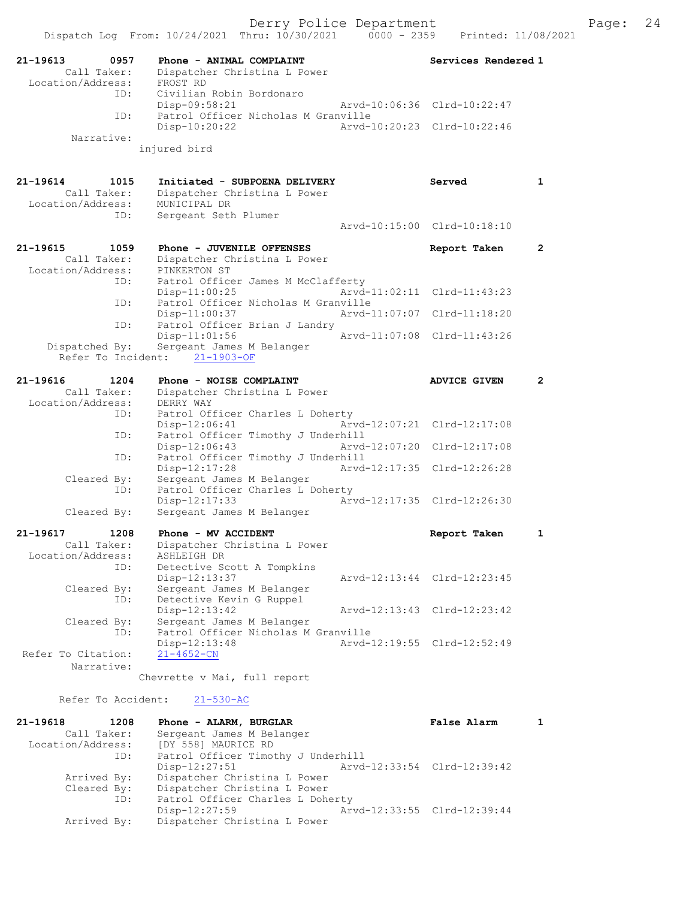|                                                      | Dispatch Log From: 10/24/2021 Thru: 10/30/2021<br>$0000 - 2359$                            | Printed: 11/08/2021         |              |
|------------------------------------------------------|--------------------------------------------------------------------------------------------|-----------------------------|--------------|
| 0957<br>21-19613<br>Call Taker:                      | Phone - ANIMAL COMPLAINT<br>Dispatcher Christina L Power                                   | Services Rendered 1         |              |
| Location/Address:<br>ID:                             | FROST RD<br>Civilian Robin Bordonaro<br>Disp-09:58:21                                      | Arvd-10:06:36 Clrd-10:22:47 |              |
| ID:                                                  | Patrol Officer Nicholas M Granville<br>Disp-10:20:22                                       | Arvd-10:20:23 Clrd-10:22:46 |              |
| Narrative:                                           | injured bird                                                                               |                             |              |
|                                                      |                                                                                            |                             |              |
| 21-19614<br>1015<br>Call Taker:                      | Initiated - SUBPOENA DELIVERY<br>Dispatcher Christina L Power                              | Served                      | $\mathbf{1}$ |
| Location/Address:<br>ID:                             | MUNICIPAL DR<br>Sergeant Seth Plumer                                                       |                             |              |
|                                                      |                                                                                            | Arvd-10:15:00 Clrd-10:18:10 |              |
| 21-19615<br>1059<br>Call Taker:<br>Location/Address: | Phone - JUVENILE OFFENSES<br>Dispatcher Christina L Power<br>PINKERTON ST                  | Report Taken                | $\mathbf{2}$ |
| ID:                                                  | Patrol Officer James M McClafferty<br>Disp-11:00:25<br>Patrol Officer Nicholas M Granville | Arvd-11:02:11 Clrd-11:43:23 |              |
| ID:<br>ID:                                           | Disp-11:00:37<br>Arvd-11:07:07<br>Patrol Officer Brian J Landry                            | $Clrd-11:18:20$             |              |
| Dispatched By:                                       | Disp-11:01:56<br>Arvd-11:07:08<br>Sergeant James M Belanger                                | Clrd-11:43:26               |              |
| Refer To Incident:                                   | $21 - 1903 - OF$                                                                           |                             |              |
| $21 - 19616$<br>1204                                 | Phone - NOISE COMPLAINT                                                                    | <b>ADVICE GIVEN</b>         | $\mathbf{2}$ |
| Call Taker:                                          | Dispatcher Christina L Power                                                               |                             |              |
| Location/Address:                                    | DERRY WAY                                                                                  |                             |              |
| ID:<br>ID:                                           | Patrol Officer Charles L Doherty<br>$Disp-12:06:41$<br>Patrol Officer Timothy J Underhill  | Arvd-12:07:21 Clrd-12:17:08 |              |
| ID:                                                  | Disp-12:06:43<br>Patrol Officer Timothy J Underhill                                        | Arvd-12:07:20 Clrd-12:17:08 |              |
| Cleared By:                                          | Disp-12:17:28<br>Arvd-12:17:35<br>Sergeant James M Belanger                                | Clrd-12:26:28               |              |
| ID:                                                  | Patrol Officer Charles L Doherty<br>Disp-12:17:33                                          | Arvd-12:17:35 Clrd-12:26:30 |              |
| Cleared By:                                          | Sergeant James M Belanger                                                                  |                             |              |
| 21-19617<br>1208                                     | Phone - MV ACCIDENT                                                                        | Report Taken                | 1            |
| Call Taker:<br>Location/Address:                     | Dispatcher Christina L Power<br>ASHLEIGH DR                                                |                             |              |
| ID:                                                  | Detective Scott A Tompkins<br>Disp-12:13:37                                                | Arvd-12:13:44 Clrd-12:23:45 |              |
| Cleared By:<br>ID:                                   | Sergeant James M Belanger<br>Detective Kevin G Ruppel                                      |                             |              |
| Cleared By:                                          | Disp-12:13:42<br>Sergeant James M Belanger                                                 | Arvd-12:13:43 Clrd-12:23:42 |              |
| ID:                                                  | Patrol Officer Nicholas M Granville<br>Disp-12:13:48                                       | Arvd-12:19:55 Clrd-12:52:49 |              |
| Refer To Citation:<br>Narrative:                     | $21 - 4652 - CN$                                                                           |                             |              |
|                                                      | Chevrette v Mai, full report                                                               |                             |              |
| Refer To Accident:                                   | $21 - 530 - AC$                                                                            |                             |              |
| 21-19618<br>1208                                     | Phone - ALARM, BURGLAR                                                                     | False Alarm                 | 1            |
| Call Taker:<br>Location/Address:                     | Sergeant James M Belanger<br>[DY 558] MAURICE RD                                           |                             |              |
| ID:                                                  | Patrol Officer Timothy J Underhill<br>Disp-12:27:51                                        | Arvd-12:33:54 Clrd-12:39:42 |              |
| Arrived By:                                          | Dispatcher Christina L Power                                                               |                             |              |

Dispatcher Christina L Power

Disp-12:27:59 Arvd-12:33:55 Clrd-12:39:44<br>Arrived By: Dispatcher Christina L Power

ID: Patrol Officer Charles L Doherty<br>Disp-12:27:59 Arv

Cleared By: Dispatcher Christina L Power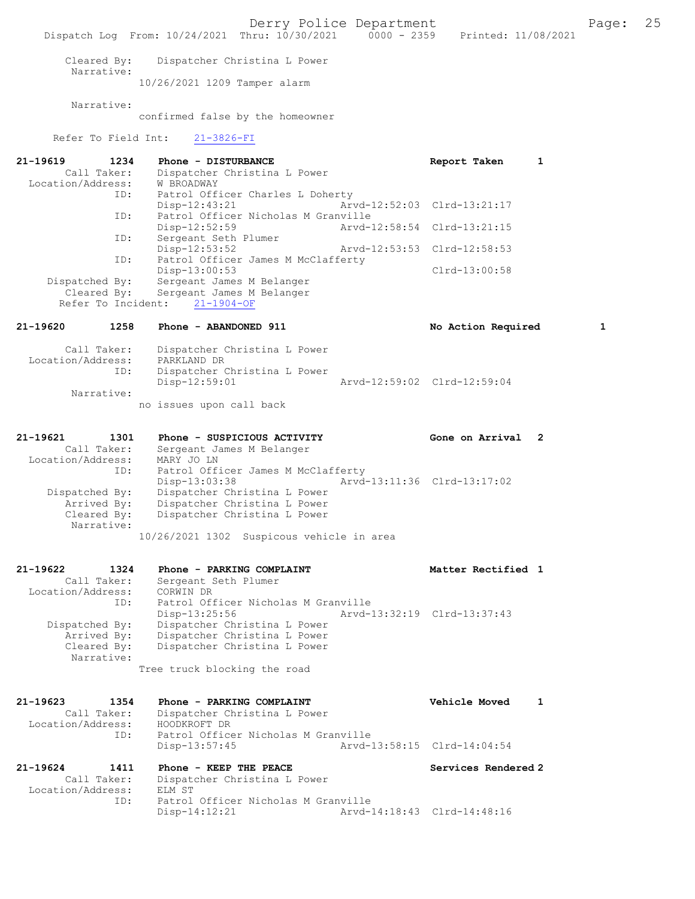Derry Police Department Form Page: 25 Dispatch Log From: 10/24/2021 Thru: 10/30/2021 0000 - 2359 Printed: 11/08/2021 Cleared By: Dispatcher Christina L Power Narrative: 10/26/2021 1209 Tamper alarm Narrative: confirmed false by the homeowner Refer To Field Int: 21-3826-FI 21-19619 1234 Phone - DISTURBANCE Report Taken 1 Call Taker: Dispatcher Christina L Power Location/Address: W BROADWAY ID: Patrol Officer Charles L Doherty<br>Disp-12:43:21 Arv Disp-12:43:21 Arvd-12:52:03 Clrd-13:21:17 ID: Patrol Officer Nicholas M Granville Disp-12:52:59 Arvd-12:58:54 Clrd-13:21:15 ID: Sergeant Seth Plumer Disp-12:53:52 Arvd-12:53:53 Clrd-12:58:53 ID: Patrol Officer James M McClafferty Disp-13:00:53 Disp-13:00:53 Dispatched By: Sergeant James M Belanger Dispatched By: Sergeant James M Belanger Cleared By: Sergeant James M Belanger Refer To Incident: 21-1904-OF 21-19620 1258 Phone - ABANDONED 911 1 No Action Required 1 Call Taker: Dispatcher Christina L Power Location/Address: PARKLAND DR ID: Dispatcher Christina L Power Disp-12:59:01 Arvd-12:59:02 Clrd-12:59:04 Narrative: no issues upon call back 21-19621 1301 Phone - SUSPICIOUS ACTIVITY Cone on Arrival 2 Call Taker: Sergeant James M Belanger Location/Address: MARY JO LN ID: Patrol Officer James M McClafferty<br>Disp-13:03:38 Arvd- Disp-13:03:38 Arvd-13:11:36 Clrd-13:17:02 Dispatched By: Dispatcher Christina L Power Arrived By: Dispatcher Christina L Power Cleared By: Dispatcher Christina L Power Narrative: 10/26/2021 1302 Suspicous vehicle in area 21-19622 1324 Phone - PARKING COMPLAINT Noted that Matter Rectified 1 Call Taker: Sergeant Seth Plumer Location/Address: CORWIN DR ID: Patrol Officer Nicholas M Granville<br>Disp-13:25:56 Arvd- Disp-13:25:56 Arvd-13:32:19 Clrd-13:37:43 Dispatched By: Dispatcher Christina L Power Arrived By: Dispatcher Christina L Power Cleared By: Dispatcher Christina L Power Narrative: Tree truck blocking the road 21-19623 1354 Phone - PARKING COMPLAINT Vehicle Moved 1 Call Taker: Dispatcher Christina L Power Call Taker: Dispatcher Chronic Call Taker: Dispatcher Chronic Chronic Chronic Chronic Chronic Chronic Chronic Chronic Chronic Chronic Chronic Chronic Chronic Chronic Chronic Chronic Chronic Chronic Chronic Chronic Chronic Patrol Officer Nicholas M Granville Disp-13:57:45 Arvd-13:58:15 Clrd-14:04:54 21-19624 1411 Phone - KEEP THE PEACE Services Rendered 2<br>Call Taker: Dispatcher Christina L Power Dispatcher Christina L Power<br>ELM ST Location/Address:<br>ID: Patrol Officer Nicholas M Granville<br>Disp-14:12:21 Arvd-1 Disp-14:12:21 Arvd-14:18:43 Clrd-14:48:16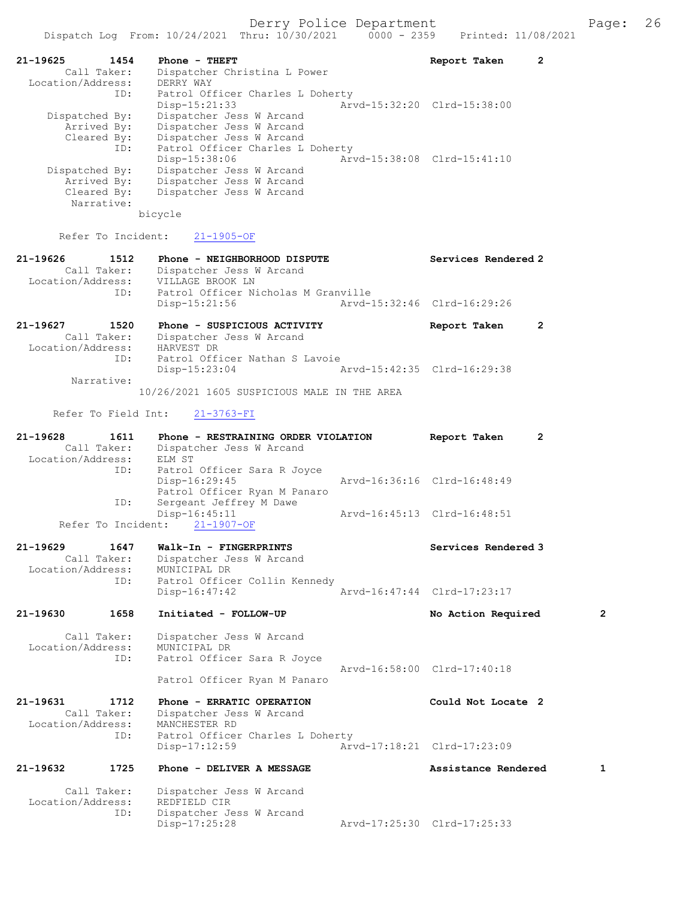| 21-19625<br>1454  | $Phone - THEFT$                  | Report Taken                |  |
|-------------------|----------------------------------|-----------------------------|--|
| Call Taker:       | Dispatcher Christina L Power     |                             |  |
| Location/Address: | DERRY WAY                        |                             |  |
| ID:               | Patrol Officer Charles L Doherty |                             |  |
|                   | Disp-15:21:33                    | Aryd-15:32:20 Clrd-15:38:00 |  |
| Dispatched By:    | Dispatcher Jess W Arcand         |                             |  |
| Arrived By:       | Dispatcher Jess W Arcand         |                             |  |
| Cleared By:       | Dispatcher Jess W Arcand         |                             |  |
| ID:               | Patrol Officer Charles L Doherty |                             |  |
|                   | Disp-15:38:06                    | Arvd-15:38:08 Clrd-15:41:10 |  |
| Dispatched By:    | Dispatcher Jess W Arcand         |                             |  |
| Arrived By:       | Dispatcher Jess W Arcand         |                             |  |
| Cleared By:       | Dispatcher Jess W Arcand         |                             |  |
| Narrative:        |                                  |                             |  |
|                   | bicycle                          |                             |  |

Refer To Incident: 21-1905-OF

# 21-19626 1512 Phone - NEIGHBORHOOD DISPUTE Services Rendered 2 Call Taker: Dispatcher Jess W Arcand Location/Address: VILLAGE BROOK LN ID: Patrol Officer Nicholas M Granville<br>Disp-15:21:56 Arvd-1 Disp-15:21:56 Arvd-15:32:46 Clrd-16:29:26 21-19627 1520 Phone - SUSPICIOUS ACTIVITY Report Taken 2

 Call Taker: Dispatcher Jess W Arcand Location/Address: HARVEST DR ID: Patrol Officer Nathan S Lavoie Disp-15:23:04 Arvd-15:42:35 Clrd-16:29:38 Narrative: 10/26/2021 1605 SUSPICIOUS MALE IN THE AREA

Refer To Field Int: 21-3763-FI

| 21-19628<br>Call Taker:<br>Location/Address:     | 1611        | Phone - RESTRAINING ORDER VIOLATION<br>Dispatcher Jess W Arcand<br>ELM ST                           | Report Taken                | $\overline{2}$ |
|--------------------------------------------------|-------------|-----------------------------------------------------------------------------------------------------|-----------------------------|----------------|
|                                                  | ID:         | Patrol Officer Sara R Joyce<br>Disp-16:29:45<br>Patrol Officer Ryan M Panaro                        | Arvd-16:36:16 Clrd-16:48:49 |                |
|                                                  | ID:         | Sergeant Jeffrey M Dawe<br>Disp-16:45:11                                                            | Arvd-16:45:13 Clrd-16:48:51 |                |
| Refer To Incident:                               |             | $21 - 1907 - OF$                                                                                    |                             |                |
| $21 - 19629$<br>Call Taker:<br>Location/Address: | 1647<br>ID: | Walk-In - FINGERPRINTS<br>Dispatcher Jess W Arcand<br>MUNICIPAL DR<br>Patrol Officer Collin Kennedy | Services Rendered 3         |                |
|                                                  |             | $Disp-16:47:42$                                                                                     | Arvd-16:47:44 Clrd-17:23:17 |                |
| 21-19630                                         | 1658        | Initiated - FOLLOW-UP                                                                               | No Action Required          | $\overline{2}$ |
| Call Taker:<br>Location/Address:                 | ID:         | Dispatcher Jess W Arcand<br>MUNICIPAL DR<br>Patrol Officer Sara R Joyce                             |                             |                |
|                                                  |             | Patrol Officer Ryan M Panaro                                                                        | Arvd-16:58:00 Clrd-17:40:18 |                |
| 21-19631<br>Call Taker:<br>Location/Address:     | 1712        | Phone - ERRATIC OPERATION<br>Dispatcher Jess W Arcand<br>MANCHESTER RD                              | Could Not Locate 2          |                |
|                                                  | ID:         | Patrol Officer Charles L Doherty<br>$Disp-17:12:59$                                                 | Arvd-17:18:21 Clrd-17:23:09 |                |
| 21-19632                                         | 1725        | Phone - DELIVER A MESSAGE                                                                           | Assistance Rendered         | 1              |
| Call Taker:<br>Location/Address:                 |             | Dispatcher Jess W Arcand<br>REDFIELD CIR                                                            |                             |                |
|                                                  | ID:         | Dispatcher Jess W Arcand<br>Disp-17:25:28                                                           | Arvd-17:25:30 Clrd-17:25:33 |                |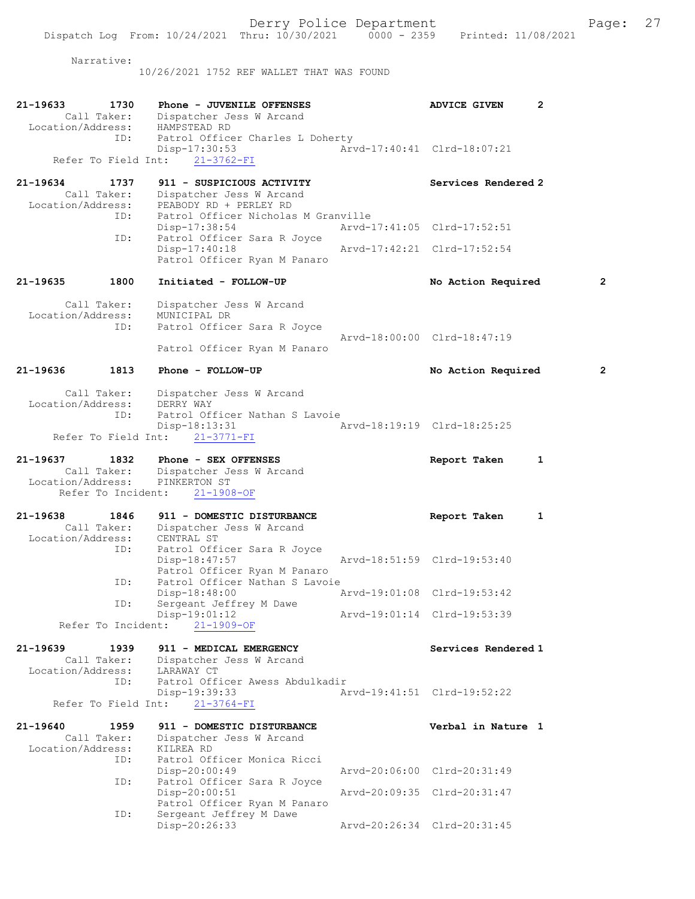Narrative:

10/26/2021 1752 REF WALLET THAT WAS FOUND

| 21-19633<br>1730<br>Call Taker:<br>Location/Address:<br>ID:                | Phone - JUVENILE OFFENSES<br>Dispatcher Jess W Arcand<br>HAMPSTEAD RD<br>Patrol Officer Charles L Doherty |                             | <b>ADVICE GIVEN</b>         | 2            |
|----------------------------------------------------------------------------|-----------------------------------------------------------------------------------------------------------|-----------------------------|-----------------------------|--------------|
| Refer To Field Int:                                                        | Disp-17:30:53<br>$21 - 3762 - FI$                                                                         |                             | Arvd-17:40:41 Clrd-18:07:21 |              |
| 21-19634<br>1737<br>Call Taker:<br>Location/Address:                       | 911 - SUSPICIOUS ACTIVITY<br>Dispatcher Jess W Arcand<br>PEABODY RD + PERLEY RD                           |                             | Services Rendered 2         |              |
| ID:                                                                        | Patrol Officer Nicholas M Granville<br>Disp-17:38:54                                                      |                             | Arvd-17:41:05 Clrd-17:52:51 |              |
| ID:                                                                        | Patrol Officer Sara R Joyce<br>Disp-17:40:18<br>Patrol Officer Ryan M Panaro                              | Arvd-17:42:21 Clrd-17:52:54 |                             |              |
| 1800<br>21-19635                                                           | Initiated - FOLLOW-UP                                                                                     |                             | No Action Required          | 2            |
| Call Taker:<br>Location/Address:<br>ID:                                    | Dispatcher Jess W Arcand<br>MUNICIPAL DR<br>Patrol Officer Sara R Joyce<br>Patrol Officer Ryan M Panaro   |                             | Arvd-18:00:00 Clrd-18:47:19 |              |
| 1813<br>21-19636                                                           | Phone - FOLLOW-UP                                                                                         |                             | No Action Required          | $\mathbf{2}$ |
|                                                                            | Call Taker: Dispatcher Jess W Arcand                                                                      |                             |                             |              |
| Location/Address:<br>ID:<br>Refer To Field Int:                            | DERRY WAY<br>Patrol Officer Nathan S Lavoie<br>$Disp-18:13:31$<br>$21 - 3771 - FI$                        | Arvd-18:19:19 Clrd-18:25:25 |                             |              |
| 21-19637<br>1832<br>Call Taker:<br>Location/Address:<br>Refer To Incident: | Phone - SEX OFFENSES<br>Dispatcher Jess W Arcand<br>PINKERTON ST<br>$21 - 1908 - OF$                      |                             | Report Taken                | 1            |
| 21-19638<br>1846<br>Call Taker:<br>Location/Address:                       | 911 - DOMESTIC DISTURBANCE<br>Dispatcher Jess W Arcand<br>CENTRAL ST                                      |                             | Report Taken                | 1            |
| ID:                                                                        | Patrol Officer Sara R Joyce<br>Disp-18:47:57<br>Patrol Officer Ryan M Panaro                              |                             | Arvd-18:51:59 Clrd-19:53:40 |              |
| ID:                                                                        | Patrol Officer Nathan S Lavoie<br>Disp-18:48:00                                                           | Arvd-19:01:08 Clrd-19:53:42 |                             |              |
| ID:<br>Refer To Incident:                                                  | Sergeant Jeffrey M Dawe<br>Disp-19:01:12<br>$21 - 1909 - OF$                                              |                             | Arvd-19:01:14 Clrd-19:53:39 |              |
| 21-19639<br>1939<br>Call Taker:                                            | 911 - MEDICAL EMERGENCY<br>Dispatcher Jess W Arcand                                                       |                             | Services Rendered 1         |              |
| Location/Address:<br>ID:<br>Refer To Field Int:                            | LARAWAY CT<br>Patrol Officer Awess Abdulkadir<br>Disp-19:39:33<br>$21 - 3764 - FI$                        |                             | Arvd-19:41:51 Clrd-19:52:22 |              |
| 21-19640<br>1959                                                           | 911 - DOMESTIC DISTURBANCE                                                                                |                             | Verbal in Nature 1          |              |
| Call Taker:<br>Location/Address:<br>ID:                                    | Dispatcher Jess W Arcand<br>KILREA RD<br>Patrol Officer Monica Ricci                                      |                             |                             |              |
|                                                                            | $Disp-20:00:49$                                                                                           |                             | Arvd-20:06:00 Clrd-20:31:49 |              |
| ID:                                                                        | Patrol Officer Sara R Joyce<br>$Disp-20:00:51$<br>Patrol Officer Ryan M Panaro                            |                             | Arvd-20:09:35 Clrd-20:31:47 |              |
| ID:                                                                        | Sergeant Jeffrey M Dawe<br>Disp-20:26:33                                                                  |                             | Arvd-20:26:34 Clrd-20:31:45 |              |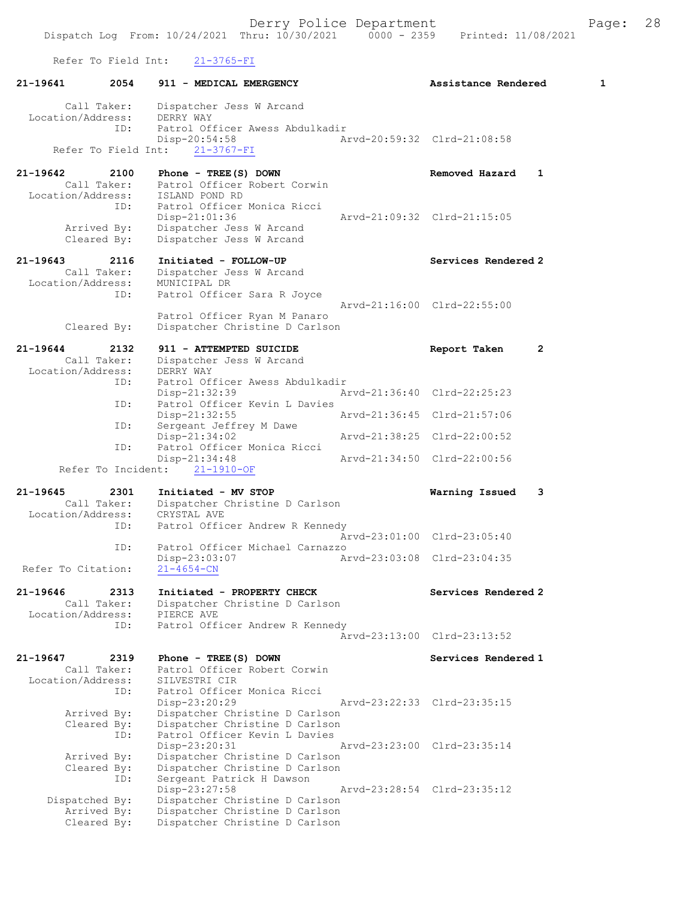Refer To Field Int: 21-3765-FI

| 21-19641           | 2054                | 911 - MEDICAL EMERGENCY                                        | Assistance Rendered         |              | 1 |
|--------------------|---------------------|----------------------------------------------------------------|-----------------------------|--------------|---|
|                    | Call Taker:         | Dispatcher Jess W Arcand                                       |                             |              |   |
| Location/Address:  | ID:                 | DERRY WAY<br>Patrol Officer Awess Abdulkadir                   |                             |              |   |
|                    |                     | Disp-20:54:58                                                  | Arvd-20:59:32 Clrd-21:08:58 |              |   |
|                    | Refer To Field Int: | $21 - 3767 - FI$                                               |                             |              |   |
| 21-19642           | 2100                | Phone - $TREE(S)$ DOWN                                         | Removed Hazard              | 1            |   |
| Location/Address:  | Call Taker:         | Patrol Officer Robert Corwin<br>ISLAND POND RD                 |                             |              |   |
|                    | ID:                 | Patrol Officer Monica Ricci                                    |                             |              |   |
|                    |                     | Disp-21:01:36                                                  | Arvd-21:09:32 Clrd-21:15:05 |              |   |
|                    | Arrived By:         | Dispatcher Jess W Arcand                                       |                             |              |   |
|                    | Cleared By:         | Dispatcher Jess W Arcand                                       |                             |              |   |
| 21-19643           | 2116                | Initiated - FOLLOW-UP                                          | Services Rendered 2         |              |   |
|                    | Call Taker:         | Dispatcher Jess W Arcand                                       |                             |              |   |
| Location/Address:  | ID:                 | MUNICIPAL DR<br>Patrol Officer Sara R Joyce                    |                             |              |   |
|                    |                     |                                                                | Arvd-21:16:00 Clrd-22:55:00 |              |   |
|                    |                     | Patrol Officer Ryan M Panaro<br>Dispatcher Christine D Carlson |                             |              |   |
|                    | Cleared By:         |                                                                |                             |              |   |
| 21-19644           | 2132                | 911 - ATTEMPTED SUICIDE                                        | Report Taken                | $\mathbf{2}$ |   |
| Location/Address:  | Call Taker:         | Dispatcher Jess W Arcand<br>DERRY WAY                          |                             |              |   |
|                    | ID:                 | Patrol Officer Awess Abdulkadir                                |                             |              |   |
|                    |                     | Disp-21:32:39                                                  | Arvd-21:36:40 Clrd-22:25:23 |              |   |
|                    | ID:                 | Patrol Officer Kevin L Davies<br>$Disp-21:32:55$               | Arvd-21:36:45 Clrd-21:57:06 |              |   |
|                    | ID:                 | Sergeant Jeffrey M Dawe                                        |                             |              |   |
|                    | ID:                 | $Disp-21:34:02$<br>Patrol Officer Monica Ricci                 | Arvd-21:38:25 Clrd-22:00:52 |              |   |
|                    |                     | Disp-21:34:48                                                  | Arvd-21:34:50 Clrd-22:00:56 |              |   |
|                    |                     | Refer To Incident: 21-1910-OF                                  |                             |              |   |
| 21-19645           | 2301                | Initiated - MV STOP                                            | Warning Issued              | 3            |   |
| Location/Address:  | Call Taker:         | Dispatcher Christine D Carlson<br>CRYSTAL AVE                  |                             |              |   |
|                    | ID:                 | Patrol Officer Andrew R Kennedy                                |                             |              |   |
|                    |                     |                                                                | Arvd-23:01:00 Clrd-23:05:40 |              |   |
|                    | ID:                 | Patrol Officer Michael Carnazzo                                |                             |              |   |
| Refer To Citation: |                     | $Disp-23:03:07$<br>$21 - 4654 - CN$                            | Arvd-23:03:08 Clrd-23:04:35 |              |   |
|                    |                     |                                                                |                             |              |   |
| 21-19646           | 2313<br>Call Taker: | Initiated - PROPERTY CHECK<br>Dispatcher Christine D Carlson   | Services Rendered 2         |              |   |
| Location/Address:  |                     | PIERCE AVE                                                     |                             |              |   |
|                    | ID:                 | Patrol Officer Andrew R Kennedy                                |                             |              |   |
|                    |                     |                                                                | Arvd-23:13:00 Clrd-23:13:52 |              |   |
| 21-19647           | 2319                | Phone - TREE (S) DOWN                                          | Services Rendered 1         |              |   |
|                    | Call Taker:         | Patrol Officer Robert Corwin                                   |                             |              |   |
| Location/Address:  | ID:                 | SILVESTRI CIR<br>Patrol Officer Monica Ricci                   |                             |              |   |
|                    |                     | Disp-23:20:29                                                  | Arvd-23:22:33 Clrd-23:35:15 |              |   |
|                    | Arrived By:         | Dispatcher Christine D Carlson                                 |                             |              |   |
|                    | Cleared By:         | Dispatcher Christine D Carlson                                 |                             |              |   |
|                    | ID:                 | Patrol Officer Kevin L Davies<br>Disp-23:20:31                 | Arvd-23:23:00 Clrd-23:35:14 |              |   |
|                    | Arrived By:         | Dispatcher Christine D Carlson                                 |                             |              |   |
|                    | Cleared By:         | Dispatcher Christine D Carlson                                 |                             |              |   |
|                    | ID:                 | Sergeant Patrick H Dawson                                      |                             |              |   |
| Dispatched By:     |                     | $Disp-23:27:58$<br>Dispatcher Christine D Carlson              | Arvd-23:28:54 Clrd-23:35:12 |              |   |
|                    | Arrived By:         | Dispatcher Christine D Carlson                                 |                             |              |   |
|                    | Cleared By:         | Dispatcher Christine D Carlson                                 |                             |              |   |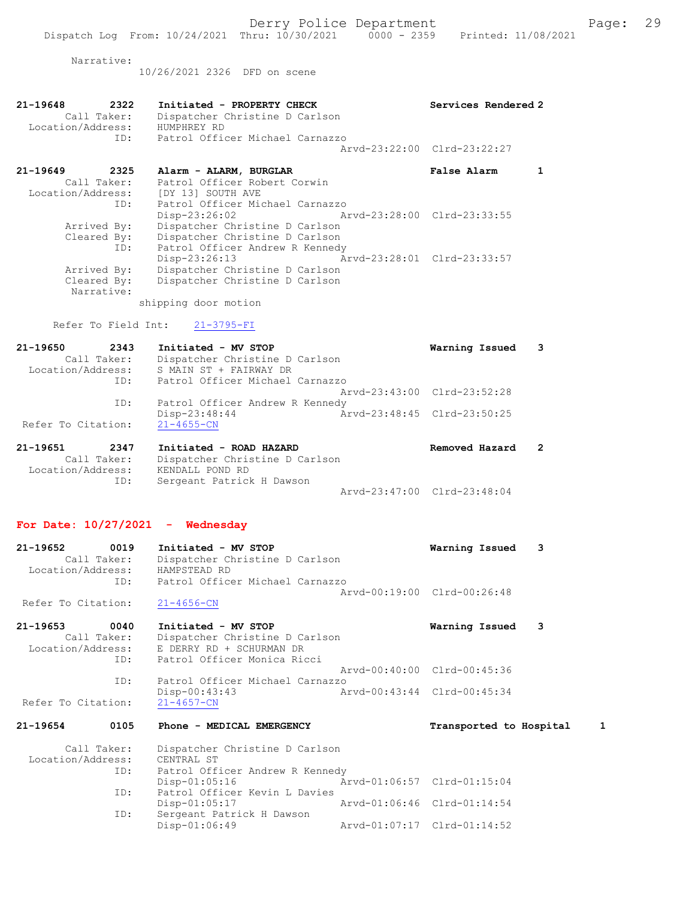Narrative:

10/26/2021 2326 DFD on scene

| 21-19649          | 2325        | Alarm - ALARM, BURGLAR                        | Arvd-23:22:00 Clrd-23:22:27<br><b>False Alarm</b> |  |
|-------------------|-------------|-----------------------------------------------|---------------------------------------------------|--|
|                   | TD:         | Patrol Officer Michael Carnazzo               |                                                   |  |
| Location/Address: | Call Taker: | Dispatcher Christine D Carlson<br>HUMPHREY RD |                                                   |  |
| 21-19648          | 2322        | Initiated - PROPERTY CHECK                    | Services Rendered 2                               |  |

| Call Taker:       | Patrol Officer Robert Corwin    |                             |
|-------------------|---------------------------------|-----------------------------|
| Location/Address: | [DY 13] SOUTH AVE               |                             |
| ID:               | Patrol Officer Michael Carnazzo |                             |
|                   | $Disp-23:26:02$                 | Arvd-23:28:00 Clrd-23:33:55 |
| Arrived By:       | Dispatcher Christine D Carlson  |                             |
| Cleared By:       | Dispatcher Christine D Carlson  |                             |
| ID:               | Patrol Officer Andrew R Kennedy |                             |
|                   | Disp-23:26:13                   | Arvd-23:28:01 Clrd-23:33:57 |
| Arrived By:       | Dispatcher Christine D Carlson  |                             |
| Cleared By:       | Dispatcher Christine D Carlson  |                             |
| Narrative:        |                                 |                             |

shipping door motion

Refer To Field Int: 21-3795-FI

| 21-19650           | 2343        | Initiated - MV STOP             |                             | Warning Issued 3 |  |
|--------------------|-------------|---------------------------------|-----------------------------|------------------|--|
|                    | Call Taker: | Dispatcher Christine D Carlson  |                             |                  |  |
| Location/Address:  |             | S MAIN ST + FAIRWAY DR          |                             |                  |  |
|                    | ID:         | Patrol Officer Michael Carnazzo |                             |                  |  |
|                    |             |                                 | Aryd-23:43:00 Clrd-23:52:28 |                  |  |
|                    | ID:         | Patrol Officer Andrew R Kennedy |                             |                  |  |
|                    |             | Disp-23:48:44                   | Arvd-23:48:45 Clrd-23:50:25 |                  |  |
| Refer To Citation: |             | $21 - 4655 - CN$                |                             |                  |  |

| 21-19651          | 2347        | Initiated - ROAD HAZARD        |                             | Removed Hazard |  |
|-------------------|-------------|--------------------------------|-----------------------------|----------------|--|
|                   | Call Taker: | Dispatcher Christine D Carlson |                             |                |  |
| Location/Address: |             | KENDALL POND RD                |                             |                |  |
|                   | ID:         | Sergeant Patrick H Dawson      |                             |                |  |
|                   |             |                                | Arvd-23:47:00 Clrd-23:48:04 |                |  |

## For Date: 10/27/2021 - Wednesday

| 21-19652           | 0019        | Initiated - MV STOP             | Warning Issued 3 |  |
|--------------------|-------------|---------------------------------|------------------|--|
|                    | Call Taker: | Dispatcher Christine D Carlson  |                  |  |
| Location/Address:  |             | HAMPSTEAD RD                    |                  |  |
|                    | TD:         | Patrol Officer Michael Carnazzo |                  |  |
|                    |             | Aryd-00:19:00 Clrd-00:26:48     |                  |  |
| Refer To Citation: |             | 21-4656-CN                      |                  |  |

| $21 - 19653$       | 0040        | Initiated - MV STOP             | Warning Issued              | $\overline{\phantom{a}}$ 3 |
|--------------------|-------------|---------------------------------|-----------------------------|----------------------------|
|                    | Call Taker: | Dispatcher Christine D Carlson  |                             |                            |
| Location/Address:  |             | E DERRY RD + SCHURMAN DR        |                             |                            |
|                    | ID:         | Patrol Officer Monica Ricci     |                             |                            |
|                    |             |                                 | Arvd-00:40:00 Clrd-00:45:36 |                            |
|                    | ID:         | Patrol Officer Michael Carnazzo |                             |                            |
|                    |             | $Disp-00:43:43$                 | Arvd-00:43:44 Clrd-00:45:34 |                            |
| Refer To Citation: |             | $21 - 4657 - CN$                |                             |                            |

## 21-19654 0105 Phone - MEDICAL EMERGENCY Transported to Hospital 1

| Call Taker:<br>Location/Address: | Dispatcher Christine D Carlson<br>CENTRAL ST |                             |                             |
|----------------------------------|----------------------------------------------|-----------------------------|-----------------------------|
| ID:                              | Patrol Officer Andrew R Kennedy              |                             |                             |
|                                  | Disp-01:05:16                                | Arvd-01:06:57 Clrd-01:15:04 |                             |
| ID:                              | Patrol Officer Kevin L Davies                |                             |                             |
|                                  | Disp-01:05:17                                |                             | Arvd-01:06:46 Clrd-01:14:54 |
| ID:                              | Sergeant Patrick H Dawson                    |                             |                             |
|                                  | $Disp-01:06:49$                              |                             | Arvd-01:07:17 Clrd-01:14:52 |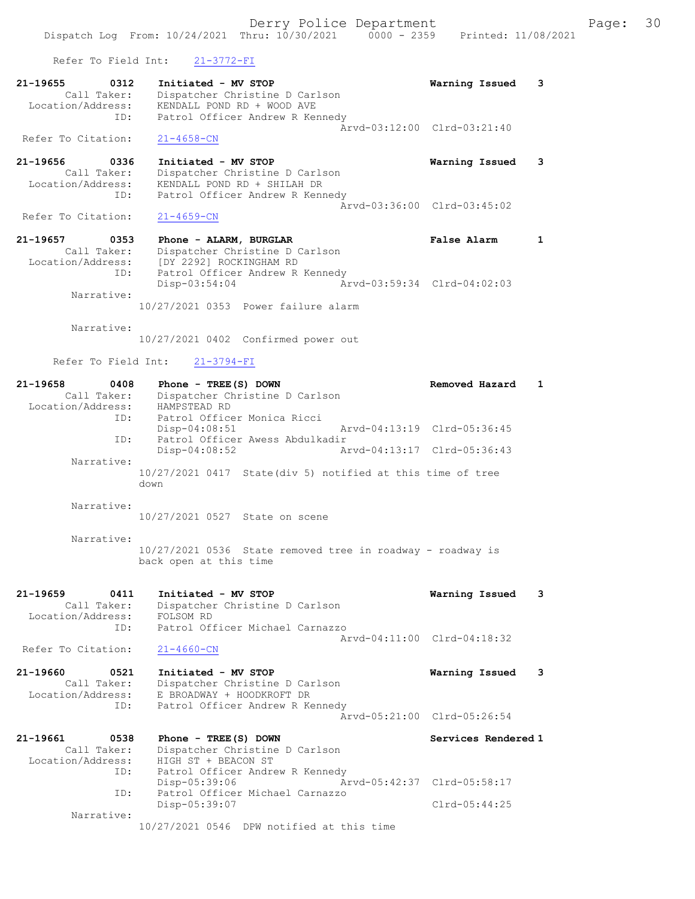Refer To Field Int: 21-3772-FI

| 21-19655          | 0312        | Initiated - MV STOP             | Warning Issued 3 |  |
|-------------------|-------------|---------------------------------|------------------|--|
|                   | Call Taker: | Dispatcher Christine D Carlson  |                  |  |
| Location/Address: |             | KENDALL POND RD + WOOD AVE      |                  |  |
|                   | ID:         | Patrol Officer Andrew R Kennedy |                  |  |
|                   |             | Aryd-03:12:00 Clrd-03:21:40     |                  |  |
|                   |             | Refer To Citation: 21-4658-CN   |                  |  |

21-19656 0336 Initiated - MV STOP Warning Issued 3 Call Taker: Dispatcher Christine D Carlson Location/Address: KENDALL POND RD + SHILAH DR ID: Patrol Officer Andrew R Kennedy Arvd-03:36:00 Clrd-03:45:02<br>21-4659-CN

Refer To Citation:

21-19657 0353 Phone - ALARM, BURGLAR False Alarm 1 Call Taker: Dispatcher Christine D Carlson Location/Address: [DY 2292] ROCKINGHAM RD ID: Patrol Officer Andrew R Kennedy<br>Disp-03:54:04 Ar Disp-03:54:04 Arvd-03:59:34 Clrd-04:02:03 Narrative: 10/27/2021 0353 Power failure alarm

Narrative:

10/27/2021 0402 Confirmed power out

Refer To Field Int: 21-3794-FI

| 21-19658          | 0408        | Phone - $TREE(S)$ DOWN |                                 |                                                            | Removed Hazard              |  |
|-------------------|-------------|------------------------|---------------------------------|------------------------------------------------------------|-----------------------------|--|
|                   | Call Taker: |                        | Dispatcher Christine D Carlson  |                                                            |                             |  |
| Location/Address: |             | HAMPSTEAD RD           |                                 |                                                            |                             |  |
|                   | ID:         |                        | Patrol Officer Monica Ricci     |                                                            |                             |  |
|                   |             | $Disp-04:08:51$        |                                 |                                                            | Arvd-04:13:19 Clrd-05:36:45 |  |
|                   | ID:         |                        | Patrol Officer Awess Abdulkadir |                                                            |                             |  |
|                   |             | $Disp-04:08:52$        |                                 |                                                            | Arvd-04:13:17 Clrd-05:36:43 |  |
|                   | Narrative:  |                        |                                 |                                                            |                             |  |
|                   |             |                        |                                 | 10/27/2021 0417 State(div 5) notified at this time of tree |                             |  |
|                   |             | down                   |                                 |                                                            |                             |  |
|                   | Narrative:  |                        |                                 |                                                            |                             |  |

10/27/2021 0527 State on scene

 Narrative: 10/27/2021 0536 State removed tree in roadway - roadway is back open at this time

21-19659 0411 Initiated - MV STOP Warning Issued 3 Call Taker: Dispatcher Christine D Carlson Location/Address: FOLSOM RD ID: Patrol Officer Michael Carnazzo Arvd-04:11:00 Clrd-04:18:32

Refer To Citation: 21-4660-CN

21-19660 0521 Initiated - MV STOP Warning Issued 3 Call Taker: Dispatcher Christine D Carlson Location/Address: E BROADWAY + HOODKROFT DR ID: Patrol Officer Andrew R Kennedy Arvd-05:21:00 Clrd-05:26:54

21-19661 0538 Phone - TREE(S) DOWN Services Rendered 1 Call Taker: Dispatcher Christine D Carlson Location/Address: HIGH ST + BEACON ST ID: Patrol Officer Andrew R Kennedy Disp-05:39:06 Arvd-05:42:37 Clrd-05:58:17 ID: Patrol Officer Michael Carnazzo Disp-05:39:07 Clrd-05:44:25 Narrative: 10/27/2021 0546 DPW notified at this time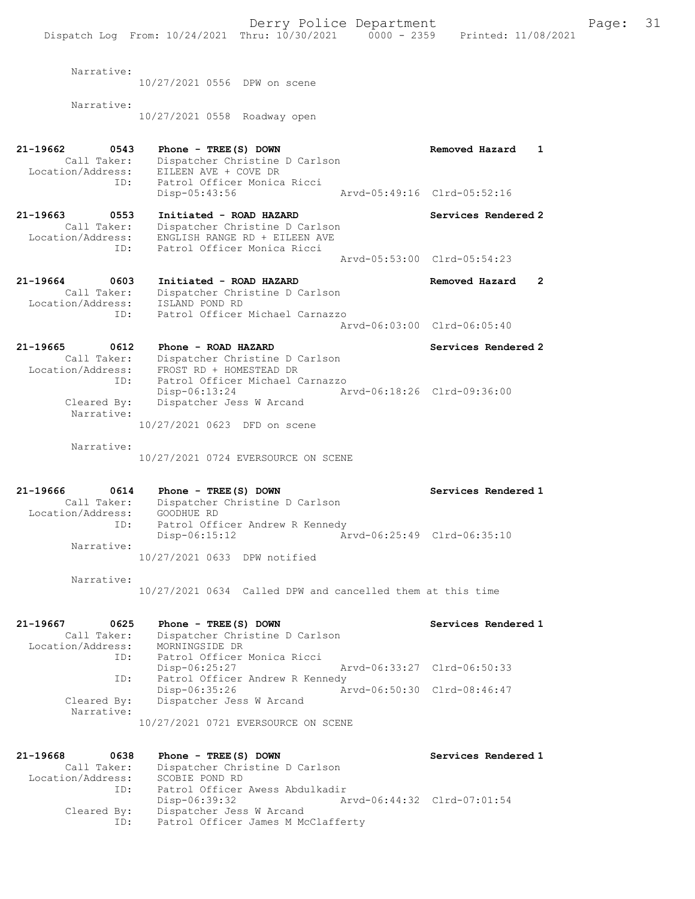Derry Police Department Fage: 31 Dispatch Log From: 10/24/2021 Thru: 10/30/2021 0000 - 2359 Printed: 11/08/2021 Narrative: 10/27/2021 0556 DPW on scene Narrative: 10/27/2021 0558 Roadway open 21-19662 0543 Phone - TREE(S) DOWN Removed Hazard 1 Call Taker: Dispatcher Christine D Carlson Location/Address: EILEEN AVE + COVE DR ID: Patrol Officer Monica Ricci Disp-05:43:56 Arvd-05:49:16 Clrd-05:52:16 21-19663 0553 Initiated - ROAD HAZARD Services Rendered 2 Call Taker: Dispatcher Christine D Carlson Location/Address: ENGLISH RANGE RD + EILEEN AVE ID: Patrol Officer Monica Ricci Arvd-05:53:00 Clrd-05:54:23 21-19664 0603 Initiated - ROAD HAZARD Removed Hazard 2 Call Taker: Dispatcher Christine D Carlson Location/Address: ISLAND POND RD ID: Patrol Officer Michael Carnazzo Arvd-06:03:00 Clrd-06:05:40 21-19665 0612 Phone - ROAD HAZARD Services Rendered 2 Call Taker: Dispatcher Christine D Carlson Location/Address: FROST RD + HOMESTEAD DR ID: Patrol Officer Michael Carnazzo Disp-06:13:24 Arvd-06:18:26 Clrd-09:36:00 Cleared By: Dispatcher Jess W Arcand Narrative: 10/27/2021 0623 DFD on scene Narrative: 10/27/2021 0724 EVERSOURCE ON SCENE 21-19666 0614 Phone - TREE(S) DOWN Services Rendered 1 Call Taker: Dispatcher Christine D Carlson Location/Address: GOODHUE RD ID: Patrol Officer Andrew R Kennedy Disp-06:15:12 Arvd-06:25:49 Clrd-06:35:10 Narrative: 10/27/2021 0633 DPW notified Narrative: 10/27/2021 0634 Called DPW and cancelled them at this time 21-19667 0625 Phone - TREE(S) DOWN Services Rendered 1 Call Taker: Dispatcher Christine D Carlson Location/Address: MORNINGSIDE DR ID: Patrol Officer Monica Ricci Disp-06:25:27 Arvd-06:33:27 Clrd-06:50:33 ID: Patrol Officer Andrew R Kennedy<br>Disp-06:35:26 Arvd-06:50:30 Clrd-08:46:47 Disp-06:35:26 Arvd-06:50:30 Clrd-08:46:47 Cleared By: Dispatcher Jess W Arcand Narrative: 10/27/2021 0721 EVERSOURCE ON SCENE 21-19668 0638 Phone - TREE(S) DOWN Services Rendered 1 Call Taker: Dispatcher Christine D Carlson Location/Address: SCOBIE POND RD ID: Patrol Officer Awess Abdulkadir Disp-06:39:32 Arvd-06:44:32 Clrd-07:01:54 Cleared By: Dispatcher Jess W Arcand ID: Patrol Officer James M McClafferty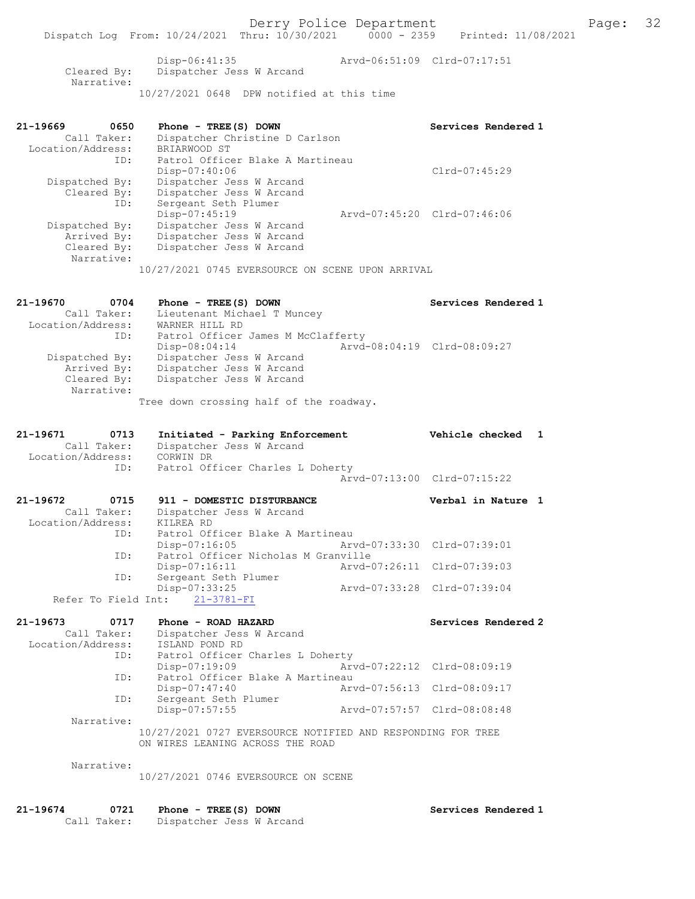Dispatch Log From: 10/24/2021 Thru: 10/30/2021 0000 - 2359 Printed: 11/08/2021 Disp-06:41:35 Arvd-06:51:09 Clrd-07:17:51 Cleared By: Dispatcher Jess W Arcand Narrative: 10/27/2021 0648 DPW notified at this time 21-19669 0650 Phone - TREE(S) DOWN Services Rendered 1 Call Taker: Dispatcher Christine D Carlson Location/Address: BRIARWOOD ST ID: Patrol Officer Blake A Martineau Disp-07:40:06 Clrd-07:45:29 Dispatched By: Dispatcher Jess W Arcand Cleared By: Dispatcher Jess W Arcand ID: Sergeant Seth Plumer Disp-07:45:19 Arvd-07:45:20 Clrd-07:46:06 Dispatched By: Dispatcher Jess W Arcand Arrived By: Dispatcher Jess W Arcand Cleared By: Dispatcher Jess W Arcand Narrative: 10/27/2021 0745 EVERSOURCE ON SCENE UPON ARRIVAL 21-19670 0704 Phone - TREE(S) DOWN Services Rendered 1 Call Taker: Lieutenant Michael T Muncey Location/Address: WARNER HILL RD ID: Patrol Officer James M McClafferty Disp-08:04:14 Arvd-08:04:19 Clrd-08:09:27 Dispatched By: Dispatcher Jess W Arcand Arrived By: Dispatcher Jess W Arcand Cleared By: Dispatcher Jess W Arcand Narrative: Tree down crossing half of the roadway. 21-19671 0713 Initiated - Parking Enforcement Vehicle checked 1 Call Taker: Dispatcher Jess W Arcand Location/Address: CORWIN DR ID: Patrol Officer Charles L Doherty Arvd-07:13:00 Clrd-07:15:22 21-19672 0715 911 - DOMESTIC DISTURBANCE Verbal in Nature 1 Call Taker: Dispatcher Jess W Arcand Location/Address: KILREA RD ID: Patrol Officer Blake A Martineau Disp-07:16:05 Arvd-07:33:30 Clrd-07:39:01 ID: Patrol Officer Nicholas M Granville Disp-07:16:11 Arvd-07:26:11 Clrd-07:39:03 ID: Sergeant Seth Plumer<br>Disp-07:33:25 Disp-07:33:25 Arvd-07:33:28 Clrd-07:39:04 Refer To Field Int: 21-3781-FI 21-19673 0717 Phone - ROAD HAZARD Services Rendered 2 Call Taker: Dispatcher Jess W Arcand Location/Address: ISLAND POND RD ID: Patrol Officer Charles L Doherty Disp-07:19:09 Arvd-07:22:12 Clrd-08:09:19 ID: Patrol Officer Blake A Martineau Disp-07:47:40 Arvd-07:56:13 Clrd-08:09:17 ID: Sergeant Seth Plumer Disp-07:57:55 Arvd-07:57:57 Clrd-08:08:48 Narrative: 10/27/2021 0727 EVERSOURCE NOTIFIED AND RESPONDING FOR TREE ON WIRES LEANING ACROSS THE ROAD Narrative: 10/27/2021 0746 EVERSOURCE ON SCENE 21-19674 0721 Phone - TREE(S) DOWN Services Rendered 1 Call Taker: Dispatcher Jess W Arcand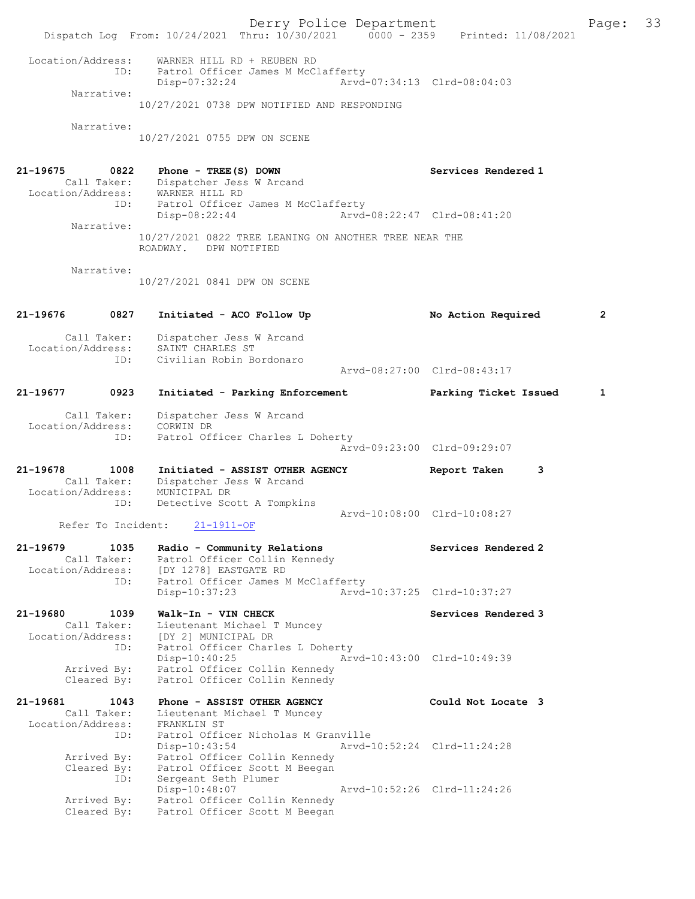Derry Police Department Fage: 33 Dispatch Log From: 10/24/2021 Thru: 10/30/2021 0000 - 2359 Printed: 11/08/2021 Location/Address: WARNER HILL RD + REUBEN RD ID: Patrol Officer James M McClafferty Disp-07:32:24 Arvd-07:34:13 Clrd-08:04:03 Narrative: 10/27/2021 0738 DPW NOTIFIED AND RESPONDING Narrative: 10/27/2021 0755 DPW ON SCENE 21-19675 0822 Phone - TREE(S) DOWN Services Rendered 1 Call Taker: Dispatcher Jess W Arcand Location/Address: WARNER HILL RD ID: Patrol Officer James M McClafferty Disp-08:22:44 Arvd-08:22:47 Clrd-08:41:20 Narrative: 10/27/2021 0822 TREE LEANING ON ANOTHER TREE NEAR THE ROADWAY. DPW NOTIFIED Narrative: 10/27/2021 0841 DPW ON SCENE 21-19676 0827 Initiated - ACO Follow Up No Action Required 2 Call Taker: Dispatcher Jess W Arcand Location/Address: SAINT CHARLES ST ID: Civilian Robin Bordonaro Arvd-08:27:00 Clrd-08:43:17 21-19677 0923 Initiated - Parking Enforcement Parking Ticket Issued 1 Call Taker: Dispatcher Jess W Arcand Location/Address: CORWIN DR ID: Patrol Officer Charles L Doherty Arvd-09:23:00 Clrd-09:29:07 21-19678 1008 Initiated - ASSIST OTHER AGENCY Report Taken 3 Call Taker: Dispatcher Jess W Arcand Location/Address: MUNICIPAL DR ID: Detective Scott A Tompkins Arvd-10:08:00 Clrd-10:08:27<br>21-1911-OF Refer To Incident: 21-19679 1035 Radio - Community Relations Services Rendered 2 Call Taker: Patrol Officer Collin Kennedy Location/Address: [DY 1278] EASTGATE RD ID: Patrol Officer James M McClafferty Disp-10:37:23 Arvd-10:37:25 Clrd-10:37:27 21-19680 1039 Walk-In - VIN CHECK Services Rendered 3 Call Taker: Lieutenant Michael T Muncey Location/Address: [DY 2] MUNICIPAL DR ID: Patrol Officer Charles L Doherty Disp-10:40:25 Arvd-10:43:00 Clrd-10:49:39 Arrived By: Patrol Officer Collin Kennedy Cleared By: Patrol Officer Collin Kennedy 21-19681 1043 Phone - ASSIST OTHER AGENCY Could Not Locate 3 Call Taker: Lieutenant Michael T Muncey Location/Address: FRANKLIN ST ID: Patrol Officer Nicholas M Granville Disp-10:43:54 Arvd-10:52:24 Clrd-11:24:28 Arrived By: Patrol Officer Collin Kennedy Cleared By: Patrol Officer Scott M Beegan ID: Sergeant Seth Plumer Disp-10:48:07 Arvd-10:52:26 Clrd-11:24:26 Arrived By: Patrol Officer Collin Kennedy Cleared By: Patrol Officer Scott M Beegan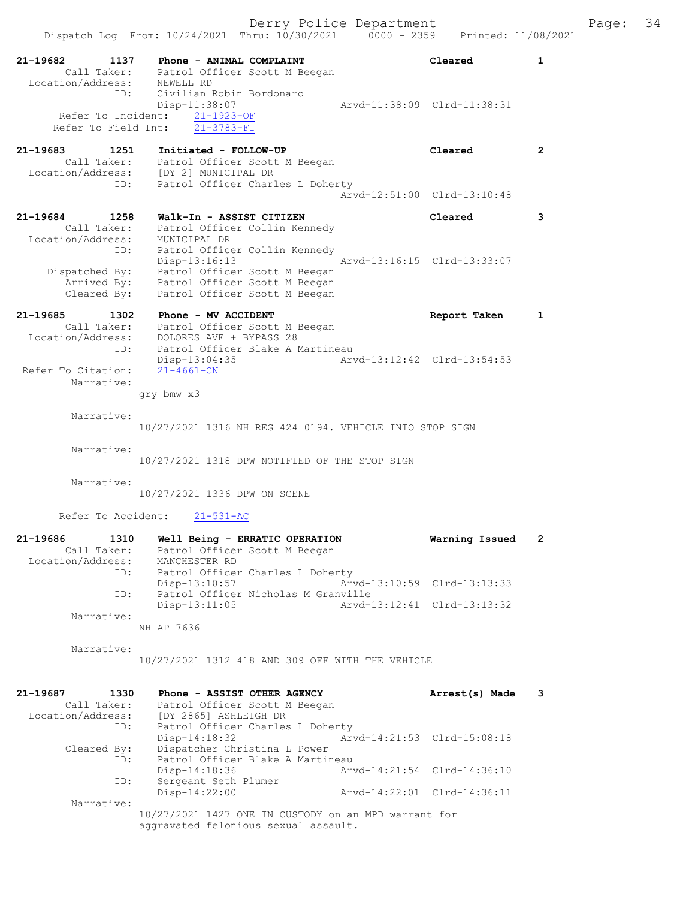|                                                             | Dispatch Log From: 10/24/2021 Thru: 10/30/2021                                                                                         | $0000 - 2359$<br>Printed: 11/08/2021 |                |
|-------------------------------------------------------------|----------------------------------------------------------------------------------------------------------------------------------------|--------------------------------------|----------------|
| 21-19682<br>1137<br>Location/Address: NEWELL RD<br>ID:      | Phone - ANIMAL COMPLAINT<br>Call Taker: Patrol Officer Scott M Beegan<br>Civilian Robin Bordonaro                                      | Cleared                              | 1              |
| Refer To Incident:<br>Refer To Field Int:                   | Disp-11:38:07<br>$21 - 1923 - OF$<br>$21 - 3783 - FI$                                                                                  | Aryd-11:38:09 Clrd-11:38:31          |                |
| 21-19683<br>1251                                            | Initiated - FOLLOW-UP<br>Call Taker: Patrol Officer Scott M Beegan<br>Location/Address: [DY 2] MUNICIPAL DR                            | Cleared                              | $\overline{2}$ |
|                                                             | Patrol Officer Charles L Doherty<br>ID:                                                                                                | Arvd-12:51:00 Clrd-13:10:48          |                |
| 21-19684<br>1258<br>Call Taker:                             | Walk-In - ASSIST CITIZEN<br>Patrol Officer Collin Kennedy                                                                              | Cleared                              | 3              |
| Location/Address:<br>ID:                                    | MUNICIPAL DR<br>Patrol Officer Collin Kennedy<br>Disp-13:16:13                                                                         | Arvd-13:16:15 Clrd-13:33:07          |                |
|                                                             | Dispatched By: Patrol Officer Scott M Beegan<br>Arrived By: Patrol Officer Scott M Beegan<br>Cleared By: Patrol Officer Scott M Beegan |                                      |                |
| $21 - 19685$<br>Location/Address:                           | 1302 Phone - MV ACCIDENT<br>Call Taker: Patrol Officer Scott M Beegan<br>DOLORES AVE + BYPASS 28                                       | Report Taken                         | $\mathbf{1}$   |
| ID:<br>Refer To Citation:<br>Narrative:                     | Patrol Officer Blake A Martineau<br>Disp-13:04:35<br>$21 - 4661 - CN$                                                                  | Arvd-13:12:42 Clrd-13:54:53          |                |
|                                                             | qry bmw x3                                                                                                                             |                                      |                |
| Narrative:                                                  | 10/27/2021 1316 NH REG 424 0194. VEHICLE INTO STOP SIGN                                                                                |                                      |                |
| Narrative:                                                  | 10/27/2021 1318 DPW NOTIFIED OF THE STOP SIGN                                                                                          |                                      |                |
| Narrative:                                                  | 10/27/2021 1336 DPW ON SCENE                                                                                                           |                                      |                |
| Refer To Accident:                                          | $21 - 531 - AC$                                                                                                                        |                                      |                |
| 21-19686<br>1310<br>Call Taker:<br>Location/Address:<br>ID: | Well Being - ERRATIC OPERATION<br>Patrol Officer Scott M Beegan<br>MANCHESTER RD<br>Patrol Officer Charles L Doherty                   | Warning Issued                       | 2              |
| ID:                                                         | $Disp-13:10:57$<br>Patrol Officer Nicholas M Granville                                                                                 | Arvd-13:10:59 Clrd-13:13:33          |                |
| Narrative:                                                  | $Disp-13:11:05$                                                                                                                        | Arvd-13:12:41 Clrd-13:13:32          |                |
|                                                             | NH AP 7636                                                                                                                             |                                      |                |
| Narrative:                                                  | 10/27/2021 1312 418 AND 309 OFF WITH THE VEHICLE                                                                                       |                                      |                |
| 21-19687<br>1330<br>Call Taker:<br>Location/Address:<br>ID: | Phone - ASSIST OTHER AGENCY<br>Patrol Officer Scott M Beegan<br>[DY 2865] ASHLEIGH DR<br>Patrol Officer Charles L Doherty              | Arrest(s) Made                       | 3              |
| Cleared By:                                                 | $Disp-14:18:32$<br>Dispatcher Christina L Power                                                                                        | Arvd-14:21:53 Clrd-15:08:18          |                |
| ID:<br>ID:                                                  | Patrol Officer Blake A Martineau<br>$Disp-14:18:36$<br>Sergeant Seth Plumer                                                            | Arvd-14:21:54 Clrd-14:36:10          |                |
| Narrative:                                                  | Disp-14:22:00                                                                                                                          | Arvd-14:22:01 Clrd-14:36:11          |                |
|                                                             | $10/27/2021$ $1427$ ONE IN CHEEODY on an MPD transport form                                                                            |                                      |                |

10/27/2021 1427 ONE IN CUSTODY on an MPD warrant for aggravated felonious sexual assault.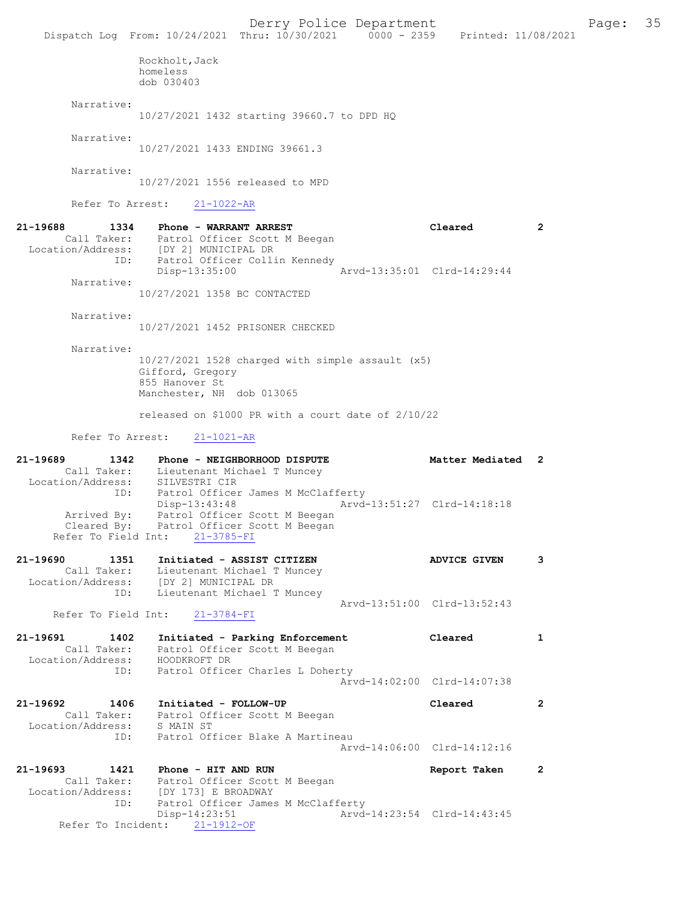Derry Police Department Fage: 35 Dispatch Log From: 10/24/2021 Thru: 10/30/2021 0000 - 2359 Printed: 11/08/2021 Rockholt,Jack homeless dob 030403 Narrative: 10/27/2021 1432 starting 39660.7 to DPD HQ Narrative: 10/27/2021 1433 ENDING 39661.3 Narrative: 10/27/2021 1556 released to MPD Refer To Arrest: 21-1022-AR 21-19688 1334 Phone - WARRANT ARREST Cleared 2 Call Taker: Patrol Officer Scott M Beegan Location/Address: [DY 2] MUNICIPAL DR ID: Patrol Officer Collin Kennedy Disp-13:35:00 Arvd-13:35:01 Clrd-14:29:44 Narrative: 10/27/2021 1358 BC CONTACTED Narrative: 10/27/2021 1452 PRISONER CHECKED Narrative: 10/27/2021 1528 charged with simple assault (x5) Gifford, Gregory 855 Hanover St Manchester, NH dob 013065 released on \$1000 PR with a court date of 2/10/22 Refer To Arrest: 21-1021-AR 21-19689 1342 Phone - NEIGHBORHOOD DISPUTE 12 Matter Mediated 2 Call Taker: Lieutenant Michael T Muncey Location/Address: SILVESTRI CIR ID: Patrol Officer James M McClafferty Disp-13:43:48 Arvd-13:51:27 Clrd-14:18:18 Arrived By: Patrol Officer Scott M Beegan Cleared By: Patrol Officer Scott M Beegan Refer To Field Int: 21-3785-FI 21-19690 1351 Initiated - ASSIST CITIZEN ADVICE GIVEN 3 Call Taker: Lieutenant Michael T Muncey Location/Address: [DY 2] MUNICIPAL DR ID: Lieutenant Michael T Muncey Arvd-13:51:00 Clrd-13:52:43 Refer To Field Int: 21-3784-FI 21-19691 1402 Initiated - Parking Enforcement Cleared 1 Call Taker: Patrol Officer Scott M Beegan Location/Address: HOODKROFT DR ID: Patrol Officer Charles L Doherty Arvd-14:02:00 Clrd-14:07:38 21-19692 1406 Initiated - FOLLOW-UP Cleared 2 Call Taker: Patrol Officer Scott M Beegan Location/Address: S MAIN ST ID: Patrol Officer Blake A Martineau Arvd-14:06:00 Clrd-14:12:16 21-19693 1421 Phone - HIT AND RUN Report Taken 2 Call Taker: Patrol Officer Scott M Beegan Location/Address: [DY 173] E BROADWAY ID: Patrol Officer James M McClafferty Disp-14:23:51 Arvd-14:23:54 Clrd-14:43:45 Refer To Incident: 21-1912-OF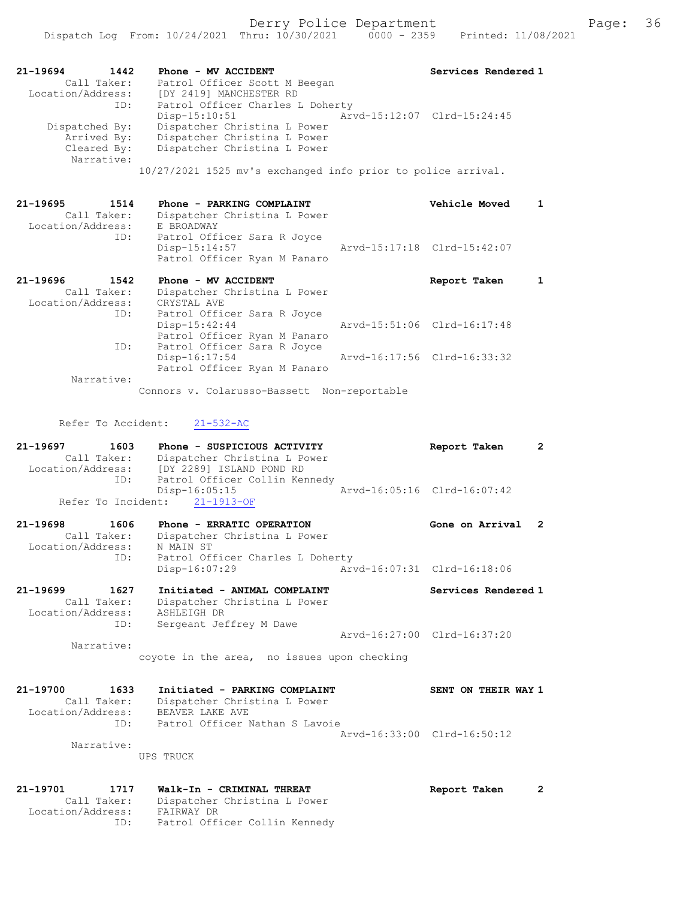| 21-19694          | 1442        | Phone - MV ACCIDENT                                          | Services Rendered 1         |
|-------------------|-------------|--------------------------------------------------------------|-----------------------------|
|                   | Call Taker: | Patrol Officer Scott M Beegan                                |                             |
| Location/Address: |             | [DY 2419] MANCHESTER RD                                      |                             |
|                   | ID:         | Patrol Officer Charles L Doherty                             |                             |
|                   |             | $Disp-15:10:51$                                              | Arvd-15:12:07 Clrd-15:24:45 |
| Dispatched By:    |             | Dispatcher Christina L Power                                 |                             |
|                   | Arrived By: | Dispatcher Christina L Power                                 |                             |
|                   | Cleared By: | Dispatcher Christina L Power                                 |                             |
|                   | Narrative:  |                                                              |                             |
|                   |             | 10/27/2021 1525 mv's exchanged info prior to police arrival. |                             |

21-19695 1514 Phone - PARKING COMPLAINT Vehicle Moved 1 Call Taker: Dispatcher Christina L Power Location/Address: E BROADWAY ID: Patrol Officer Sara R Joyce Arvd-15:17:18 Clrd-15:42:07 Patrol Officer Ryan M Panaro 21-19696 1542 Phone - MV ACCIDENT Report Taken 1

| Call Taker:       | Dispatcher Christina L Power |                             |  |
|-------------------|------------------------------|-----------------------------|--|
| Location/Address: | CRYSTAL AVE                  |                             |  |
| ID:               | Patrol Officer Sara R Joyce  |                             |  |
|                   | $Disp-15:42:44$              | Arvd-15:51:06 Clrd-16:17:48 |  |
|                   | Patrol Officer Ryan M Panaro |                             |  |
| ID:               | Patrol Officer Sara R Joyce  |                             |  |
|                   | Disp-16:17:54                | Arvd-16:17:56 Clrd-16:33:32 |  |
|                   | Patrol Officer Ryan M Panaro |                             |  |
| Narrative:        |                              |                             |  |
|                   |                              |                             |  |

Connors v. Colarusso-Bassett Non-reportable

## Refer To Accident: 21-532-AC

| $21 - 19697$<br>1603<br>Call Taker:               | Phone - SUSPICIOUS ACTIVITY<br>Dispatcher Christina L Power<br>Location/Address: [DY 2289] ISLAND POND RD<br>ID: Patrol Officer Collin Kennedy | Report Taken                | $\overline{2}$ |
|---------------------------------------------------|------------------------------------------------------------------------------------------------------------------------------------------------|-----------------------------|----------------|
|                                                   | $Disp-16:05:15$<br>Refer To Incident: 21-1913-OF                                                                                               | Arvd-16:05:16 Clrd-16:07:42 |                |
| Call Taker:                                       | 21-19698 1606 Phone - ERRATIC OPERATION<br>Dispatcher Christina L Power                                                                        | Gone on Arrival 2           |                |
| Location/Address: N MAIN ST                       | ID:<br>Patrol Officer Charles L Doherty<br>$Disp-16:07:29$                                                                                     |                             |                |
| 21-19699 1627<br>Call Taker:<br>Location/Address: | Initiated - ANIMAL COMPLAINT<br>Dispatcher Christina L Power<br>ASHLEIGH DR                                                                    | Services Rendered 1         |                |
| ID:<br>Narrative:                                 | Sergeant Jeffrey M Dawe<br>coyote in the area, no issues upon checking                                                                         | Arvd-16:27:00 Clrd-16:37:20 |                |
| 21-19700 1633<br>Call Taker:                      | Initiated - PARKING COMPLAINT<br>Dispatcher Christina L Power                                                                                  | SENT ON THEIR WAY 1         |                |

 Location/Address: BEAVER LAKE AVE ID: Patrol Officer Nathan S Lavoie Arvd-16:33:00 Clrd-16:50:12 Narrative:

UPS TRUCK

### 21-19701 1717 Walk-In - CRIMINAL THREAT 19701 Report Taken 2 Call Taker: Dispatcher Christina L Power Location/Address: FAIRWAY DR ID: Patrol Officer Collin Kennedy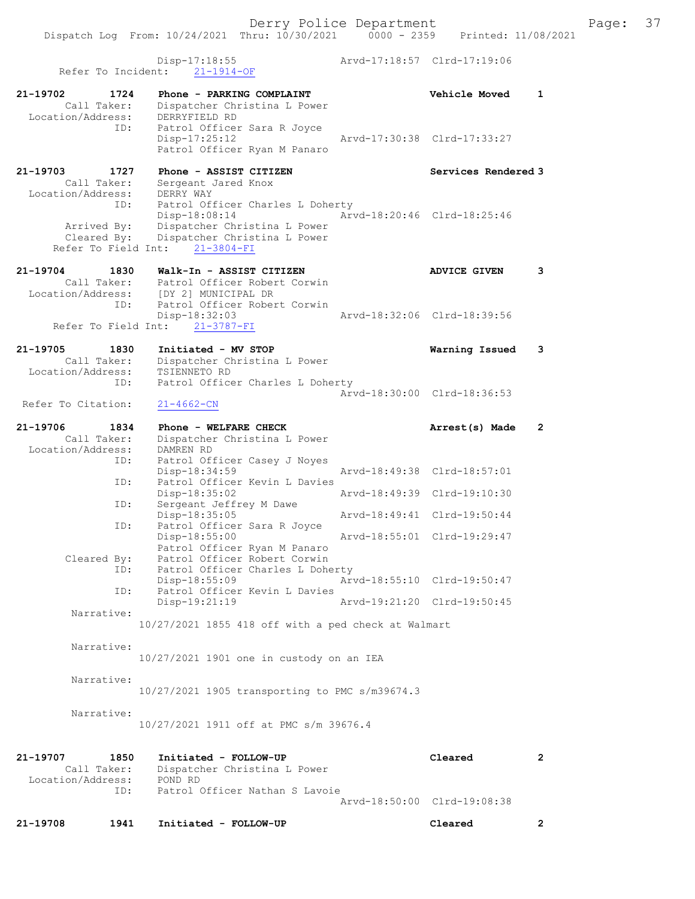Disp-17:18:55 Arvd-17:18:57 Clrd-17:19:06 Refer To Incident: 21-1914-OF 21-19702 1724 Phone - PARKING COMPLAINT Vehicle Moved 1 Call Taker: Dispatcher Christina L Power Location/Address: DERRYFIELD RD ID: Patrol Officer Sara R Joyce<br>Disp-17:25:12 Disp-17:25:12 Arvd-17:30:38 Clrd-17:33:27 Patrol Officer Ryan M Panaro 21-19703 1727 Phone - ASSIST CITIZEN Services Rendered 3 Call Taker: Sergeant Jared Knox Location/Address: DERRY WAY ID: Patrol Officer Charles L Doherty Disp-18:08:14 Arvd-18:20:46 Clrd-18:25:46 Arrived By: Dispatcher Christina L Power Cleared By: Dispatcher Christina L Power Refer To Field Int: 21-3804-FI 21-19704 1830 Walk-In - ASSIST CITIZEN ADVICE GIVEN 3 Call Taker: Patrol Officer Robert Corwin Location/Address: [DY 2] MUNICIPAL DR ID: Patrol Officer Robert Corwin Disp-18:32:03 Arvd-18:32:06 Clrd-18:39:56 Refer To Field Int: 21-3787-FI 21-19705 1830 Initiated - MV STOP Warning Issued 3 Call Taker: Dispatcher Christina L Power Location/Address: TSIENNETO RD ID: Patrol Officer Charles L Doherty Arvd-18:30:00 Clrd-18:36:53 Refer To Citation: 21-4662-CN 21-19706 1834 Phone - WELFARE CHECK 2 (Arrest(s) Made 2 Call Taker: Dispatcher Christina L Power Location/Address: DAMREN RD ID: Patrol Officer Casey J Noyes Disp-18:34:59 Arvd-18:49:38 Clrd-18:57:01 ID: Patrol Officer Kevin L Davies Disp-18:35:02 Arvd-18:49:39 Clrd-19:10:30 ID: Sergeant Jeffrey M Dawe Disp-18:35:05 Arvd-18:49:41 Clrd-19:50:44 ID: Patrol Officer Sara R Joyce Disp-18:55:00 Arvd-18:55:01 Clrd-19:29:47 Patrol Officer Ryan M Panaro Cleared By: Patrol Officer Robert Corwin ID: Patrol Officer Charles L Doherty Disp-18:55:09 Arvd-18:55:10 Clrd-19:50:47 ID: Patrol Officer Kevin L Davies<br>Disp-19:21:19 Arvd-19:21:20 Clrd-19:50:45 Narrative: 10/27/2021 1855 418 off with a ped check at Walmart Narrative: 10/27/2021 1901 one in custody on an IEA Narrative: 10/27/2021 1905 transporting to PMC s/m39674.3 Narrative: 10/27/2021 1911 off at PMC s/m 39676.4 21-19707 1850 Initiated - FOLLOW-UP Cleared 2 Call Taker: Dispatcher Christina L Power Location/Address: POND RD ID: Patrol Officer Nathan S Lavoie Arvd-18:50:00 Clrd-19:08:38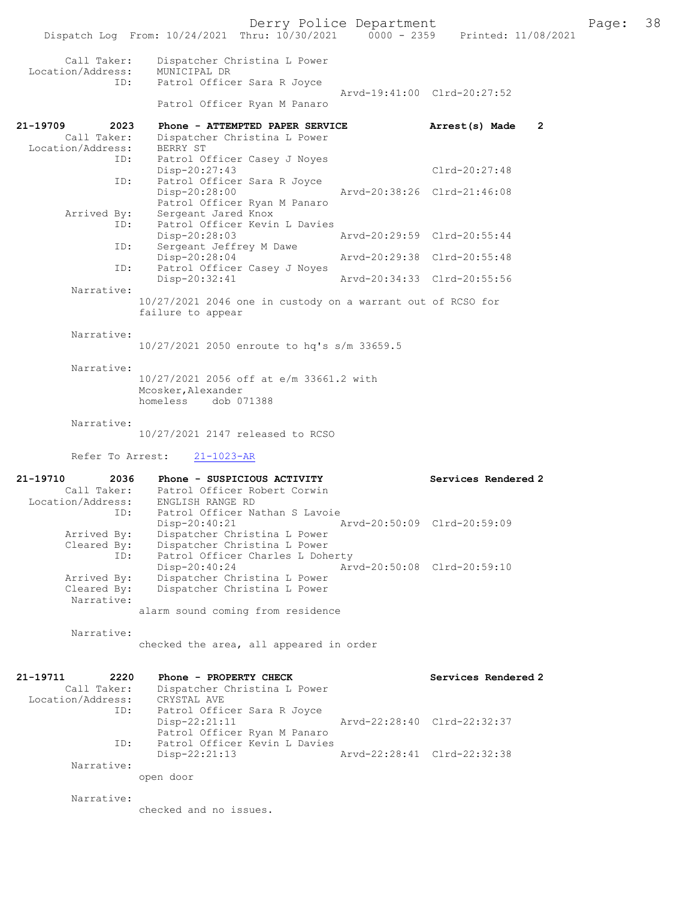Derry Police Department Page: 38

|                                                      | Dispatch Log From: 10/24/2021 Thru: 10/30/2021 0000 - 2359 Printed: 11/08/2021                                   | $20 = 000$ $100 = 000$      |                                  |
|------------------------------------------------------|------------------------------------------------------------------------------------------------------------------|-----------------------------|----------------------------------|
| Call Taker:<br>Location/Address: MUNICIPAL DR<br>ID: | Dispatcher Christina L Power<br>Patrol Officer Sara R Joyce                                                      |                             |                                  |
|                                                      | Patrol Officer Ryan M Panaro                                                                                     | Arvd-19:41:00 Clrd-20:27:52 |                                  |
| 21-19709<br>2023                                     | Phone - ATTEMPTED PAPER SERVICE                                                                                  |                             | Arrest(s) Made<br>$\overline{2}$ |
| Call Taker:<br>Location/Address:                     | Dispatcher Christina L Power<br>BERRY ST                                                                         |                             |                                  |
| ID:<br>ID:                                           | Patrol Officer Casey J Noyes<br>Disp-20:27:43<br>Patrol Officer Sara R Joyce                                     |                             | Clrd-20:27:48                    |
|                                                      | Disp-20:28:00<br>Patrol Officer Ryan M Panaro                                                                    | Arvd-20:38:26 Clrd-21:46:08 |                                  |
| Arrived By:<br>ID:                                   | Sergeant Jared Knox<br>Patrol Officer Kevin L Davies<br>Disp-20:28:03                                            | Arvd-20:29:59 Clrd-20:55:44 |                                  |
|                                                      | Sergeant Jeffrey M Dawe<br>ID:                                                                                   |                             |                                  |
| ID:                                                  | Disp-20:28:04<br>Patrol Officer Casey J Noyes                                                                    | Arvd-20:29:38 Clrd-20:55:48 |                                  |
| Narrative:                                           | Disp-20:32:41                                                                                                    | Arvd-20:34:33 Clrd-20:55:56 |                                  |
|                                                      | 10/27/2021 2046 one in custody on a warrant out of RCSO for<br>failure to appear                                 |                             |                                  |
| Narrative:                                           | 10/27/2021 2050 enroute to hq's s/m 33659.5                                                                      |                             |                                  |
| Narrative:                                           | 10/27/2021 2056 off at e/m 33661.2 with<br>Mcosker, Alexander<br>homeless dob 071388                             |                             |                                  |
| Narrative:                                           | 10/27/2021 2147 released to RCSO                                                                                 |                             |                                  |
| Refer To Arrest:                                     | $21 - 1023 - AR$                                                                                                 |                             |                                  |
| 21-19710                                             | 2036<br>Phone - SUSPICIOUS ACTIVITY                                                                              |                             | Services Rendered 2              |
| ID:                                                  | Call Taker: Patrol Officer Robert Corwin<br>Location/Address: ENGLISH RANGE RD<br>Patrol Officer Nathan S Lavoie |                             |                                  |
| Arrived By:<br>Cleared By:                           | $Disp-20:40:21$<br>Dispatcher Christina L Power<br>Dispatcher Christina L Power                                  | Arvd-20:50:09 Clrd-20:59:09 |                                  |
| ID:<br>Arrived By:                                   | Patrol Officer Charles L Doherty<br>$Disp-20:40:24$<br>Dispatcher Christina L Power                              | Arvd-20:50:08 Clrd-20:59:10 |                                  |
| Cleared By:<br>Narrative:                            | Dispatcher Christina L Power                                                                                     |                             |                                  |
|                                                      | alarm sound coming from residence                                                                                |                             |                                  |
| Narrative:                                           | checked the area, all appeared in order                                                                          |                             |                                  |
| 21-19711<br>2220                                     | Phone - PROPERTY CHECK                                                                                           |                             | Services Rendered 2              |
| Call Taker:<br>Location/Address:<br>ID:              | Dispatcher Christina L Power<br>CRYSTAL AVE<br>Patrol Officer Sara R Joyce                                       |                             |                                  |
|                                                      | $Disp-22:21:11$<br>Patrol Officer Ryan M Panaro                                                                  | Arvd-22:28:40 Clrd-22:32:37 |                                  |
| ID:                                                  | Patrol Officer Kevin L Davies<br>$Disp-22:21:13$                                                                 | Arvd-22:28:41 Clrd-22:32:38 |                                  |
| Narrative:                                           | open door                                                                                                        |                             |                                  |

Narrative:

checked and no issues.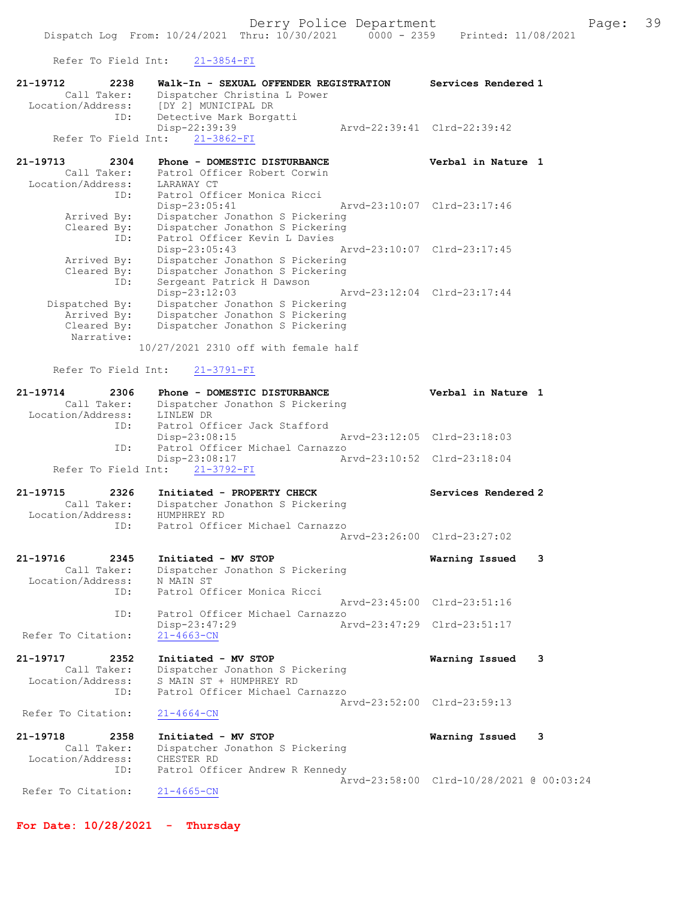Refer To Field Int: 21-3854-FI

| KETEL TO FTETA TUL:              | 71-2024-RT                                                             |                                          |
|----------------------------------|------------------------------------------------------------------------|------------------------------------------|
| 21-19712<br>2238<br>Call Taker:  | Walk-In - SEXUAL OFFENDER REGISTRATION<br>Dispatcher Christina L Power | Services Rendered 1                      |
| Location/Address:<br>ID:         | [DY 2] MUNICIPAL DR<br>Detective Mark Borgatti                         |                                          |
|                                  | Disp-22:39:39                                                          | Arvd-22:39:41 Clrd-22:39:42              |
|                                  | Refer To Field Int: 21-3862-FI                                         |                                          |
| 21-19713<br>2304                 | Phone - DOMESTIC DISTURBANCE                                           | Verbal in Nature 1                       |
| Call Taker:                      | Patrol Officer Robert Corwin                                           |                                          |
| Location/Address:                | LARAWAY CT                                                             |                                          |
| ID:                              | Patrol Officer Monica Ricci                                            |                                          |
| Arrived By:                      | Disp-23:05:41<br>Dispatcher Jonathon S Pickering                       | Arvd-23:10:07 Clrd-23:17:46              |
| Cleared By:                      | Dispatcher Jonathon S Pickering                                        |                                          |
| ID:                              | Patrol Officer Kevin L Davies                                          |                                          |
|                                  | Disp-23:05:43                                                          | Arvd-23:10:07 Clrd-23:17:45              |
| Arrived By:<br>Cleared By:       | Dispatcher Jonathon S Pickering<br>Dispatcher Jonathon S Pickering     |                                          |
| ID:                              | Sergeant Patrick H Dawson                                              |                                          |
|                                  | Disp-23:12:03                                                          | Arvd-23:12:04 Clrd-23:17:44              |
| Dispatched By:                   | Dispatcher Jonathon S Pickering                                        |                                          |
| Arrived By:                      | Dispatcher Jonathon S Pickering                                        |                                          |
| Cleared By:<br>Narrative:        | Dispatcher Jonathon S Pickering                                        |                                          |
|                                  | 10/27/2021 2310 off with female half                                   |                                          |
| Refer To Field Int:              | $21 - 3791 - FI$                                                       |                                          |
| 21-19714<br>2306                 | Phone - DOMESTIC DISTURBANCE                                           | Verbal in Nature 1                       |
| Call Taker:                      | Dispatcher Jonathon S Pickering                                        |                                          |
| Location/Address:                | LINLEW DR                                                              |                                          |
| ID:                              | Patrol Officer Jack Stafford<br>Disp-23:08:15                          | Arvd-23:12:05 Clrd-23:18:03              |
| ID:                              | Patrol Officer Michael Carnazzo                                        |                                          |
| Refer To Field Int:              | Disp-23:08:17<br>$21 - 3792 - FI$                                      | Arvd-23:10:52 Clrd-23:18:04              |
| 21-19715<br>2326                 | Initiated - PROPERTY CHECK                                             | Services Rendered 2                      |
| Call Taker:                      | Dispatcher Jonathon S Pickering                                        |                                          |
| Location/Address:                | HUMPHREY RD                                                            |                                          |
| ID:                              | Patrol Officer Michael Carnazzo                                        | Arvd-23:26:00 Clrd-23:27:02              |
|                                  |                                                                        |                                          |
| 21-19716<br>2345                 | Initiated - MV STOP                                                    | Warning Issued<br>3                      |
| Call Taker:<br>Location/Address: | Dispatcher Jonathon S Pickering                                        |                                          |
| ID:                              | N MAIN ST<br>Patrol Officer Monica Ricci                               |                                          |
|                                  |                                                                        | Arvd-23:45:00 Clrd-23:51:16              |
| ID:                              | Patrol Officer Michael Carnazzo                                        |                                          |
| Refer To Citation:               | Disp-23:47:29<br>$21 - 4663 - CN$                                      | Arvd-23:47:29 Clrd-23:51:17              |
|                                  |                                                                        |                                          |
| 21-19717<br>2352                 | Initiated - MV STOP                                                    | Warning Issued<br>3                      |
| Call Taker:<br>Location/Address: | Dispatcher Jonathon S Pickering<br>S MAIN ST + HUMPHREY RD             |                                          |
| ID:                              | Patrol Officer Michael Carnazzo                                        |                                          |
|                                  |                                                                        | Arvd-23:52:00 Clrd-23:59:13              |
| Refer To Citation:               | $21 - 4664 - CN$                                                       |                                          |
| 21-19718<br>2358                 | Initiated - MV STOP                                                    | Warning Issued<br>3                      |
| Call Taker:                      | Dispatcher Jonathon S Pickering                                        |                                          |
| Location/Address:<br>ID:         | CHESTER RD<br>Patrol Officer Andrew R Kennedy                          |                                          |
|                                  |                                                                        | Arvd-23:58:00 Clrd-10/28/2021 @ 00:03:24 |
| Refer To Citation:               | $21 - 4665 - CN$                                                       |                                          |

For Date:  $10/28/2021$  - Thursday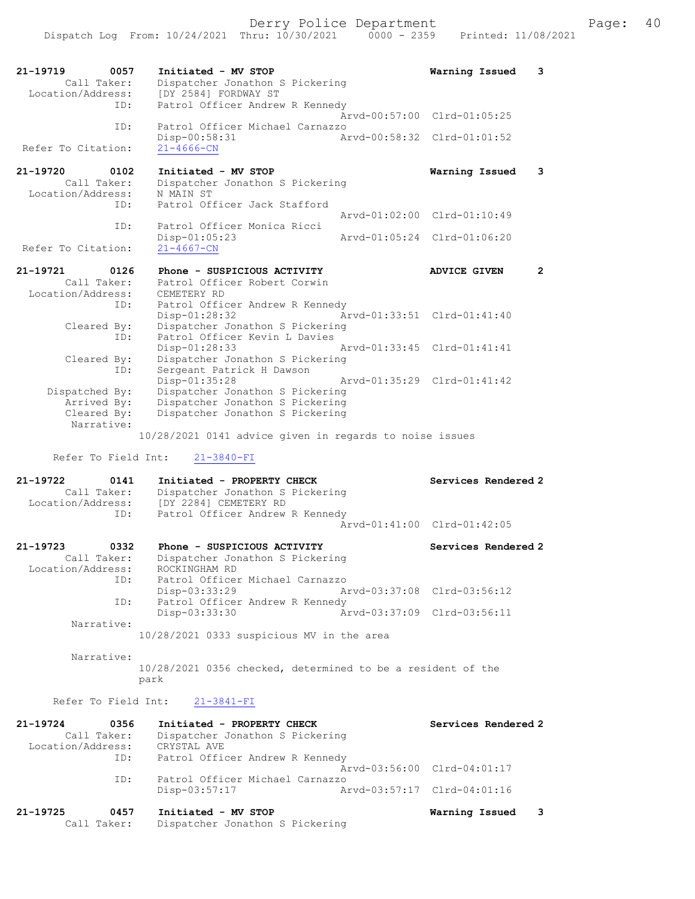| 21-19719                      | 0057<br>Call Taker:       | Initiated - MV STOP<br>Dispatcher Jonathon S Pickering                                     |               | Warning Issued                                             | 3              |
|-------------------------------|---------------------------|--------------------------------------------------------------------------------------------|---------------|------------------------------------------------------------|----------------|
| Location/Address:             | ID:                       | [DY 2584] FORDWAY ST<br>Patrol Officer Andrew R Kennedy                                    |               |                                                            |                |
|                               | ID:                       | Patrol Officer Michael Carnazzo                                                            | Arvd-00:57:00 | $Clrd-01:05:25$                                            |                |
| Refer To Citation:            |                           | Disp-00:58:31<br>$21 - 4666 - CN$                                                          |               | Arvd-00:58:32 Clrd-01:01:52                                |                |
| 21-19720<br>Location/Address: | 0102<br>Call Taker:       | Initiated - MV STOP<br>Dispatcher Jonathon S Pickering<br>N MAIN ST                        |               | Warning Issued                                             | 3              |
|                               | ID:                       | Patrol Officer Jack Stafford                                                               | Arvd-01:02:00 | $Clrd-01:10:49$                                            |                |
| Refer To Citation:            | ID:                       | Patrol Officer Monica Ricci<br>$Disp-01:05:23$<br>$21 - 4667 - CN$                         | Arvd-01:05:24 | Clrd-01:06:20                                              |                |
| 21-19721                      | 0126                      | Phone - SUSPICIOUS ACTIVITY                                                                |               | <b>ADVICE GIVEN</b>                                        | $\overline{2}$ |
| Location/Address:             | Call Taker:<br>ID:        | Patrol Officer Robert Corwin<br>CEMETERY RD<br>Patrol Officer Andrew R Kennedy             |               |                                                            |                |
|                               | Cleared By:<br>ID:        | Disp-01:28:32<br>Dispatcher Jonathon S Pickering<br>Patrol Officer Kevin L Davies          |               | Arvd-01:33:51 Clrd-01:41:40                                |                |
|                               | Cleared By:<br>ID:        | Disp-01:28:33<br>Dispatcher Jonathon S Pickering<br>Sergeant Patrick H Dawson              |               | Arvd-01:33:45 Clrd-01:41:41                                |                |
| Dispatched By:                | Arrived By:               | Disp-01:35:28<br>Dispatcher Jonathon S Pickering<br>Dispatcher Jonathon S Pickering        | Arvd-01:35:29 | $Clrd-01:41:42$                                            |                |
|                               | Cleared By:<br>Narrative: | Dispatcher Jonathon S Pickering<br>10/28/2021 0141 advice given in regards to noise issues |               |                                                            |                |
|                               | Refer To Field Int:       | $21 - 3840 - FI$                                                                           |               |                                                            |                |
| 21-19722<br>Location/Address: | 0141<br>Call Taker:       | Initiated - PROPERTY CHECK<br>Dispatcher Jonathon S Pickering<br>[DY 2284] CEMETERY RD     |               | Services Rendered 2                                        |                |
|                               | ID:                       | Patrol Officer Andrew R Kennedy                                                            |               | Arvd-01:41:00 Clrd-01:42:05                                |                |
| 21-19723<br>Location/Address: | 0332<br>Call Taker:       | Phone - SUSPICIOUS ACTIVITY<br>Dispatcher Jonathon S Pickering<br>ROCKINGHAM RD            |               | Services Rendered 2                                        |                |
|                               | ID:                       | Patrol Officer Michael Carnazzo<br>Disp-03:33:29                                           |               | Arvd-03:37:08 Clrd-03:56:12                                |                |
|                               | ID:                       | Patrol Officer Andrew R Kennedy<br>Disp-03:33:30                                           |               | Arvd-03:37:09 Clrd-03:56:11                                |                |
|                               | Narrative:                | 10/28/2021 0333 suspicious MV in the area                                                  |               |                                                            |                |
|                               | Narrative:                | 10/28/2021 0356 checked, determined to be a resident of the<br>park                        |               |                                                            |                |
|                               | Refer To Field Int:       | $21 - 3841 - FI$                                                                           |               |                                                            |                |
| 21-19724                      | 0356                      | Initiated - PROPERTY CHECK                                                                 |               | Services Rendered 2                                        |                |
| Location/Address:             | Call Taker:<br>ID:        | Dispatcher Jonathon S Pickering<br>CRYSTAL AVE<br>Patrol Officer Andrew R Kennedy          |               |                                                            |                |
|                               | ID:                       | Patrol Officer Michael Carnazzo<br>Disp-03:57:17                                           |               | Arvd-03:56:00 Clrd-04:01:17<br>Arvd-03:57:17 Clrd-04:01:16 |                |
| 21-19725                      | 0457<br>Call Taker:       | Initiated - MV STOP<br>Dispatcher Jonathon S Pickering                                     |               | Warning Issued                                             | 3              |
|                               |                           |                                                                                            |               |                                                            |                |

| Location/Address: | ID:         | Diopacchei vonachon o fichcitud<br>[DY 2284] CEMETERY RD<br>Patrol Officer Andrew R Kennedy |                             |
|-------------------|-------------|---------------------------------------------------------------------------------------------|-----------------------------|
|                   |             |                                                                                             | Arvd-01:41:00 Clrd-01:42:05 |
| 21-19723          | 0332        | Phone - SUSPICIOUS ACTIVITY                                                                 | Services Rendered 2         |
| Location/Address: | Call Taker: | Dispatcher Jonathon S Pickering<br>ROCKINGHAM RD                                            |                             |
|                   | ID:         | Patrol Officer Michael Carnazzo<br>Disp-03:33:29                                            | Arvd-03:37:08 Clrd-03:56:12 |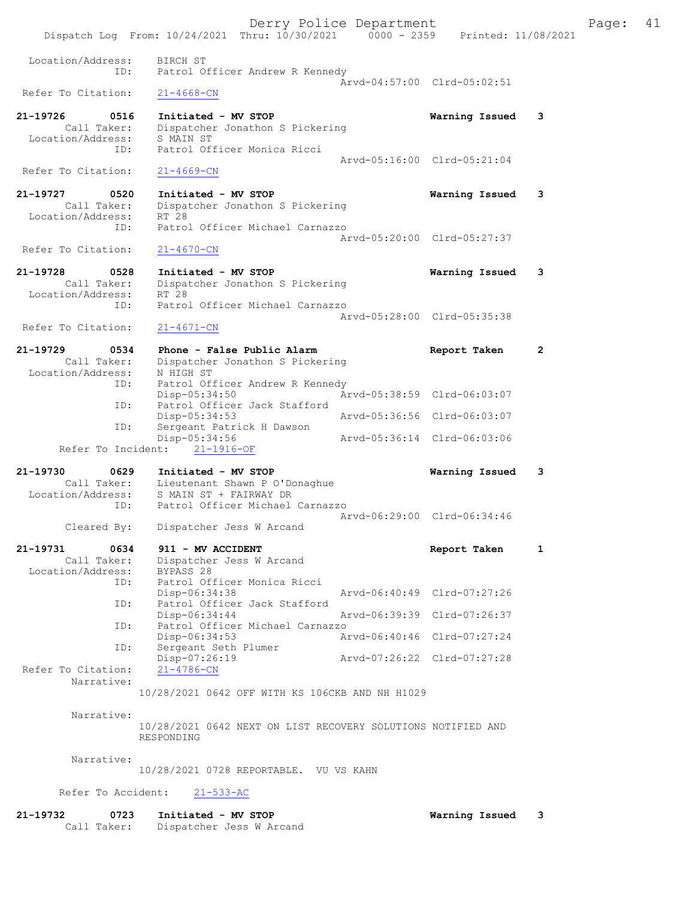|                                                             | Dispatch Log From: 10/24/2021 Thru: 10/30/2021 0000 - 2359 Printed: 11/08/2021                         | Derry Police Department     |                | 41<br>Page:  |
|-------------------------------------------------------------|--------------------------------------------------------------------------------------------------------|-----------------------------|----------------|--------------|
| Location/Address:<br>ID:                                    | BIRCH ST<br>Patrol Officer Andrew R Kennedy                                                            | Arvd-04:57:00 Clrd-05:02:51 |                |              |
| Refer To Citation:                                          | $21 - 4668 - CN$                                                                                       |                             |                |              |
| 21-19726<br>0516<br>Call Taker:<br>Location/Address:<br>ID: | Initiated - MV STOP<br>Dispatcher Jonathon S Pickering<br>S MAIN ST<br>Patrol Officer Monica Ricci     |                             | Warning Issued | 3            |
| Refer To Citation:                                          | $21 - 4669 - CN$                                                                                       | Arvd-05:16:00 Clrd-05:21:04 |                |              |
| 21-19727<br>0520<br>Call Taker:<br>Location/Address:<br>ID: | Initiated - MV STOP<br>Dispatcher Jonathon S Pickering<br>RT 28<br>Patrol Officer Michael Carnazzo     |                             | Warning Issued | 3            |
| Refer To Citation:                                          | $21 - 4670 - CN$                                                                                       | Arvd-05:20:00 Clrd-05:27:37 |                |              |
| 21-19728<br>0528<br>Call Taker:<br>Location/Address:        | Initiated - MV STOP<br>Dispatcher Jonathon S Pickering<br>RT 28                                        |                             | Warning Issued | 3            |
| ID:<br>Refer To Citation:                                   | Patrol Officer Michael Carnazzo<br>$21 - 4671 - CN$                                                    | Arvd-05:28:00 Clrd-05:35:38 |                |              |
| 21-19729<br>0534<br>Call Taker:                             | Phone - False Public Alarm<br>Dispatcher Jonathon S Pickering                                          |                             | Report Taken   | 2            |
| Location/Address:<br>ID:                                    | N HIGH ST<br>Patrol Officer Andrew R Kennedy<br>Disp-05:34:50                                          | Arvd-05:38:59 Clrd-06:03:07 |                |              |
| ID:                                                         | Patrol Officer Jack Stafford<br>$Disp-05:34:53$                                                        | Arvd-05:36:56 Clrd-06:03:07 |                |              |
| ID:<br>Refer To Incident:                                   | Sergeant Patrick H Dawson<br>Disp-05:34:56<br>$21 - 1916 - OF$                                         | Arvd-05:36:14 Clrd-06:03:06 |                |              |
| 21-19730<br>0629                                            | Initiated - MV STOP                                                                                    |                             | Warning Issued | 3            |
| Location/Address:<br>ID:                                    | Call Taker: Lieutenant Shawn P O'Donaghue<br>S MAIN ST + FAIRWAY DR<br>Patrol Officer Michael Carnazzo |                             |                |              |
| Cleared By:                                                 | Dispatcher Jess W Arcand                                                                               | Arvd-06:29:00 Clrd-06:34:46 |                |              |
| 21-19731<br>0634<br>Call Taker:<br>Location/Address:        | 911 - MV ACCIDENT<br>Dispatcher Jess W Arcand<br>BYPASS 28                                             |                             | Report Taken   | $\mathbf{1}$ |
| ID:                                                         | Patrol Officer Monica Ricci<br>Disp-06:34:38                                                           | Arvd-06:40:49 Clrd-07:27:26 |                |              |
| ID:                                                         | Patrol Officer Jack Stafford<br>Disp-06:34:44                                                          | Arvd-06:39:39 Clrd-07:26:37 |                |              |
| ID:                                                         | Patrol Officer Michael Carnazzo<br>Disp-06:34:53                                                       | Arvd-06:40:46 Clrd-07:27:24 |                |              |
| ID:<br>Refer To Citation:                                   | Sergeant Seth Plumer<br>Disp-07:26:19<br>$21 - 4786 - CN$                                              | Aryd-07:26:22 Clrd-07:27:28 |                |              |
| Narrative:                                                  | 10/28/2021 0642 OFF WITH KS 106CKB AND NH H1029                                                        |                             |                |              |
| Narrative:                                                  | 10/28/2021 0642 NEXT ON LIST RECOVERY SOLUTIONS NOTIFIED AND<br>RESPONDING                             |                             |                |              |
| Narrative:                                                  | 10/28/2021 0728 REPORTABLE. VU VS KAHN                                                                 |                             |                |              |
| Refer To Accident:                                          | $21 - 533 - AC$                                                                                        |                             |                |              |
| 21-19732<br>0723                                            | Initiated - MV STOP                                                                                    |                             | Warning Issued | 3            |

Call Taker: Dispatcher Jess W Arcand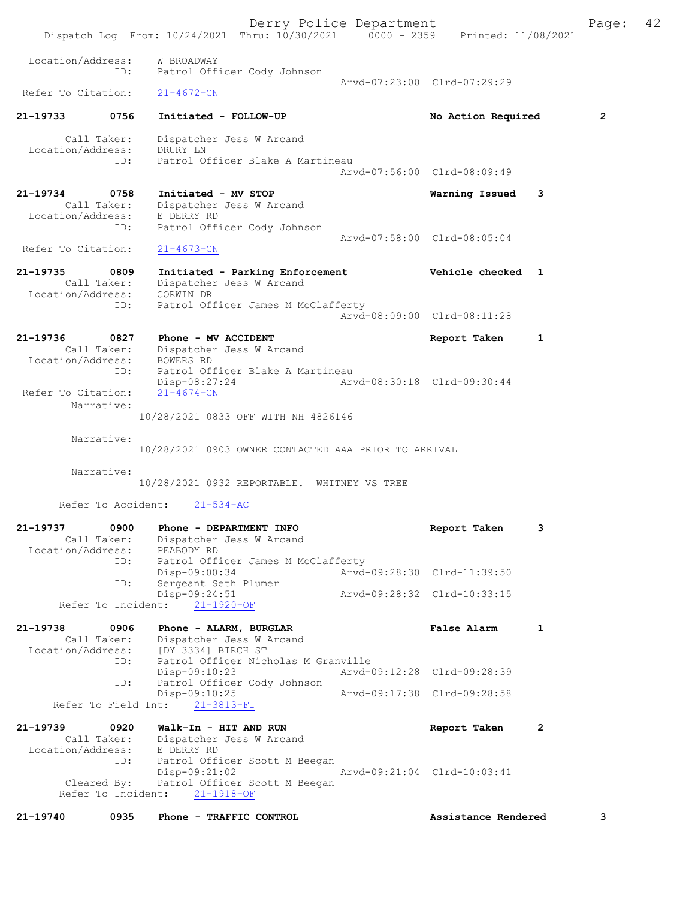Derry Police Department Fage: 42 Dispatch Log From: 10/24/2021 Thru: 10/30/2021 0000 - 2359 Printed: 11/08/2021 Location/Address: W BROADWAY ID: Patrol Officer Cody Johnson Arvd-07:23:00 Clrd-07:29:29<br>
21-4672-CN Refer To Citation: 21-19733 0756 Initiated - FOLLOW-UP No Action Required 2 Call Taker: Dispatcher Jess W Arcand Location/Address: DRURY LN ID: Patrol Officer Blake A Martineau Arvd-07:56:00 Clrd-08:09:49 21-19734 0758 Initiated - MV STOP Warning Issued 3 Call Taker: Dispatcher Jess W Arcand Location/Address: E DERRY RD ID: Patrol Officer Cody Johnson Arvd-07:58:00 Clrd-08:05:04<br>21-4673-CN Refer To Citation: 21-19735 0809 Initiated - Parking Enforcement Vehicle checked 1 Call Taker: Dispatcher Jess W Arcand Location/Address: CORWIN DR ID: Patrol Officer James M McClafferty Arvd-08:09:00 Clrd-08:11:28 21-19736 0827 Phone - MV ACCIDENT Report Taken 1 Call Taker: Dispatcher Jess W Arcand Location/Address: BOWERS RD ID: Patrol Officer Blake A Martineau Disp-08:27:24 Arvd-08:30:18 Clrd-09:30:44 Refer To Citation: 21-4674-CN Narrative: 10/28/2021 0833 OFF WITH NH 4826146 Narrative: 10/28/2021 0903 OWNER CONTACTED AAA PRIOR TO ARRIVAL Narrative: 10/28/2021 0932 REPORTABLE. WHITNEY VS TREE Refer To Accident: 21-534-AC 21-19737 0900 Phone - DEPARTMENT INFO Report Taken 3 Call Taker: Dispatcher Jess W Arcand Location/Address: PEABODY RD ID: Patrol Officer James M McClafferty Disp-09:00:34 Arvd-09:28:30 Clrd-11:39:50 ID: Sergeant Seth Plumer Disp-09:24:51<br>Disp-09:24:51 Arvd-09:28:32 Clrd-10:33:15 Refer To Incident: 21-1920-OF 21-19738 0906 Phone - ALARM, BURGLAR False Alarm 1 Call Taker: Dispatcher Jess W Arcand Location/Address: [DY 3334] BIRCH ST ID: Patrol Officer Nicholas M Granville Disp-09:10:23 Arvd-09:12:28 Clrd-09:28:39<br>ID: Patrol Officer Cody Johnson ID: Patrol Officer Cody Johnson Disp-09:10:25 Arvd-09:17:38 Clrd-09:28:58 Disp-09:10:25<br>Refer To Field Int: 21-3813-FI 21-19739 0920 Walk-In - HIT AND RUN Report Taken 2 Call Taker: Dispatcher Jess W Arcand Location/Address: E DERRY RD ID: Patrol Officer Scott M Beegan Patrol Officer Scott M Beegan<br>Disp-09:21:02 Arvd-09:21:04 Clrd-10:03:41 Cleared By: Patrol Officer Scott M Beegan Refer To Incident: 21-1918-OF 21-19740 0935 Phone - TRAFFIC CONTROL Assistance Rendered 3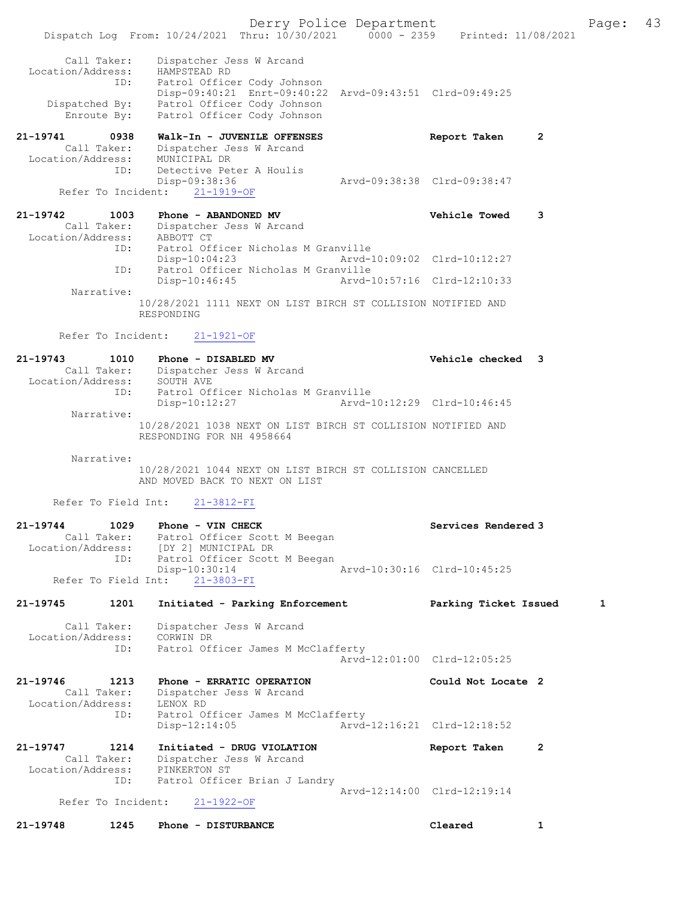Derry Police Department Fage: 43 Dispatch Log From: 10/24/2021 Thru: 10/30/2021 0000 - 2359 Printed: 11/08/2021 Call Taker: Dispatcher Jess W Arcand Location/Address: HAMPSTEAD RD ID: Patrol Officer Cody Johnson Disp-09:40:21 Enrt-09:40:22 Arvd-09:43:51 Clrd-09:49:25 Dispatched By: Patrol Officer Cody Johnson Enroute By: Patrol Officer Cody Johnson 21-19741 0938 Walk-In - JUVENILE OFFENSES Report Taken 2 Call Taker: Dispatcher Jess W Arcand Location/Address: MUNICIPAL DR ID: Detective Peter A Houlis Disp-09:38:36 Arvd-09:38:38 Clrd-09:38:47 Refer To Incident: 21-1919-OF 21-19742 1003 Phone - ABANDONED MV Vehicle Towed 3 Call Taker: Dispatcher Jess W Arcand Location/Address: ABBOTT CT ID: Patrol Officer Nicholas M Granville Disp-10:04:23 Arvd-10:09:02 Clrd-10:12:27 ID: Patrol Officer Nicholas M Granville Disp-10:46:45 Arvd-10:57:16 Clrd-12:10:33 Narrative: 10/28/2021 1111 NEXT ON LIST BIRCH ST COLLISION NOTIFIED AND RESPONDING Refer To Incident: 21-1921-OF 21-19743 1010 Phone - DISABLED MV Vehicle checked 3 Call Taker: Dispatcher Jess W Arcand Location/Address: SOUTH AVE ID: Patrol Officer Nicholas M Granville Disp-10:12:27 Arvd-10:12:29 Clrd-10:46:45 Narrative: 10/28/2021 1038 NEXT ON LIST BIRCH ST COLLISION NOTIFIED AND RESPONDING FOR NH 4958664 Narrative: 10/28/2021 1044 NEXT ON LIST BIRCH ST COLLISION CANCELLED AND MOVED BACK TO NEXT ON LIST Refer To Field Int: 21-3812-FI 21-19744 1029 Phone - VIN CHECK North Services Rendered 3 Call Taker: Patrol Officer Scott M Beegan Location/Address: [DY 2] MUNICIPAL DR ID: Patrol Officer Scott M Beegan<br>Disp-10:30:14 Disp-10:30:14 Arvd-10:30:16 Clrd-10:45:25 Refer To Field Int: 21-3803-FI 21-19745 1201 Initiated - Parking Enforcement Parking Ticket Issued 1 Call Taker: Dispatcher Jess W Arcand Location/Address: CORWIN DR ID: Patrol Officer James M McClafferty Arvd-12:01:00 Clrd-12:05:25 21-19746 1213 Phone - ERRATIC OPERATION Could Not Locate 2 Call Taker: Dispatcher Jess W Arcand Location/Address: LENOX RD ID: Patrol Officer James M McClafferty<br>Disp-12:14:05 Arvd-Arvd-12:16:21 Clrd-12:18:52 21-19747 1214 Initiated - DRUG VIOLATION Report Taken 2 Call Taker: Dispatcher Jess W Arcand Location/Address: PINKERTON ST ID: Patrol Officer Brian J Landry Arvd-12:14:00 Clrd-12:19:14<br>21-1922-OF Refer To Incident:

21-19748 1245 Phone - DISTURBANCE Cleared 1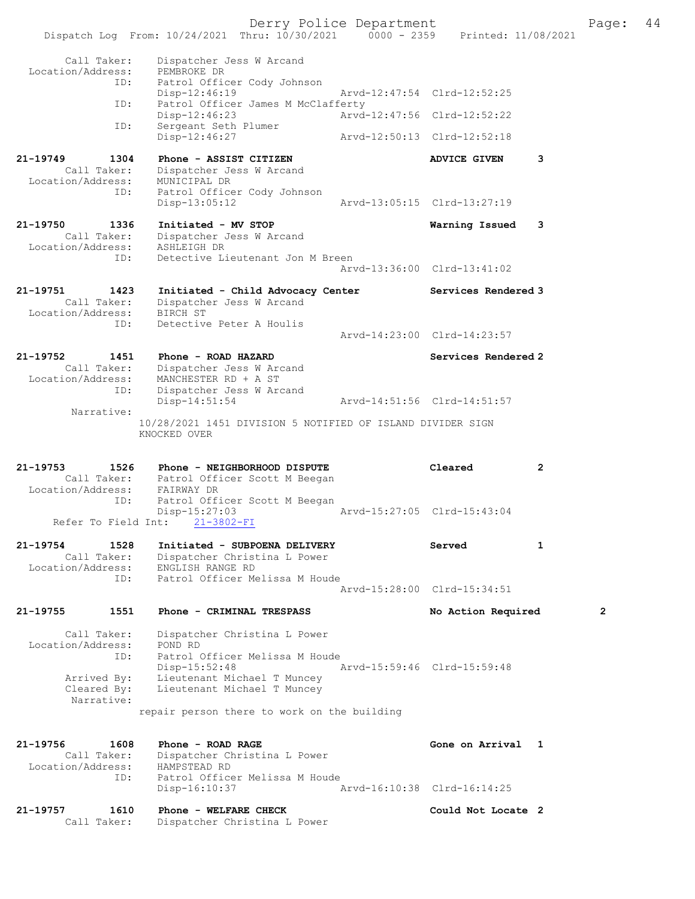|                                  | Dispatch Log From: 10/24/2021 Thru: 10/30/2021 0000 - 2359 Printed: 11/08/2021 | Derry Police Department |                             |              | Page: | 44 |
|----------------------------------|--------------------------------------------------------------------------------|-------------------------|-----------------------------|--------------|-------|----|
|                                  |                                                                                |                         |                             |              |       |    |
| Call Taker:<br>Location/Address: | Dispatcher Jess W Arcand<br>PEMBROKE DR                                        |                         |                             |              |       |    |
| ID:                              | Patrol Officer Cody Johnson<br>Disp-12:46:19                                   |                         | Arvd-12:47:54 Clrd-12:52:25 |              |       |    |
| ID:                              | Patrol Officer James M McClafferty                                             |                         |                             |              |       |    |
| ID:                              | $Disp-12:46:23$<br>Sergeant Seth Plumer                                        |                         | Arvd-12:47:56 Clrd-12:52:22 |              |       |    |
|                                  | Disp-12:46:27                                                                  |                         | Arvd-12:50:13 Clrd-12:52:18 |              |       |    |
| $21 - 19749$<br>1304             | Phone - ASSIST CITIZEN                                                         |                         | <b>ADVICE GIVEN</b>         | 3            |       |    |
| Call Taker:<br>Location/Address: | Dispatcher Jess W Arcand<br>MUNICIPAL DR                                       |                         |                             |              |       |    |
| ID:                              | Patrol Officer Cody Johnson                                                    |                         |                             |              |       |    |
|                                  | $Disp-13:05:12$                                                                |                         | Arvd-13:05:15 Clrd-13:27:19 |              |       |    |
| 21-19750<br>1336<br>Call Taker:  | Initiated - MV STOP<br>Dispatcher Jess W Arcand                                |                         | Warning Issued              | 3            |       |    |
| Location/Address:                | ASHLEIGH DR                                                                    |                         |                             |              |       |    |
| ID:                              | Detective Lieutenant Jon M Breen                                               |                         | Arvd-13:36:00 Clrd-13:41:02 |              |       |    |
| 21-19751<br>1423                 | Initiated - Child Advocacy Center                                              |                         | Services Rendered 3         |              |       |    |
| Call Taker:                      | Dispatcher Jess W Arcand                                                       |                         |                             |              |       |    |
| Location/Address:<br>ID:         | BIRCH ST<br>Detective Peter A Houlis                                           |                         |                             |              |       |    |
|                                  |                                                                                |                         | Arvd-14:23:00 Clrd-14:23:57 |              |       |    |
| 21-19752<br>1451                 | Phone - ROAD HAZARD                                                            |                         | Services Rendered 2         |              |       |    |
| Call Taker:                      | Dispatcher Jess W Arcand<br>Location/Address: MANCHESTER RD + A ST             |                         |                             |              |       |    |
| ID:                              | Dispatcher Jess W Arcand<br>$Disp-14:51:54$                                    |                         | Arvd-14:51:56 Clrd-14:51:57 |              |       |    |
| Narrative:                       |                                                                                |                         |                             |              |       |    |
|                                  | 10/28/2021 1451 DIVISION 5 NOTIFIED OF ISLAND DIVIDER SIGN<br>KNOCKED OVER     |                         |                             |              |       |    |
|                                  |                                                                                |                         |                             |              |       |    |
| 21-19753<br>1526                 | Phone - NEIGHBORHOOD DISPUTE                                                   |                         | Cleared                     | $\mathbf{2}$ |       |    |
|                                  | Call Taker: Patrol Officer Scott M Beegan<br>Location/Address: FAIRWAY DR      |                         |                             |              |       |    |
| ID:                              | Patrol Officer Scott M Beegan                                                  |                         | Arvd-15:27:05 Clrd-15:43:04 |              |       |    |
| Refer To Field Int:              | Disp-15:27:03<br>21-3802-FI                                                    |                         |                             |              |       |    |
| 21-19754<br>1528                 | Initiated - SUBPOENA DELIVERY                                                  |                         | Served                      | $\mathbf{1}$ |       |    |
| Call Taker:<br>Location/Address: | Dispatcher Christina L Power<br>ENGLISH RANGE RD                               |                         |                             |              |       |    |
| ID:                              | Patrol Officer Melissa M Houde                                                 |                         |                             |              |       |    |
|                                  |                                                                                |                         | Arvd-15:28:00 Clrd-15:34:51 |              |       |    |
| 21-19755<br>1551                 | Phone - CRIMINAL TRESPASS                                                      |                         | No Action Required          |              | 2     |    |
| Call Taker:                      | Dispatcher Christina L Power                                                   |                         |                             |              |       |    |
| Location/Address:<br>ID:         | POND RD<br>Patrol Officer Melissa M Houde                                      |                         |                             |              |       |    |
|                                  | Disp-15:52:48                                                                  |                         | Arvd-15:59:46 Clrd-15:59:48 |              |       |    |
| Arrived By:<br>Cleared By:       | Lieutenant Michael T Muncey<br>Lieutenant Michael T Muncey                     |                         |                             |              |       |    |
| Narrative:                       | repair person there to work on the building                                    |                         |                             |              |       |    |
|                                  |                                                                                |                         |                             |              |       |    |
| 21-19756<br>1608                 | Phone - ROAD RAGE                                                              |                         | Gone on Arrival 1           |              |       |    |
| Call Taker:<br>Location/Address: | Dispatcher Christina L Power<br>HAMPSTEAD RD                                   |                         |                             |              |       |    |
| ID:                              | Patrol Officer Melissa M Houde                                                 |                         | Arvd-16:10:38 Clrd-16:14:25 |              |       |    |
|                                  | Disp-16:10:37                                                                  |                         |                             |              |       |    |
| 21-19757<br>1610                 | Phone - WELFARE CHECK                                                          |                         | Could Not Locate 2          |              |       |    |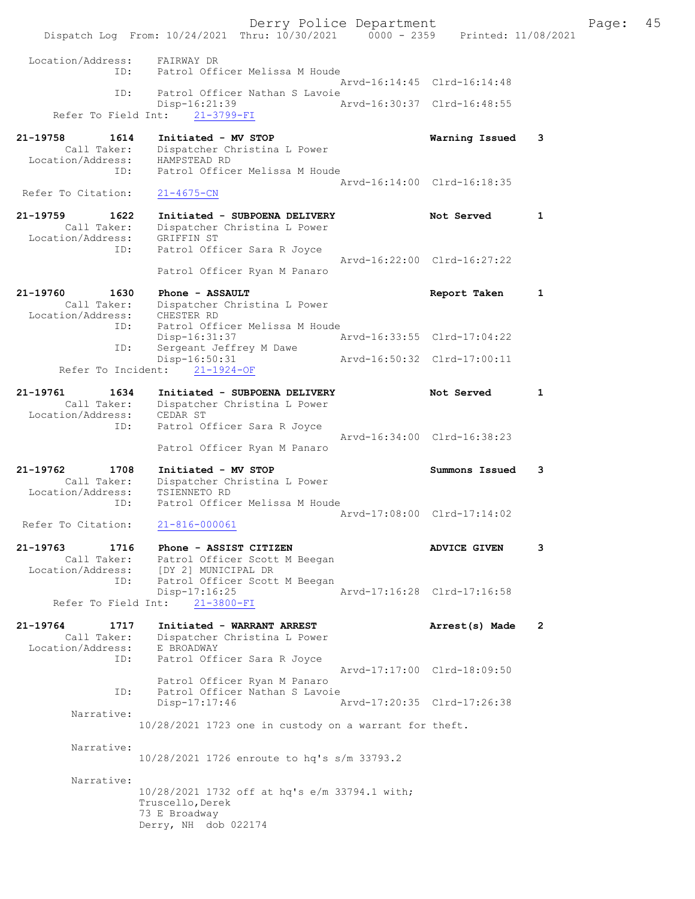Derry Police Department Fage: 45 Dispatch Log From: 10/24/2021 Thru: 10/30/2021 0000 - 2359 Printed: 11/08/2021 Location/Address: FAIRWAY DR ID: Patrol Officer Melissa M Houde Arvd-16:14:45 Clrd-16:14:48 ID: Patrol Officer Nathan S Lavoie<br>Disp-16:21:39 Mrvd-16:30:37 Clrd-16:48:55 Disp-16:21:39 Refer To Field Int: 21-3799-FI 21-19758 1614 Initiated - MV STOP Warning Issued 3 Call Taker: Dispatcher Christina L Power Location/Address: HAMPSTEAD RD ID: Patrol Officer Melissa M Houde Arvd-16:14:00 Clrd-16:18:35<br>21-4675-CN Refer To Citation: 21-19759 1622 Initiated - SUBPOENA DELIVERY Not Served 1 Call Taker: Dispatcher Christina L Power Location/Address: GRIFFIN ST ID: Patrol Officer Sara R Joyce Arvd-16:22:00 Clrd-16:27:22 Patrol Officer Ryan M Panaro 21-19760 1630 Phone - ASSAULT Report Taken 1 Call Taker: Dispatcher Christina L Power Location/Address: CHESTER RD ID: Patrol Officer Melissa M Houde Disp-16:31:37 Arvd-16:33:55 Clrd-17:04:22<br>
ID: Sergeant Jeffrey M Dawe<br>
Disp-16:50:31 Arvd-16:50:32 Clrd-17:00:11 ID: Sergeant Jeffrey M Dawe Disp-16:50:31 Arvd-16:50:32 Clrd-17:00:11 Refer To Incident: 21-1924-OF 21-19761 1634 Initiated - SUBPOENA DELIVERY Not Served 1 Call Taker: Dispatcher Christina L Power Location/Address: CEDAR ST ID: Patrol Officer Sara R Joyce Arvd-16:34:00 Clrd-16:38:23 Patrol Officer Ryan M Panaro 21-19762 1708 Initiated - MV STOP Summons Issued 3 Call Taker: Dispatcher Christina L Power Location/Address: TSIENNETO RD ID: Patrol Officer Melissa M Houde Arvd-17:08:00 Clrd-17:14:02<br>21-816-000061 Refer To Citation: 21-19763 1716 Phone - ASSIST CITIZEN ADVICE GIVEN 3 Call Taker: Patrol Officer Scott M Beegan Location/Address: [DY 2] MUNICIPAL DR ID: Patrol Officer Scott M Beegan Patrol Officer Scott M Beegan<br>Disp-17:16:25 Arvd-17:16:28 Clrd-17:16:58 Refer To Field Int: 21-3800-FI 21-19764 1717 Initiated - WARRANT ARREST Arrest(s) Made 2 Call Taker: Dispatcher Christina L Power Location/Address: E BROADWAY ID: Patrol Officer Sara R Joyce Arvd-17:17:00 Clrd-18:09:50 Patrol Officer Ryan M Panaro ID: Patrol Officer Nathan S Lavoie Disp-17:17:46 Arvd-17:20:35 Clrd-17:26:38 Narrative: 10/28/2021 1723 one in custody on a warrant for theft. Narrative: 10/28/2021 1726 enroute to hq's s/m 33793.2 Narrative: 10/28/2021 1732 off at hq's e/m 33794.1 with; Truscello, Derek 73 E Broadway Derry, NH dob 022174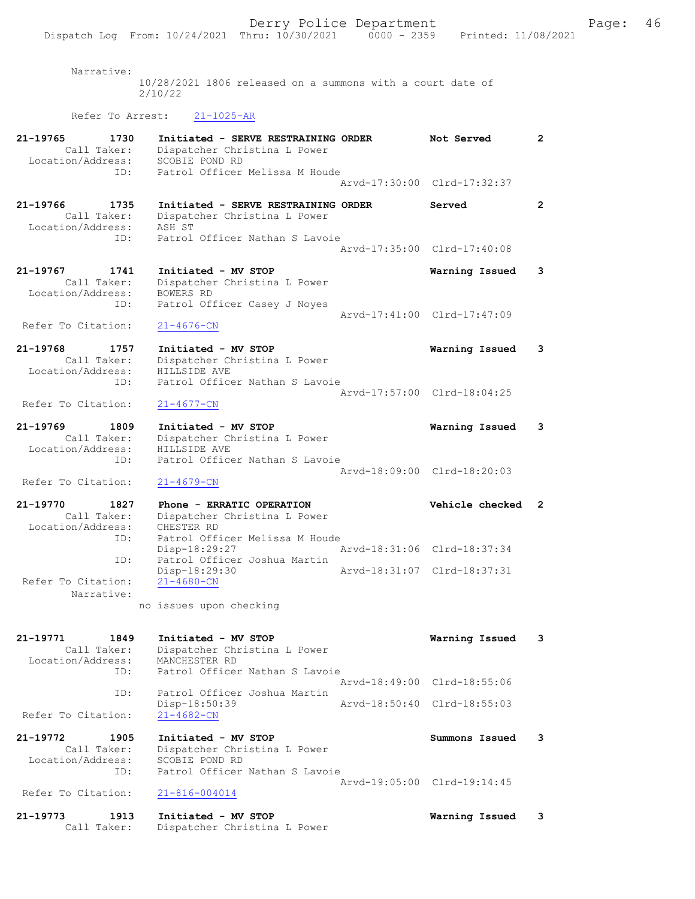| Narrative:                                                  | 10/28/2021 1806 released on a summons with a court date of<br>2/10/22                                     |                             |                      |
|-------------------------------------------------------------|-----------------------------------------------------------------------------------------------------------|-----------------------------|----------------------|
| Refer To Arrest:                                            | $21 - 1025 - AR$                                                                                          |                             |                      |
| 21-19765<br>1730<br>Call Taker:<br>Location/Address:        | Initiated - SERVE RESTRAINING ORDER<br>Dispatcher Christina L Power<br>SCOBIE POND RD                     | Not Served                  | $\mathbf{2}^{\circ}$ |
| ID:                                                         | Patrol Officer Melissa M Houde                                                                            | Arvd-17:30:00 Clrd-17:32:37 |                      |
| 21-19766<br>1735<br>Call Taker:<br>Location/Address:        | Initiated - SERVE RESTRAINING ORDER<br>Dispatcher Christina L Power<br>ASH ST                             | Served                      | $\mathbf{2}$         |
| ID:                                                         | Patrol Officer Nathan S Lavoie                                                                            | Arvd-17:35:00 Clrd-17:40:08 |                      |
| 21-19767<br>1741<br>Call Taker:<br>Location/Address:        | Initiated - MV STOP<br>Dispatcher Christina L Power<br>BOWERS RD                                          | Warning Issued              | 3                    |
| ID:                                                         | Patrol Officer Casey J Noyes                                                                              | Arvd-17:41:00 Clrd-17:47:09 |                      |
| Refer To Citation:                                          | $21 - 4676 - CN$                                                                                          |                             |                      |
| 21-19768<br>1757<br>Call Taker:<br>Location/Address:<br>ID: | Initiated - MV STOP<br>Dispatcher Christina L Power<br>HILLSIDE AVE<br>Patrol Officer Nathan S Lavoie     | Warning Issued              | 3                    |
| Refer To Citation:                                          | $21 - 4677 - CN$                                                                                          | Arvd-17:57:00 Clrd-18:04:25 |                      |
| 21-19769<br>1809<br>Call Taker:<br>Location/Address:        | Initiated - MV STOP<br>Dispatcher Christina L Power<br>HILLSIDE AVE                                       | Warning Issued              | 3                    |
| ID:                                                         | Patrol Officer Nathan S Lavoie                                                                            | Arvd-18:09:00 Clrd-18:20:03 |                      |
| Refer To Citation:                                          | $21 - 4679 - CN$                                                                                          |                             |                      |
| 21-19770<br>1827<br>Call Taker:<br>Location/Address:<br>ID: | Phone - ERRATIC OPERATION<br>Dispatcher Christina L Power<br>CHESTER RD<br>Patrol Officer Melissa M Houde | Vehicle checked 2           |                      |
| ID:                                                         | Disp-18:29:27<br>Patrol Officer Joshua Martin                                                             | Arvd-18:31:06 Clrd-18:37:34 |                      |
| Refer To Citation:                                          | Disp-18:29:30<br>$21 - 4680 - CN$                                                                         | Arvd-18:31:07 Clrd-18:37:31 |                      |
| Narrative:                                                  | no issues upon checking                                                                                   |                             |                      |
|                                                             |                                                                                                           |                             |                      |
| 21-19771<br>1849<br>Call Taker:<br>Location/Address:<br>ID: | Initiated - MV STOP<br>Dispatcher Christina L Power<br>MANCHESTER RD<br>Patrol Officer Nathan S Lavoie    | Warning Issued              | 3                    |
| ID:                                                         | Patrol Officer Joshua Martin                                                                              | Arvd-18:49:00 Clrd-18:55:06 |                      |
| Refer To Citation:                                          | Disp-18:50:39<br>$21 - 4682 - CN$                                                                         | Arvd-18:50:40 Clrd-18:55:03 |                      |
| 21-19772<br>1905<br>Call Taker:<br>Location/Address:<br>ID: | Initiated - MV STOP<br>Dispatcher Christina L Power<br>SCOBIE POND RD<br>Patrol Officer Nathan S Lavoie   | Summons Issued              | 3                    |
| Refer To Citation:                                          | $21 - 816 - 004014$                                                                                       | Arvd-19:05:00 Clrd-19:14:45 |                      |
| 21-19773<br>1913<br>Call Taker:                             | Initiated - MV STOP<br>Dispatcher Christina L Power                                                       | Warning Issued              | 3                    |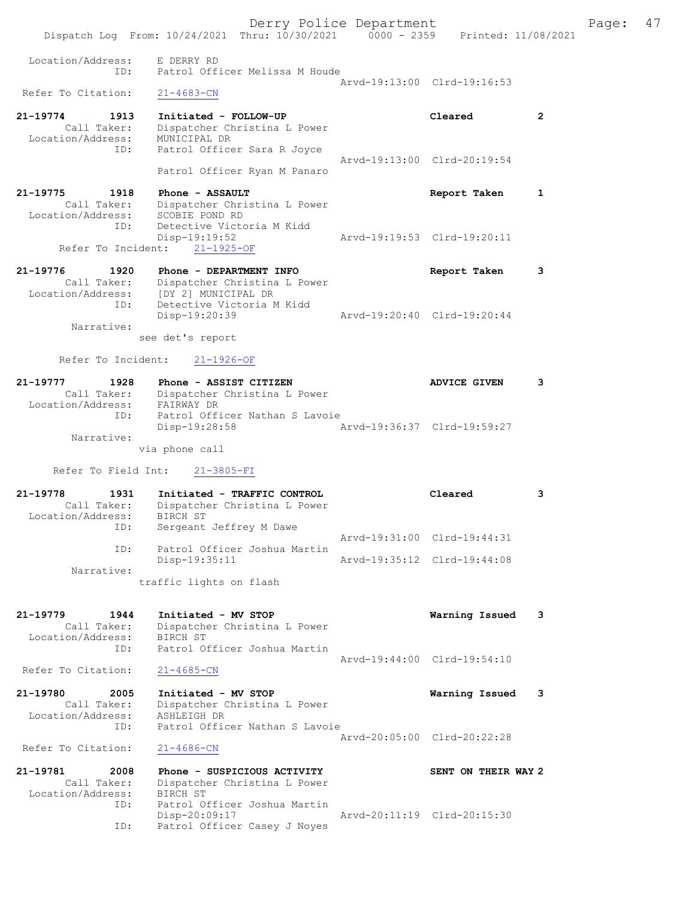Derry Police Department Fage: 47 Dispatch Log From: 10/24/2021 Thru: 10/30/2021 0000 - 2359 Printed: 11/08/2021 Location/Address: E DERRY RD ID: Patrol Officer Melissa M Houde Arvd-19:13:00 Clrd-19:16:53 Refer To Citation: 21-19774 1913 Initiated - FOLLOW-UP Cleared 2 Call Taker: Dispatcher Christina L Power Location/Address: MUNICIPAL DR ID: Patrol Officer Sara R Joyce Arvd-19:13:00 Clrd-20:19:54 Patrol Officer Ryan M Panaro 21-19775 1918 Phone - ASSAULT Report Taken 1 Call Taker: Dispatcher Christina L Power Location/Address: SCOBIE POND RD ID: Detective Victoria M Kidd Disp-19:19:52 Arvd-19:19:53 Clrd-19:20:11 Refer To Incident: 21-1925-OF 21-19776 1920 Phone - DEPARTMENT INFO Report Taken 3 Call Taker: Dispatcher Christina L Power Location/Address: [DY 2] MUNICIPAL DR ID: Detective Victoria M Kidd Disp-19:20:39 Arvd-19:20:40 Clrd-19:20:44 Narrative: see det's report Refer To Incident: 21-1926-OF 21-19777 1928 Phone - ASSIST CITIZEN ADVICE GIVEN 3 Call Taker: Dispatcher Christina L Power Location/Address: FAIRWAY DR ID: Patrol Officer Nathan S Lavoie Disp-19:28:58 Arvd-19:36:37 Clrd-19:59:27 Narrative: via phone call Refer To Field Int: 21-3805-FI 21-19778 1931 Initiated - TRAFFIC CONTROL Cleared 3 Call Taker: Dispatcher Christina L Power Location/Address: BIRCH ST ID: Sergeant Jeffrey M Dawe Arvd-19:31:00 Clrd-19:44:31 ID: Patrol Officer Joshua Martin Disp-19:35:11 Arvd-19:35:12 Clrd-19:44:08 Narrative: traffic lights on flash 21-19779 1944 Initiated - MV STOP Warning Issued 3 Call Taker: Dispatcher Christina L Power Location/Address: BIRCH ST ID: Patrol Officer Joshua Martin Arvd-19:44:00 Clrd-19:54:10<br>
21-4685-CN Refer To Citation: 21-19780 2005 Initiated - MV STOP Warning Issued 3 Call Taker: Dispatcher Christina L Power Location/Address: ASHLEIGH DR ID: Patrol Officer Nathan S Lavoie Arvd-20:05:00 Clrd-20:22:28 Refer To Citation: 21-4686-CN 21-19781 2008 Phone - SUSPICIOUS ACTIVITY SENT ON THEIR WAY 2 Call Taker: Dispatcher Christina L Power Location/Address: BIRCH ST ID: Patrol Officer Joshua Martin Disp-20:09:17 Arvd-20:11:19 Clrd-20:15:30 ID: Patrol Officer Casey J Noyes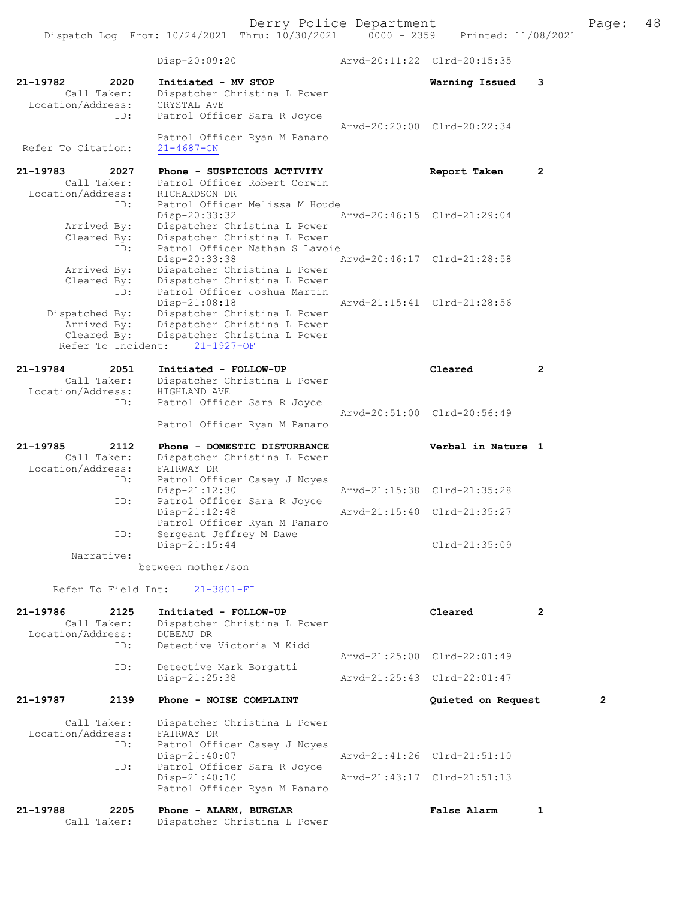Dispatch Log From: 10/24/2021 Thru: 10/30/2021 0000 - 2359 Printed: 11/08/2021 Disp-20:09:20 Arvd-20:11:22 Clrd-20:15:35 21-19782 2020 Initiated - MV STOP Warning Issued 3 Call Taker: Dispatcher Christina L Power Location/Address: CRYSTAL AVE ID: Patrol Officer Sara R Joyce Arvd-20:20:00 Clrd-20:22:34 Patrol Officer Ryan M Panaro<br>21-4687-CN Refer To Citation: 21-19783 2027 Phone - SUSPICIOUS ACTIVITY Report Taken 2 Call Taker: Patrol Officer Robert Corwin Location/Address: RICHARDSON DR ID: Patrol Officer Melissa M Houde<br>Disp-20:33:32 Arvd-20:46:15 Clrd-21:29:04 Disp-20:33:32 Arvd-20:46:15 Clrd-21:29:04 Arrived By: Dispatcher Christina L Power Cleared By: Dispatcher Christina L Power ID: Patrol Officer Nathan S Lavoie Disp-20:33:38 Arvd-20:46:17 Clrd-21:28:58 Arrived By: Dispatcher Christina L Power Cleared By: Dispatcher Christina L Power ID: Patrol Officer Joshua Martin Disp-21:08:18 Arvd-21:15:41 Clrd-21:28:56 Dispatched By: Dispatcher Christina L Power Arrived By: Dispatcher Christina L Power Cleared By: Dispatcher Christina L Power Refer To Incident: 21-1927-OF 21-19784 2051 Initiated - FOLLOW-UP Cleared 2 Call Taker: Dispatcher Christina L Power Location/Address: HIGHLAND AVE ID: Patrol Officer Sara R Joyce Arvd-20:51:00 Clrd-20:56:49 Patrol Officer Ryan M Panaro 21-19785 2112 Phone - DOMESTIC DISTURBANCE Verbal in Nature 1 Call Taker: Dispatcher Christina L Power Location/Address: FAIRWAY DR<br>TD: Patrol Off Patrol Officer Casey J Noyes<br>Disp-21:12:30 Arvd-21:15:38 Clrd-21:35:28 ID: Patrol Officer Sara R Joyce<br>Disp-21:12:48 Arvd-21:15:40 Clrd-21:35:27 Patrol Officer Ryan M Panaro<br>ID: Sergeant Jeffrey M Dawe Sergeant Jeffrey M Dawe<br>Disp-21:15:44 Clrd-21:35:09 Narrative: between mother/son Refer To Field Int: 21-3801-FI 21-19786 2125 Initiated - FOLLOW-UP Cleared 2 Call Taker: Dispatcher Christina L Power Location/Address: DUBEAU DR ID: Detective Victoria M Kidd Arvd-21:25:00 Clrd-22:01:49 Detective Mark Borgatti<br>Disp-21:25:38 Disp-21:25:38 Arvd-21:25:43 Clrd-22:01:47 21-19787 2139 Phone - NOISE COMPLAINT Quieted on Request 2 Call Taker: Dispatcher Christina L Power<br>ion/Address: FAIRWAY DR Location/Address: ID: Patrol Officer Casey J Noyes<br>Disp-21:40:07 Disp-21:40:07 <br>ID: Patrol Officer Sara R Joyce <br>Displacement Patrol Officer Sara R Joyce Patrol Officer Sara R Joyce Disp-21:40:10 Arvd-21:43:17 Clrd-21:51:13 Patrol Officer Ryan M Panaro 21-19788 2205 Phone - ALARM, BURGLAR False Alarm 1 Call Taker: Dispatcher Christina L Power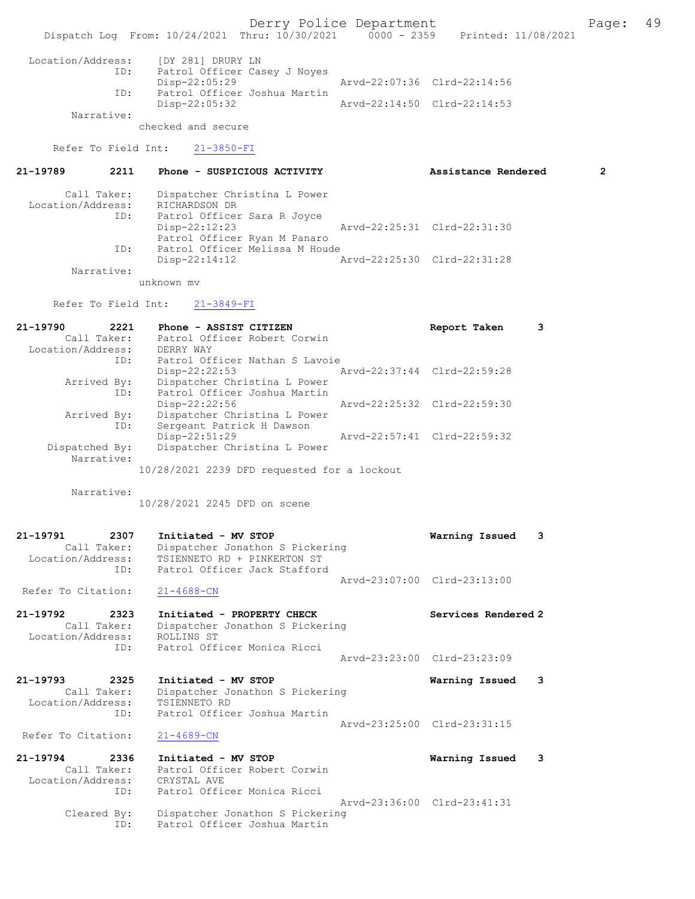Dispatch Log From: 10/24/2021 Thru: 10/30/2021 0000 - 2359 Printed: 11/08/2021 Location/Address: [DY 281] DRURY LN<br>ID: Patrol Officer Cas Patrol Officer Casey J Noyes<br>Disp-22:05:29 Disp-22:05:29 Arvd-22:07:36 Clrd-22:14:56 ID: Patrol Officer Joshua Martin Disp-22:05:32 Arvd-22:14:50 Clrd-22:14:53 Narrative: checked and secure Refer To Field Int: 21-3850-FI 21-19789 2211 Phone - SUSPICIOUS ACTIVITY Assistance Rendered 2 Call Taker: Dispatcher Christina L Power Location/Address: RICHARDSON DR<br>ID: Patrol Officer ID: Patrol Officer Sara R Joyce Disp-22:12:23 Arvd-22:25:31 Clrd-22:31:30 Patrol Officer Ryan M Panaro ID: Patrol Officer Melissa M Houde<br>Disp-22:14:12 Disp-22:14:12 Arvd-22:25:30 Clrd-22:31:28 Narrative: unknown mv Refer To Field Int: 21-3849-FI 21-19790 2221 Phone - ASSIST CITIZEN Report Taken 3 Call Taker: Patrol Officer Robert Corwin Location/Address: DERRY WAY ID: Patrol Officer Nathan S Lavoie<br>Disp-22:22:53 Arvd-22:37:44 Clrd-22:59:28 Disp-22:22:53 Arvd-22:37:44 Clrd-22:59:28 Arrived By: Dispatcher Christina L Power ID: Patrol Officer Joshua Martin Disp-22:22:56 Arvd-22:25:32 Clrd-22:59:30 Arrived By: Dispatcher Christina L Power ID: Sergeant Patrick H Dawson Disp-22:51:29 Arvd-22:57:41 Clrd-22:59:32 Dispatched By: Dispatcher Christina L Power Narrative: 10/28/2021 2239 DFD requested for a lockout Narrative: 10/28/2021 2245 DFD on scene 21-19791 2307 Initiated - MV STOP Warning Issued 3 Call Taker: Dispatcher Jonathon S Pickering Location/Address: TSIENNETO RD + PINKERTON ST ID: Patrol Officer Jack Stafford Arvd-23:07:00 Clrd-23:13:00 Refer To Citation: 21-4688-CN 21-19792 2323 Initiated - PROPERTY CHECK Services Rendered 2 Call Taker: Dispatcher Jonathon S Pickering Location/Address: ROLLINS ST ID: Patrol Officer Monica Ricci Arvd-23:23:00 Clrd-23:23:09 21-19793 2325 Initiated - MV STOP Warning Issued 3 Call Taker: Dispatcher Jonathon S Pickering Location/Address: TSIENNETO RD ID: Patrol Officer Joshua Martin Arvd-23:25:00 Clrd-23:31:15 Refer To Citation: 21-4689-CN 21-19794 2336 Initiated - MV STOP Warning Issued 3 Call Taker: Patrol Officer Robert Corwin Location/Address: CRYSTAL AVE ID: Patrol Officer Monica Ricci Arvd-23:36:00 Clrd-23:41:31 Cleared By: Dispatcher Jonathon S Pickering ID: Patrol Officer Joshua Martin

Derry Police Department The Page: 49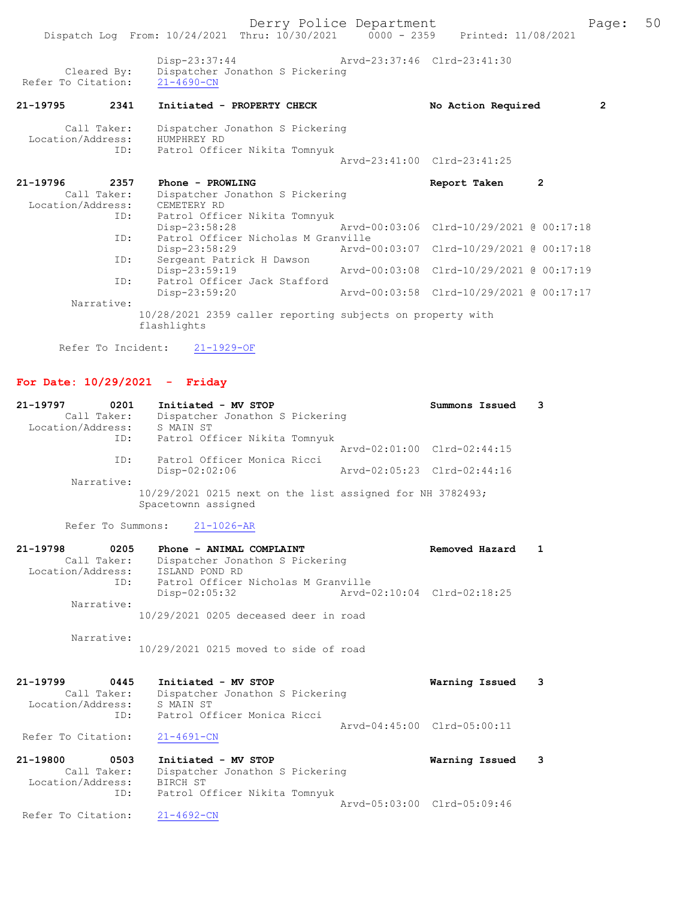| 21-19796          | 2357        | Phone - PROWLING                                                          | Report Taken                             | $\mathbf{2}$ |  |
|-------------------|-------------|---------------------------------------------------------------------------|------------------------------------------|--------------|--|
|                   | Call Taker: | Dispatcher Jonathon S Pickering                                           |                                          |              |  |
| Location/Address: |             | CEMETERY RD                                                               |                                          |              |  |
|                   | ID:         | Patrol Officer Nikita Tomnyuk                                             |                                          |              |  |
|                   |             | Disp-23:58:28                                                             | Arvd-00:03:06 Clrd-10/29/2021 @ 00:17:18 |              |  |
|                   | ID:         | Patrol Officer Nicholas M Granville                                       |                                          |              |  |
|                   |             | Disp-23:58:29                                                             | Arvd-00:03:07 Clrd-10/29/2021 @ 00:17:18 |              |  |
|                   | ID:         | Sergeant Patrick H Dawson                                                 |                                          |              |  |
|                   |             | Disp-23:59:19                                                             | Arvd-00:03:08 Clrd-10/29/2021 @ 00:17:19 |              |  |
|                   | ID:         | Patrol Officer Jack Stafford                                              |                                          |              |  |
|                   |             | Disp-23:59:20                                                             | Arvd-00:03:58 Clrd-10/29/2021 @ 00:17:17 |              |  |
|                   | Narrative:  |                                                                           |                                          |              |  |
|                   |             | 10/28/2021 2359 caller reporting subjects on property with<br>flashlights |                                          |              |  |

Refer To Incident: 21-1929-OF

## For Date: 10/29/2021 - Friday

| 21-19797<br>0201<br>Call Taker:<br>Location/Address: | Initiated - MV STOP<br>Dispatcher Jonathon S Pickering<br>S MAIN ST              | Summons Issued              |
|------------------------------------------------------|----------------------------------------------------------------------------------|-----------------------------|
| ID:                                                  | Patrol Officer Nikita Tomnyuk                                                    | Arvd-02:01:00 Clrd-02:44:15 |
| ID:                                                  | Patrol Officer Monica Ricci<br>$Disp-02:02:06$                                   | Arvd-02:05:23 Clrd-02:44:16 |
| Narrative:                                           | 10/29/2021 0215 next on the list assigned for NH 3782493;<br>Spacetownn assigned |                             |

Refer To Summons: 21-1026-AR

| 21-19798<br>0205<br>Call Taker:<br>Location/Address:<br>ID: | Phone - ANIMAL COMPLAINT<br>Dispatcher Jonathon S Pickering<br>ISLAND POND RD<br>Patrol Officer Nicholas M Granville | Removed Hazard              |   |
|-------------------------------------------------------------|----------------------------------------------------------------------------------------------------------------------|-----------------------------|---|
| Narrative:                                                  | $Disp-02:05:32$                                                                                                      | Arvd-02:10:04 Clrd-02:18:25 |   |
|                                                             | 10/29/2021 0205 deceased deer in road                                                                                |                             |   |
| Narrative:                                                  | 10/29/2021 0215 moved to side of road                                                                                |                             |   |
| 21-19799<br>0445                                            | Initiated - MV STOP                                                                                                  | Warning Issued              | 3 |
| Call Taker:                                                 | Dispatcher Jonathon S Pickering                                                                                      |                             |   |
| Location/Address:<br>ID:                                    | S MAIN ST<br>Patrol Officer Monica Ricci                                                                             |                             |   |
|                                                             |                                                                                                                      | Arvd-04:45:00 Clrd-05:00:11 |   |
| Refer To Citation:                                          | $21 - 4691 - CN$                                                                                                     |                             |   |
| 21-19800<br>0503                                            | Initiated - MV STOP                                                                                                  | Warning Issued              | 3 |

 Call Taker: Dispatcher Jonathon S Pickering Location/Address: BIRCH ST ID: Patrol Officer Nikita Tomnyuk Arvd-05:03:00 Clrd-05:09:46<br>21-4692-CN Refer To Citation: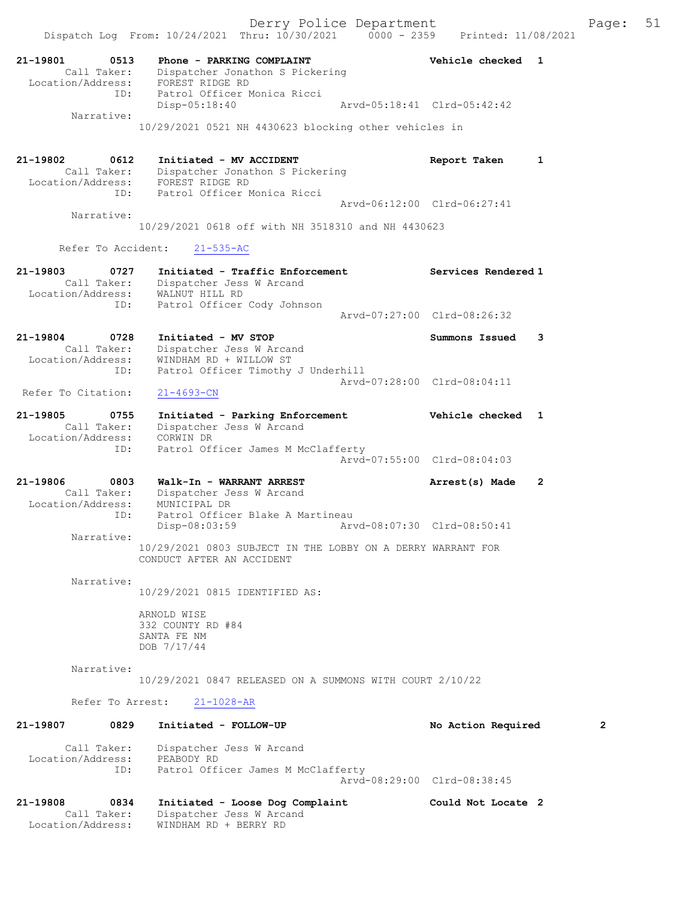Dispatch Log From: 10/24/2021 Thru: 10/30/2021 0000 - 2359 Printed: 11/08/2021 21-19801 0513 Phone - PARKING COMPLAINT Vehicle checked 1 Call Taker: Dispatcher Jonathon S Pickering Location/Address: FOREST RIDGE RD ID: Patrol Officer Monica Ricci<br>Disp-05:18:40 Disp-05:18:40 Arvd-05:18:41 Clrd-05:42:42 Narrative: 10/29/2021 0521 NH 4430623 blocking other vehicles in 21-19802 0612 Initiated - MV ACCIDENT Report Taken 1 Call Taker: Dispatcher Jonathon S Pickering Location/Address: FOREST RIDGE RD ID: Patrol Officer Monica Ricci Arvd-06:12:00 Clrd-06:27:41 Narrative: 10/29/2021 0618 off with NH 3518310 and NH 4430623 Refer To Accident: 21-535-AC 21-19803 0727 Initiated - Traffic Enforcement Services Rendered 1 Call Taker: Dispatcher Jess W Arcand Location/Address: WALNUT HILL RD ID: Patrol Officer Cody Johnson Arvd-07:27:00 Clrd-08:26:32 21-19804 0728 Initiated - MV STOP Summons Issued 3 Call Taker: Dispatcher Jess W Arcand Location/Address: WINDHAM RD + WILLOW ST ID: Patrol Officer Timothy J Underhill Arvd-07:28:00 Clrd-08:04:11<br>21-4693-CN Refer To Citation: 21-19805 0755 Initiated - Parking Enforcement Vehicle checked 1 Call Taker: Dispatcher Jess W Arcand Location/Address: CORWIN DR ID: Patrol Officer James M McClafferty Arvd-07:55:00 Clrd-08:04:03 21-19806 0803 Walk-In - WARRANT ARREST Arrest(s) Made 2 Call Taker: Dispatcher Jess W Arcand Location/Address: MUNICIPAL DR ID: Patrol Officer Blake A Martineau Disp-08:03:59 Arvd-08:07:30 Clrd-08:50:41 Narrative: 10/29/2021 0803 SUBJECT IN THE LOBBY ON A DERRY WARRANT FOR CONDUCT AFTER AN ACCIDENT Narrative: 10/29/2021 0815 IDENTIFIED AS: ARNOLD WISE 332 COUNTY RD #84 SANTA FE NM DOB 7/17/44 Narrative: 10/29/2021 0847 RELEASED ON A SUMMONS WITH COURT 2/10/22 Refer To Arrest: 21-1028-AR 21-19807 0829 Initiated - FOLLOW-UP No Action Required 2 Call Taker: Dispatcher Jess W Arcand Location/Address: PEABODY RD ID: Patrol Officer James M McClafferty Arvd-08:29:00 Clrd-08:38:45 21-19808 0834 Initiated - Loose Dog Complaint Could Not Locate 2 Call Taker: Dispatcher Jess W Arcand

Location/Address: WINDHAM RD + BERRY RD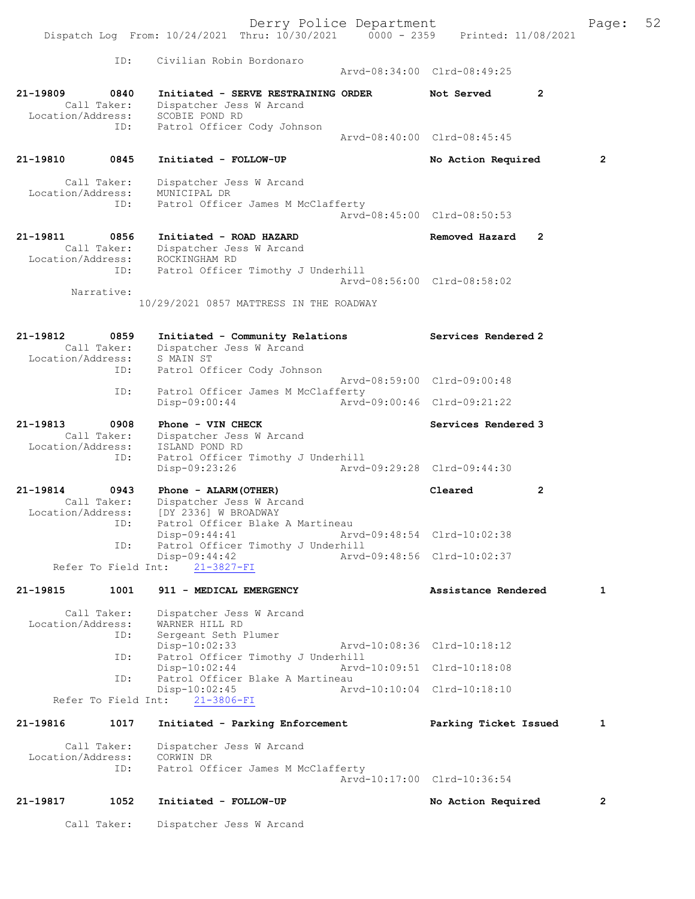Derry Police Department The Page: 52 Dispatch Log From: 10/24/2021 Thru: 10/30/2021 0000 - 2359 Printed: 11/08/2021 ID: Civilian Robin Bordonaro Arvd-08:34:00 Clrd-08:49:25 21-19809 0840 Initiated - SERVE RESTRAINING ORDER Not Served 2 Call Taker: Dispatcher Jess W Arcand Location/Address: SCOBIE POND RD ID: Patrol Officer Cody Johnson Arvd-08:40:00 Clrd-08:45:45 21-19810 0845 Initiated - FOLLOW-UP No Action Required 2 Call Taker: Dispatcher Jess W Arcand Location/Address: MUNICIPAL DR ID: Patrol Officer James M McClafferty Arvd-08:45:00 Clrd-08:50:53 21-19811 0856 Initiated - ROAD HAZARD Removed Hazard 2 Call Taker: Dispatcher Jess W Arcand Location/Address: ROCKINGHAM RD ID: Patrol Officer Timothy J Underhill Arvd-08:56:00 Clrd-08:58:02 Narrative: 10/29/2021 0857 MATTRESS IN THE ROADWAY 21-19812 0859 Initiated - Community Relations Services Rendered 2<br>Call Taker: Dispatcher Jess W Arcand Call Taker: Dispatcher Jess W Arcand Location/Address: S MAIN ST ID: Patrol Officer Cody Johnson Arvd-08:59:00 Clrd-09:00:48 ID: Patrol Officer James M McClafferty Disp-09:00:44 Arvd-09:00:46 Clrd-09:21:22 21-19813 0908 Phone - VIN CHECK Services Rendered 3 Call Taker: Dispatcher Jess W Arcand Location/Address: ISLAND POND RD ID: Patrol Officer Timothy J Underhill Disp-09:23:26 Arvd-09:29:28 Clrd-09:44:30 21-19814 0943 Phone - ALARM(OTHER) Cleared 2 Call Taker: Dispatcher Jess W Arcand Location/Address: [DY 2336] W BROADWAY ID: Patrol Officer Blake A Martineau<br>Disp-09:44:41 Arv Disp-09:44:41 Arvd-09:48:54 Clrd-10:02:38<br>ID: Patrol Officer Timothy J Underhill Patrol Officer Timothy J Underhill<br>Disp-09:44:42 Arvd- Disp-09:44:42 Arvd-09:48:56 Clrd-10:02:37 Refer To Field Int: 21-3827-FI 21-19815 1001 911 - MEDICAL EMERGENCY 18 Assistance Rendered 1 Call Taker: Dispatcher Jess W Arcand Location/Address: WARNER HILL RD SS: WARNER HILL AL<br>ID: Sergeant Seth Plumer<br>Disp-10:02:33 Disp-10:02:33 Arvd-10:08:36 Clrd-10:18:12<br>TD: Patrol Officer Timothy J Underhill Patrol Officer Timothy J Underhill<br>Disp-10:02:44 Arvd-Disp-10:02:44 Arvd-10:09:51 Clrd-10:18:08<br>TD: Patrol Officer Blake A Martineau Patrol Officer Blake A Martineau Disp-10:02:45 Arvd-10:10:04 Clrd-10:18:10 Refer To Field Int: 21-3806-FI 21-19816 1017 Initiated - Parking Enforcement Parking Ticket Issued 1 Call Taker: Dispatcher Jess W Arcand Location/Address: CORWIN DR ID: Patrol Officer James M McClafferty Arvd-10:17:00 Clrd-10:36:54 21-19817 1052 Initiated - FOLLOW-UP No Action Required 2

Call Taker: Dispatcher Jess W Arcand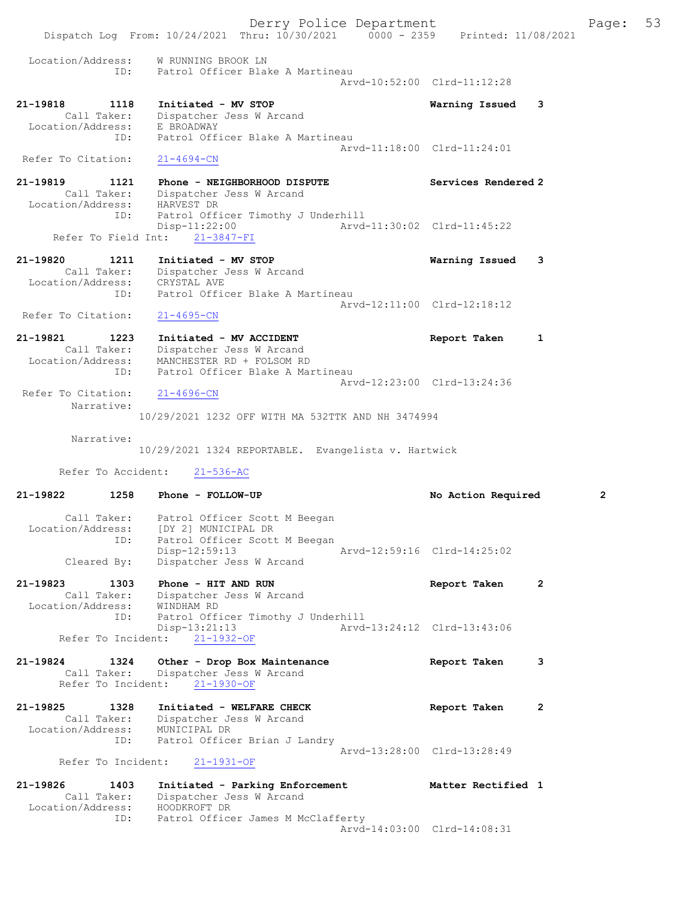Derry Police Department Fage: 53 Dispatch Log From: 10/24/2021 Thru: 10/30/2021 0000 - 2359 Printed: 11/08/2021 Location/Address: W RUNNING BROOK LN ID: Patrol Officer Blake A Martineau Arvd-10:52:00 Clrd-11:12:28 21-19818 1118 Initiated - MV STOP Warning Issued 3 Call Taker: Dispatcher Jess W Arcand Location/Address: E BROADWAY ID: Patrol Officer Blake A Martineau Arvd-11:18:00 Clrd-11:24:01 Refer To Citation:  $21-4694$ -CN 21-19819 1121 Phone - NEIGHBORHOOD DISPUTE Services Rendered 2 Call Taker: Dispatcher Jess W Arcand Location/Address: HARVEST DR ID: Patrol Officer Timothy J Underhill Disp-11:22:00 Arvd-11:30:02 Clrd-11:45:22 Disp-11:22:00<br>Refer To Field Int:  $\frac{21-3847-FI}{21-3847-FI}$ 21-19820 1211 Initiated - MV STOP Warning Issued 3 Call Taker: Dispatcher Jess W Arcand Location/Address: CRYSTAL AVE ID: Patrol Officer Blake A Martineau Arvd-12:11:00 Clrd-12:18:12 Refer To Citation: 21-4695-CN 21-19821 1223 Initiated - MV ACCIDENT 1203 Report Taken 1 Call Taker: Dispatcher Jess W Arcand Location/Address: MANCHESTER RD + FOLSOM RD ID: Patrol Officer Blake A Martineau Arvd-12:23:00 Clrd-13:24:36<br>21-4696-CN Refer To Citation: Narrative: 10/29/2021 1232 OFF WITH MA 532TTK AND NH 3474994 Narrative: 10/29/2021 1324 REPORTABLE. Evangelista v. Hartwick Refer To Accident: 21-536-AC 21-19822 1258 Phone - FOLLOW-UP No Action Required 2 Call Taker: Patrol Officer Scott M Beegan Location/Address: [DY 2] MUNICIPAL DR ID: Patrol Officer Scott M Beegan Disp-12:59:13<br>Cleared By: Dispatcher Jess W Arcand<br>Cleared By: Dispatcher Jess W Arcand Dispatcher Jess W Arcand 21-19823 1303 Phone - HIT AND RUN 1200 1200 Report Taken 2 Call Taker: Dispatcher Jess W Arcand Location/Address: WINDHAM RD ID: Patrol Officer Timothy J Underhill Disp-13:21:13 Arvd-13:24:12 Clrd-13:43:06 Refer To Incident: 21-1932-OF 21-19824 1324 Other - Drop Box Maintenance Report Taken 3 Call Taker: Dispatcher Jess W Arcand Refer To Incident: 21-1930-OF 21-19825 1328 Initiated - WELFARE CHECK 1980 Report Taken 2 Call Taker: Dispatcher Jess W Arcand Location/Address: MUNICIPAL DR ID: Patrol Officer Brian J Landry Arvd-13:28:00 Clrd-13:28:49 Refer To Incident: 21-1931-OF 21-19826 1403 Initiated - Parking Enforcement Matter Rectified 1 Call Taker: Dispatcher Jess W Arcand Location/Address: HOODKROFT DR ID: Patrol Officer James M McClafferty Arvd-14:03:00 Clrd-14:08:31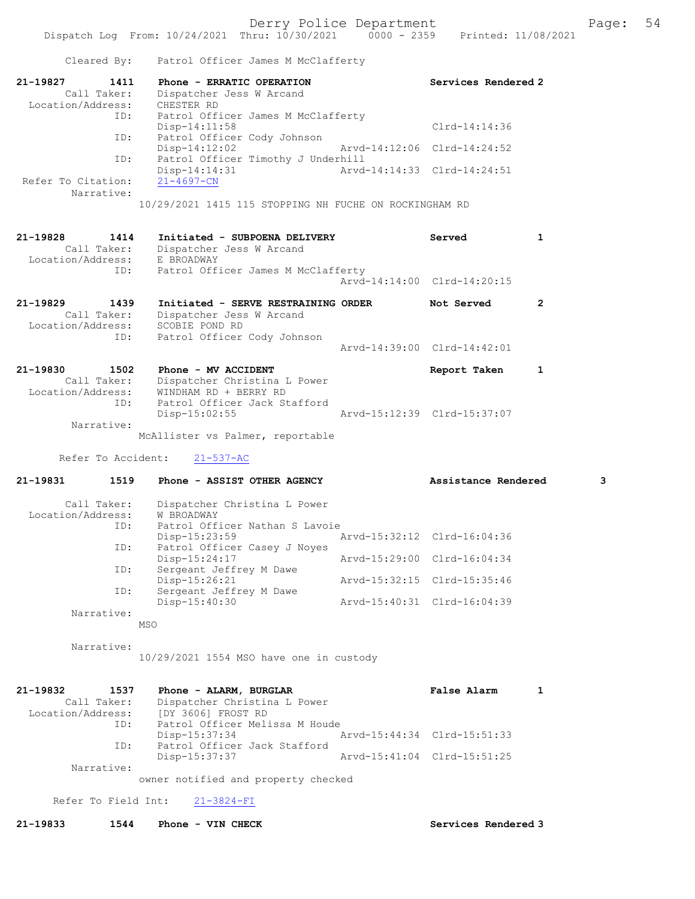|                                                             | Cleared By: Patrol Officer James M McClafferty                                                                   |                             |              |
|-------------------------------------------------------------|------------------------------------------------------------------------------------------------------------------|-----------------------------|--------------|
| 21-19827<br>1411<br>Call Taker:<br>Location/Address:        | Phone - ERRATIC OPERATION<br>Dispatcher Jess W Arcand<br>CHESTER RD                                              | Services Rendered 2         |              |
| ID:                                                         | Patrol Officer James M McClafferty<br>$Disp-14:11:58$                                                            | $Clrd-14:14:36$             |              |
| ID:                                                         | Patrol Officer Cody Johnson<br>$Disp-14:12:02$                                                                   | Arvd-14:12:06 Clrd-14:24:52 |              |
| ID:                                                         | Patrol Officer Timothy J Underhill<br>$Disp-14:14:31$                                                            | Arvd-14:14:33 Clrd-14:24:51 |              |
| Refer To Citation:<br>Narrative:                            | $21 - 4697 - CN$                                                                                                 |                             |              |
|                                                             | 10/29/2021 1415 115 STOPPING NH FUCHE ON ROCKINGHAM RD                                                           |                             |              |
| 21-19828<br>1414<br>Call Taker:<br>Location/Address:        | Initiated - SUBPOENA DELIVERY<br>Dispatcher Jess W Arcand<br>E BROADWAY                                          | Served                      | 1            |
| ID:                                                         | Patrol Officer James M McClafferty                                                                               | Arvd-14:14:00 Clrd-14:20:15 |              |
| 21-19829<br>1439<br>Call Taker:<br>Location/Address:<br>ID: | Initiated - SERVE RESTRAINING ORDER<br>Dispatcher Jess W Arcand<br>SCOBIE POND RD<br>Patrol Officer Cody Johnson | Not Served                  | 2            |
|                                                             |                                                                                                                  | Arvd-14:39:00 Clrd-14:42:01 |              |
| 21-19830<br>1502<br>Call Taker:<br>Location/Address:<br>ID: | Phone - MV ACCIDENT<br>Dispatcher Christina L Power<br>WINDHAM RD + BERRY RD<br>Patrol Officer Jack Stafford     | Report Taken                | $\mathbf{1}$ |
| Narrative:                                                  | $Disp-15:02:55$                                                                                                  | Arvd-15:12:39 Clrd-15:37:07 |              |
|                                                             | McAllister vs Palmer, reportable                                                                                 |                             |              |
| Refer To Accident:                                          | $21 - 537 - AC$                                                                                                  |                             |              |
| 21-19831<br>1519                                            | Phone - ASSIST OTHER AGENCY                                                                                      | Assistance Rendered         | 3            |
| Call Taker:<br>Location/Address:<br>ID:                     | Dispatcher Christina L Power<br>W BROADWAY<br>Patrol Officer Nathan S Lavoie                                     |                             |              |
| ID:                                                         | Disp-15:23:59<br>Patrol Officer Casey J Noyes                                                                    | Aryd-15:32:12 Clrd-16:04:36 |              |
| ID:                                                         | Disp-15:24:17<br>Sergeant Jeffrey M Dawe                                                                         | Arvd-15:29:00 Clrd-16:04:34 |              |
| ID:                                                         | Disp-15:26:21<br>Sergeant Jeffrey M Dawe                                                                         | Arvd-15:32:15 Clrd-15:35:46 |              |
| Narrative:                                                  | Disp-15:40:30<br>MSO                                                                                             | Arvd-15:40:31 Clrd-16:04:39 |              |
| Narrative:                                                  |                                                                                                                  |                             |              |
|                                                             | 10/29/2021 1554 MSO have one in custody                                                                          |                             |              |
| 21-19832<br>1537<br>Call Taker:<br>Location/Address:<br>ID: | Phone - ALARM, BURGLAR<br>Dispatcher Christina L Power<br>[DY 3606] FROST RD<br>Patrol Officer Melissa M Houde   | False Alarm                 | 1            |
| ID:                                                         | Disp-15:37:34<br>Patrol Officer Jack Stafford                                                                    | Arvd-15:44:34 Clrd-15:51:33 |              |
| Narrative:                                                  | Disp-15:37:37                                                                                                    | Arvd-15:41:04 Clrd-15:51:25 |              |
|                                                             | owner notified and property checked                                                                              |                             |              |
| Refer To Field Int:                                         | $21 - 3824 - FI$                                                                                                 |                             |              |

21-19833 1544 Phone - VIN CHECK Services Rendered 3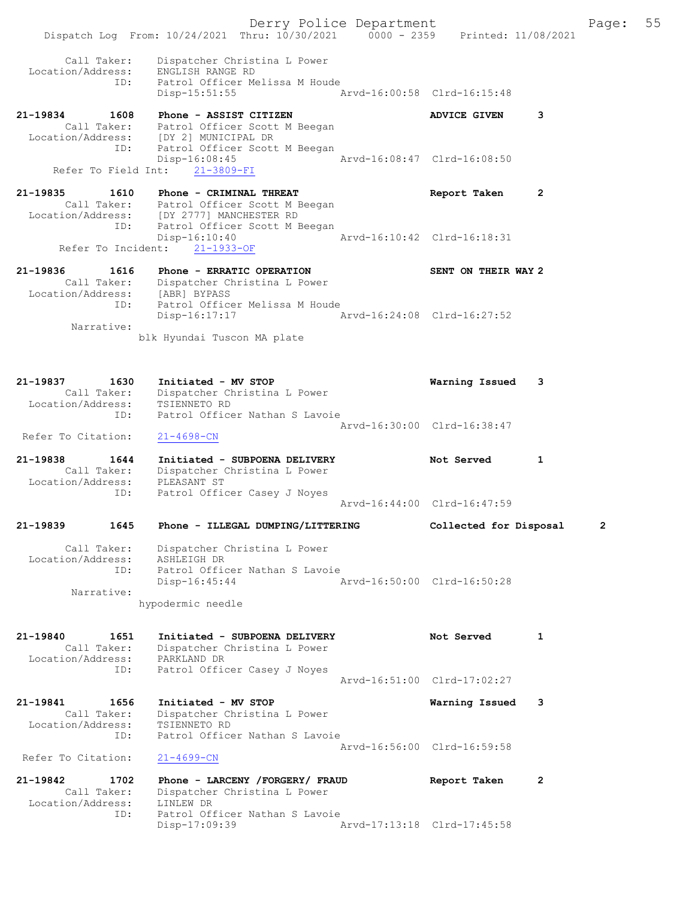Derry Police Department Fage: 55 Dispatch Log From: 10/24/2021 Thru: 10/30/2021 0000 - 2359 Printed: 11/08/2021 Call Taker: Dispatcher Christina L Power Location/Address: ENGLISH RANGE RD ID: Patrol Officer Melissa M Houde Disp-15:51:55 Arvd-16:00:58 Clrd-16:15:48 21-19834 1608 Phone - ASSIST CITIZEN 1980 ADVICE GIVEN 3 Call Taker: Patrol Officer Scott M Beegan Location/Address: [DY 2] MUNICIPAL DR ID: Patrol Officer Scott M Beegan Disp-16:08:45 Arvd-16:08:47 Clrd-16:08:50 Refer To Field Int: 21-3809-FI 21-19835 1610 Phone - CRIMINAL THREAT Report Taken 2 Call Taker: Patrol Officer Scott M Beegan Location/Address: [DY 2777] MANCHESTER RD ID: Patrol Officer Scott M Beegan Disp-16:10:40 Arvd-16:10:42 Clrd-16:18:31 Refer To Incident: 21-1933-OF 21-19836 1616 Phone - ERRATIC OPERATION SENT ON THEIR WAY 2 Call Taker: Dispatcher Christina L Power Location/Address: [ABR] BYPASS ID: Patrol Officer Melissa M Houde Disp-16:17:17 Arvd-16:24:08 Clrd-16:27:52 Narrative: blk Hyundai Tuscon MA plate 21-19837 1630 Initiated - MV STOP Warning Issued 3 Call Taker: Dispatcher Christina L Power Location/Address: TSIENNETO RD ID: Patrol Officer Nathan S Lavoie Arvd-16:30:00 Clrd-16:38:47 Refer To Citation: 21-4698-CN 21-19838 1644 Initiated - SUBPOENA DELIVERY Not Served 1 Call Taker: Dispatcher Christina L Power Location/Address: PLEASANT ST ID: Patrol Officer Casey J Noyes Arvd-16:44:00 Clrd-16:47:59 21-19839 1645 Phone - ILLEGAL DUMPING/LITTERING Collected for Disposal 2 Call Taker: Dispatcher Christina L Power Location/Address: ASHLEIGH DR ID: Patrol Officer Nathan S Lavoie Disp-16:45:44 Arvd-16:50:00 Clrd-16:50:28 Narrative: hypodermic needle 21-19840 1651 Initiated - SUBPOENA DELIVERY Not Served 1 Call Taker: Dispatcher Christina L Power Location/Address: PARKLAND DR ID: Patrol Officer Casey J Noyes Arvd-16:51:00 Clrd-17:02:27 21-19841 1656 Initiated - MV STOP Warning Issued 3 Call Taker: Dispatcher Christina L Power Location/Address: TSIENNETO RD ID: Patrol Officer Nathan S Lavoie Arvd-16:56:00 Clrd-16:59:58 Refer To Citation: 21-4699-CN 21-19842 1702 Phone - LARCENY /FORGERY/ FRAUD Report Taken 2 Call Taker: Dispatcher Christina L Power Location/Address: LINLEW DR ID: Patrol Officer Nathan S Lavoie Disp-17:09:39 Arvd-17:13:18 Clrd-17:45:58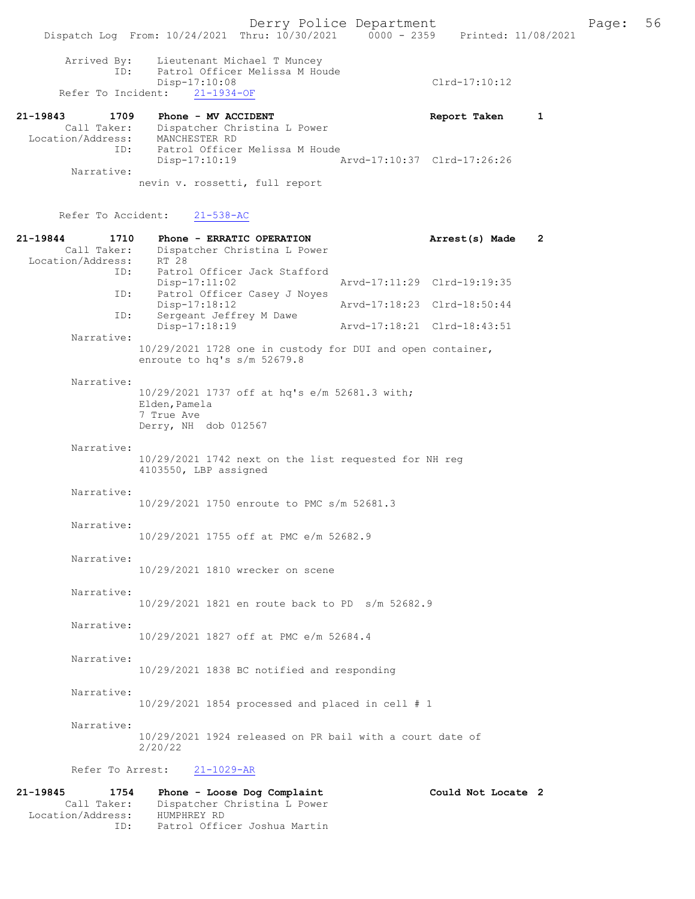|                                              | Dispatch Log From: 10/24/2021 Thru: 10/30/2021 0000 - 2359 Printed: 11/08/2021                                     |                                                               | Derry Police Department     |                                                            |   |
|----------------------------------------------|--------------------------------------------------------------------------------------------------------------------|---------------------------------------------------------------|-----------------------------|------------------------------------------------------------|---|
| Arrived By:<br>ID:                           | Disp-17:10:08<br>Refer To Incident: 21-1934-OF                                                                     | Lieutenant Michael T Muncey<br>Patrol Officer Melissa M Houde |                             | $Clrd-17:10:12$                                            |   |
| 21-19843<br>1709<br>Location/Address:<br>ID: | Phone - MV ACCIDENT<br>Call Taker: Dispatcher Christina L Power<br>MANCHESTER RD<br>Patrol Officer Melissa M Houde |                                                               |                             | Report Taken                                               | 1 |
| Narrative:                                   | Disp-17:10:19<br>nevin v. rossetti, full report                                                                    |                                                               | Arvd-17:10:37 Clrd-17:26:26 |                                                            |   |
| Refer To Accident:                           | $21 - 538 - AC$                                                                                                    |                                                               |                             |                                                            |   |
| 21-19844<br>1710<br>Location/Address:        | Call Taker: Dispatcher Christina L Power<br>RT 28                                                                  | Phone - ERRATIC OPERATION                                     |                             | Arrest(s) Made                                             | 2 |
| ID:                                          | Patrol Officer Jack Stafford<br>Disp-17:11:02<br>ID:                                                               | Patrol Officer Casey J Noyes                                  | Arvd-17:11:29 Clrd-19:19:35 |                                                            |   |
| ID:                                          | Disp-17:18:12<br>Sergeant Jeffrey M Dawe<br>Disp-17:18:19                                                          |                                                               |                             | Arvd-17:18:23 Clrd-18:50:44<br>Arvd-17:18:21 Clrd-18:43:51 |   |
| Narrative:                                   | 10/29/2021 1728 one in custody for DUI and open container,<br>enroute to hq's s/m 52679.8                          |                                                               |                             |                                                            |   |
| Narrative:                                   | 10/29/2021 1737 off at hq's e/m 52681.3 with;<br>Elden, Pamela<br>7 True Ave<br>Derry, NH dob 012567               |                                                               |                             |                                                            |   |
| Narrative:                                   | 10/29/2021 1742 next on the list requested for NH reg<br>4103550, LBP assigned                                     |                                                               |                             |                                                            |   |
| Narrative:                                   | 10/29/2021 1750 enroute to PMC s/m 52681.3                                                                         |                                                               |                             |                                                            |   |
| Narrative:                                   | 10/29/2021 1755 off at PMC e/m 52682.9                                                                             |                                                               |                             |                                                            |   |
| Narrative:                                   | 10/29/2021 1810 wrecker on scene                                                                                   |                                                               |                             |                                                            |   |
| Narrative:                                   | 10/29/2021 1821 en route back to PD s/m 52682.9                                                                    |                                                               |                             |                                                            |   |
| Narrative:                                   | 10/29/2021 1827 off at PMC e/m 52684.4                                                                             |                                                               |                             |                                                            |   |
| Narrative:                                   | 10/29/2021 1838 BC notified and responding                                                                         |                                                               |                             |                                                            |   |
| Narrative:                                   | $10/29/2021$ 1854 processed and placed in cell # 1                                                                 |                                                               |                             |                                                            |   |
| Narrative:                                   | 10/29/2021 1924 released on PR bail with a court date of<br>2/20/22                                                |                                                               |                             |                                                            |   |
|                                              | Refer To Arrest: 21-1029-AR                                                                                        |                                                               |                             |                                                            |   |
| 21-19845<br>1754<br>Call Taker:              |                                                                                                                    | Phone - Loose Dog Complaint<br>Dispatcher Christina L Power   |                             | Could Not Locate 2                                         |   |

Location/Address: HUMPHREY RD

ID: Patrol Officer Joshua Martin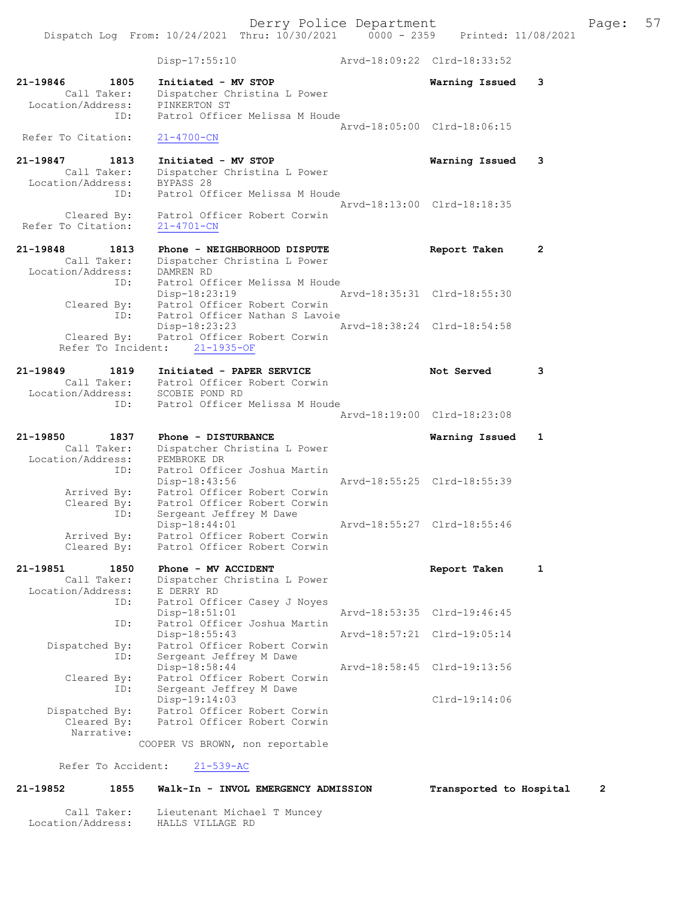Disp-17:55:10 Arvd-18:09:22 Clrd-18:33:52 21-19846 1805 Initiated - MV STOP Warning Issued 3 Call Taker: Dispatcher Christina L Power Location/Address: PINKERTON ST ID: Patrol Officer Melissa M Houde Arvd-18:05:00 Clrd-18:06:15 Refer To Citation: 21-4700-CN 21-19847 1813 Initiated - MV STOP Warning Issued 3 Call Taker: Dispatcher Christina L Power Location/Address: BYPASS 28 ID: Patrol Officer Melissa M Houde Arvd-18:13:00 Clrd-18:18:35 Cleared By: Patrol Officer Robert Corwin Refer To Citation: 21-4701-CN 21-19848 1813 Phone - NEIGHBORHOOD DISPUTE Report Taken 2 Call Taker: Dispatcher Christina L Power Location/Address: DAMREN RD ID: Patrol Officer Melissa M Houde Disp-18:23:19 Arvd-18:35:31 Clrd-18:55:30 Cleared By: Patrol Officer Robert Corwin ID: Patrol Officer Nathan S Lavoie Disp-18:23:23 Arvd-18:38:24 Clrd-18:54:58 Cleared By: Patrol Officer Robert Corwin Refer To Incident: 21-1935-OF 21-19849 1819 Initiated - PAPER SERVICE Not Served 3 Call Taker: Patrol Officer Robert Corwin Location/Address: SCOBIE POND RD ID: Patrol Officer Melissa M Houde Arvd-18:19:00 Clrd-18:23:08 21-19850 1837 Phone - DISTURBANCE Warning Issued 1 Call Taker: Dispatcher Christina L Power Location/Address: PEMBROKE DR ID: Patrol Officer Joshua Martin Arvd-18:55:25 Clrd-18:55:39 Arrived By: Patrol Officer Robert Corwin Cleared By: Patrol Officer Robert Corwin ID: Sergeant Jeffrey M Dawe Disp-18:44:01 Arvd-18:55:27 Clrd-18:55:46 Arrived By: Patrol Officer Robert Corwin Cleared By: Patrol Officer Robert Corwin 21-19851 1850 Phone - MV ACCIDENT Report Taken 1 Call Taker: Dispatcher Christina L Power Location/Address: E DERRY RD ID: Patrol Officer Casey J Noyes Disp-18:51:01 Arvd-18:53:35 Clrd-19:46:45 ID: Patrol Officer Joshua Martin Disp-18:55:43 Arvd-18:57:21 Clrd-19:05:14 Dispatched By: Patrol Officer Robert Corwin ID: Sergeant Jeffrey M Dawe Disp-18:58:44 Arvd-18:58:45 Clrd-19:13:56 Cleared By: Patrol Officer Robert Corwin ID: Sergeant Jeffrey M Dawe Disp-19:14:03 Clrd-19:14:06 Dispatched By: Patrol Officer Robert Corwin Cleared By: Patrol Officer Robert Corwin Narrative: COOPER VS BROWN, non reportable Refer To Accident: 21-539-AC

21-19852 1855 Walk-In - INVOL EMERGENCY ADMISSION Transported to Hospital 2

 Call Taker: Lieutenant Michael T Muncey Location/Address: HALLS VILLAGE RD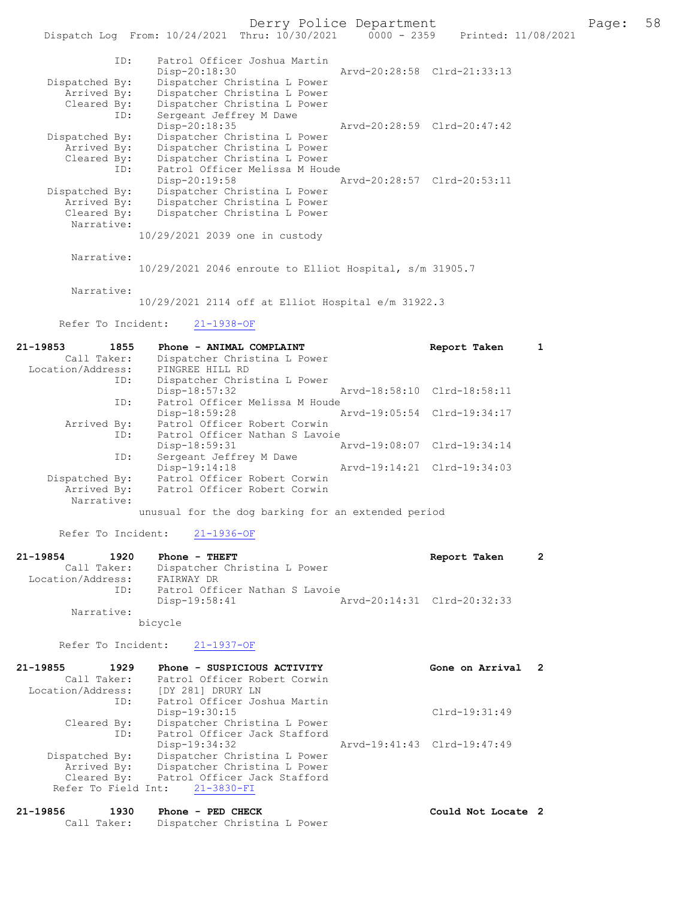Derry Police Department Fage: 58

| ID:            | Patrol Officer Joshua Martin   | Aryd-20:28:58 Clrd-21:33:13 |  |
|----------------|--------------------------------|-----------------------------|--|
|                | Disp-20:18:30                  |                             |  |
| Dispatched By: | Dispatcher Christina L Power   |                             |  |
| Arrived By:    | Dispatcher Christina L Power   |                             |  |
| Cleared By:    | Dispatcher Christina L Power   |                             |  |
| ID:            | Sergeant Jeffrey M Dawe        |                             |  |
|                | Disp-20:18:35                  | Aryd-20:28:59 Clrd-20:47:42 |  |
| Dispatched By: | Dispatcher Christina L Power   |                             |  |
| Arrived By:    | Dispatcher Christina L Power   |                             |  |
| Cleared By:    | Dispatcher Christina L Power   |                             |  |
| ID:            | Patrol Officer Melissa M Houde |                             |  |
|                | $Disp-20:19:58$                | Arvd-20:28:57 Clrd-20:53:11 |  |
| Dispatched By: | Dispatcher Christina L Power   |                             |  |
| Arrived By:    | Dispatcher Christina L Power   |                             |  |
| Cleared By:    | Dispatcher Christina L Power   |                             |  |
| Narrative:     |                                |                             |  |
|                | 10/29/2021 2039 one in custody |                             |  |

Narrative:

10/29/2021 2046 enroute to Elliot Hospital, s/m 31905.7

Narrative:

10/29/2021 2114 off at Elliot Hospital e/m 31922.3

Refer To Incident: 21-1938-OF

| $21 - 19853$      | 1855        | Phone - ANIMAL COMPLAINT                           |                             | Report Taken                |  |
|-------------------|-------------|----------------------------------------------------|-----------------------------|-----------------------------|--|
|                   | Call Taker: | Dispatcher Christina L Power                       |                             |                             |  |
| Location/Address: |             | PINGREE HILL RD                                    |                             |                             |  |
|                   | ID:         | Dispatcher Christina L Power                       |                             |                             |  |
|                   |             | $Disp-18:57:32$                                    |                             | Arvd-18:58:10 Clrd-18:58:11 |  |
|                   | ID:         | Patrol Officer Melissa M Houde                     |                             |                             |  |
|                   |             | Disp-18:59:28                                      | Arvd-19:05:54 Clrd-19:34:17 |                             |  |
|                   | Arrived By: | Patrol Officer Robert Corwin                       |                             |                             |  |
|                   | ID:         | Patrol Officer Nathan S Lavoie                     |                             |                             |  |
|                   |             | $Disp-18:59:31$                                    |                             | Arvd-19:08:07 Clrd-19:34:14 |  |
|                   | ID:         | Sergeant Jeffrey M Dawe                            |                             |                             |  |
|                   |             | Disp-19:14:18                                      |                             | Arvd-19:14:21 Clrd-19:34:03 |  |
| Dispatched By:    |             | Patrol Officer Robert Corwin                       |                             |                             |  |
|                   |             | Arrived By: Patrol Officer Robert Corwin           |                             |                             |  |
|                   | Narrative:  |                                                    |                             |                             |  |
|                   |             | unusual for the dog barking for an extended period |                             |                             |  |

Refer To Incident: 21-1936-OF

| 21-19854          | 1920        | $Phone - THEFT$                | Report Taken                |  |
|-------------------|-------------|--------------------------------|-----------------------------|--|
|                   | Call Taker: | Dispatcher Christina L Power   |                             |  |
| Location/Address: |             | FAIRWAY DR                     |                             |  |
| TD:               |             | Patrol Officer Nathan S Lavoie |                             |  |
|                   |             | Disp-19:58:41                  | Arvd-20:14:31 Clrd-20:32:33 |  |
|                   | Narrative:  |                                |                             |  |

bicycle

Refer To Incident: 21-1937-OF

| 21-19855          | 1929           | Phone - SUSPICIOUS ACTIVITY    | Gone on Arrival             | $\overline{2}$ |
|-------------------|----------------|--------------------------------|-----------------------------|----------------|
|                   | Call Taker:    | Patrol Officer Robert Corwin   |                             |                |
| Location/Address: |                | [DY 281] DRURY LN              |                             |                |
|                   | ID:            | Patrol Officer Joshua Martin   |                             |                |
|                   |                | Disp-19:30:15                  | $Clrd-19:31:49$             |                |
|                   | Cleared By:    | Dispatcher Christina L Power   |                             |                |
|                   | ID:            | Patrol Officer Jack Stafford   |                             |                |
|                   |                | $Disp-19:34:32$                | Arvd-19:41:43 Clrd-19:47:49 |                |
|                   | Dispatched By: | Dispatcher Christina L Power   |                             |                |
|                   | Arrived By:    | Dispatcher Christina L Power   |                             |                |
|                   | Cleared By:    | Patrol Officer Jack Stafford   |                             |                |
|                   |                | Refer To Field Int: 21-3830-FI |                             |                |
|                   |                |                                |                             |                |

| 21-19856 | 1930<br>Phone - PED CHECK |                                          | Could Not Locate 2 |  |
|----------|---------------------------|------------------------------------------|--------------------|--|
|          |                           | Call Taker: Dispatcher Christina L Power |                    |  |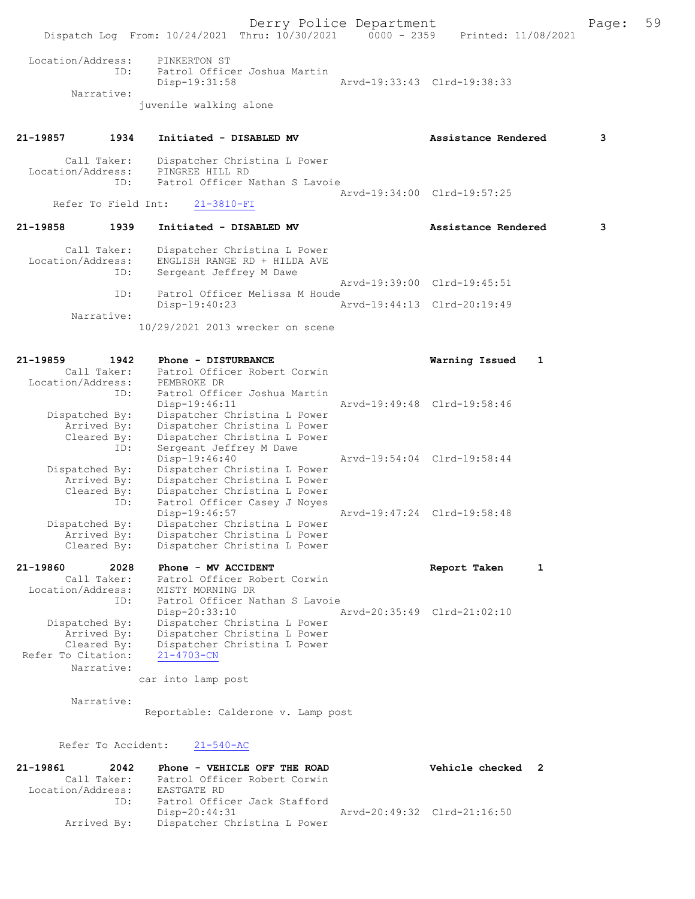Derry Police Department Form Page: 59 Dispatch Log From: 10/24/2021 Thru: 10/30/2021 0000 - 2359 Printed: 11/08/2021 Location/Address: PINKERTON ST ID: Patrol Officer Joshua Martin Disp-19:31:58 Arvd-19:33:43 Clrd-19:38:33 Narrative: juvenile walking alone 21-19857 1934 Initiated - DISABLED MV Assistance Rendered 3 Call Taker: Dispatcher Christina L Power<br>ion/Address: PINGREE HILL RD Location/Address:<br>ID: Patrol Officer Nathan S Lavoie Arvd-19:34:00 Clrd-19:57:25<br>21-3810-FI Refer To Field Int: 21-19858 1939 Initiated - DISABLED MV Assistance Rendered 3 Call Taker: Dispatcher Christina L Power Location/Address: ENGLISH RANGE RD + HILDA AVE ID: Sergeant Jeffrey M Dawe Arvd-19:39:00 Clrd-19:45:51<br>TD: Patrol Officer Melissa M Houde Patrol Officer Melissa M Houde Disp-19:40:23 Arvd-19:44:13 Clrd-20:19:49 Narrative: 10/29/2021 2013 wrecker on scene 21-19859 1942 Phone - DISTURBANCE Warning Issued 1 Call Taker: Patrol Officer Robert Corwin Location/Address: PEMBROKE DR ID: Patrol Officer Joshua Martin<br>Disp-19:46:11 Arvd-19:49:48 Clrd-19:58:46 Dispatched By: Dispatcher Christina L Power Arrived By: Dispatcher Christina L Power Cleared By: Dispatcher Christina L Power ID: Sergeant Jeffrey M Dawe Disp-19:46:40 Arvd-19:54:04 Clrd-19:58:44<br>Dispatched By: Dispatcher Christina L Power Dispatcher Christina L Power Arrived By: Dispatcher Christina L Power<br>Cleared By: Dispatcher Christina L Power Dispatcher Christina L Power ID: Patrol Officer Casey J Noyes<br>Disp-19:46:57 Disp-19:46:57 Arvd-19:47:24 Clrd-19:58:48<br>Dispatched By: Dispatcher Christina L Power patched By: Dispatcher Christina L Power<br>Arrived By: Dispatcher Christina L Power Arrived By: Dispatcher Christina L Power<br>Cleared By: Dispatcher Christina L Power Dispatcher Christina L Power 21-19860 2028 Phone - MV ACCIDENT Report Taken 1 Call Taker: Patrol Officer Robert Corwin Location/Address: MISTY MORNING DR ID: Patrol Officer Nathan S Lavoie<br>Disp-20:33:10 Disp-20:33:10 Arvd-20:35:49 Clrd-21:02:10<br>Dispatched By: Dispatcher Christina L Power Dispatched By: Dispatcher Christina L Power Arrived By: Dispatcher Christina L Power Cleared By: Dispatcher Christina L Power Refer To Citation: 21-4703-CN Narrative: car into lamp post Narrative: Reportable: Calderone v. Lamp post Refer To Accident: 21-540-AC 21-19861 2042 Phone - VEHICLE OFF THE ROAD Vehicle checked 2 Call Taker: Patrol Officer Robert Corwin Location/Address: EASTGATE RD ID: Patrol Officer Jack Stafford Disp-20:44:31 Arvd-20:49:32 Clrd-21:16:50<br>Arrived By: Dispatcher Christina L Power Dispatcher Christina L Power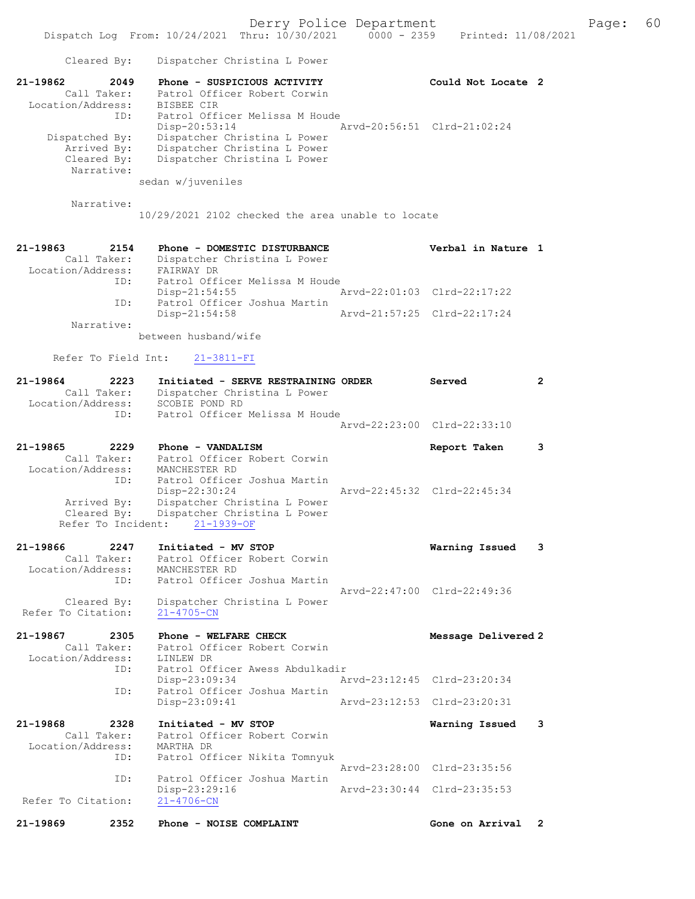Dispatch Log From: 10/24/2021 Thru: 10/30/2021 0000 - 2359 Printed: 11/08/2021 Cleared By: Dispatcher Christina L Power 21-19862 2049 Phone - SUSPICIOUS ACTIVITY Could Not Locate 2 Call Taker: Patrol Officer Robert Corwin Location/Address: BISBEE CIR ID: Patrol Officer Melissa M Houde<br>Disp-20:53:14 Arvd-20:56:51 Clrd-21:02:24 Disp-20:53:14 Arvd-20:56:51 Clrd-21:02:24 Dispatched By: Dispatcher Christina L Power Arrived By: Dispatcher Christina L Power Cleared By: Dispatcher Christina L Power Narrative: sedan w/juveniles Narrative: 10/29/2021 2102 checked the area unable to locate 21-19863 2154 Phone - DOMESTIC DISTURBANCE Verbal in Nature 1 Call Taker: Dispatcher Christina L Power Location/Address: FAIRWAY DR ID: Patrol Officer Melissa M Houde Disp-21:54:55 Arvd-22:01:03 Clrd-22:17:22 ID: Patrol Officer Joshua Martin Disp-21:54:58 Arvd-21:57:25 Clrd-22:17:24 Narrative: between husband/wife Refer To Field Int: 21-3811-FI 21-19864 2223 Initiated - SERVE RESTRAINING ORDER Served 2 Call Taker: Dispatcher Christina L Power Location/Address: SCOBIE POND RD ID: Patrol Officer Melissa M Houde Arvd-22:23:00 Clrd-22:33:10 21-19865 2229 Phone - VANDALISM 2008 2009 Report Taken 3 Call Taker: Patrol Officer Robert Corwin Location/Address: MANCHESTER RD ID: Patrol Officer Joshua Martin Disp-22:30:24 Arvd-22:45:32 Clrd-22:45:34 Arrived By: Dispatcher Christina L Power Cleared By: Dispatcher Christina L Power Refer To Incident: 21-1939-OF 21-19866 2247 Initiated - MV STOP Warning Issued 3 Call Taker: Patrol Officer Robert Corwin Location/Address: MANCHESTER RD ID: Patrol Officer Joshua Martin Arvd-22:47:00 Clrd-22:49:36 Cleared By: Dispatcher Christina L Power Refer To Citation: 21-4705-CN 21-19867 2305 Phone - WELFARE CHECK Message Delivered 2 Call Taker: Patrol Officer Robert Corwin -19867<br>Call Taker: Patrol U.L.<br>Location/Address: LINLEW DR<br>ID: Patrol Of: ID: Patrol Officer Awess Abdulkadir Disp-23:09:34 Arvd-23:12:45 Clrd-23:20:34<br>TD: Patrol Officer Joshua Martin Patrol Officer Joshua Martin<br>Disp-23:09:41 Disp-23:09:41 Arvd-23:12:53 Clrd-23:20:31 21-19868 2328 Initiated - MV STOP Warning Issued 3 Call Taker: Patrol Officer Robert Corwin Location/Address: MARTHA DR ID: Patrol Officer Nikita Tomnyuk Arvd-23:28:00 Clrd-23:35:56 ID: Patrol Officer Joshua Martin Disp-23:29:16 <br>
21-4706-CN<br>
21-4706-CN Refer To Citation: 21-19869 2352 Phone - NOISE COMPLAINT CONSTRUCTED Gone on Arrival 2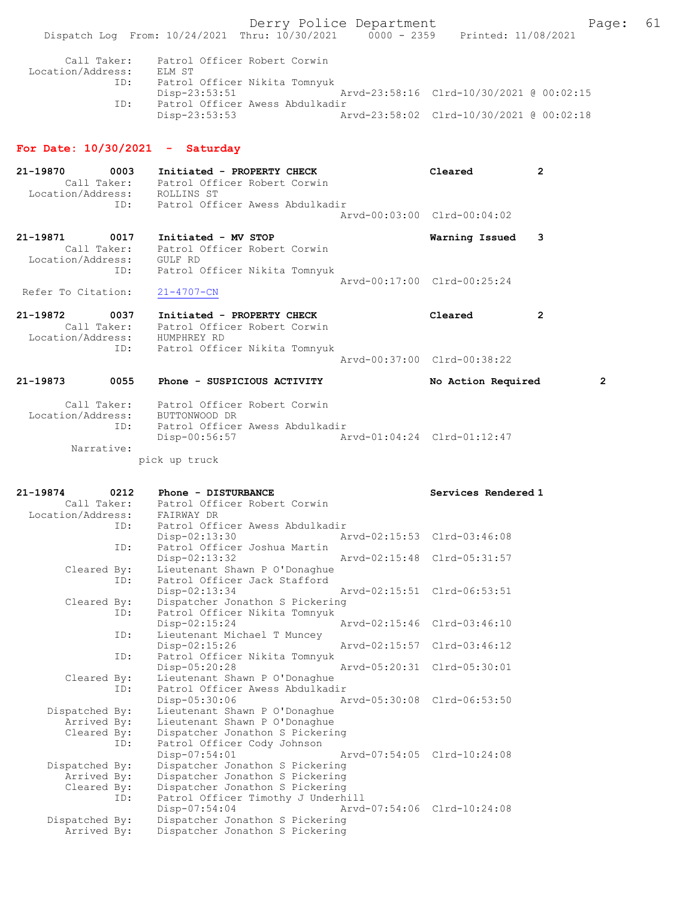Derry Police Department Fage: 61

| Call Taker:       | Patrol Officer Robert Corwin    |  |                                          |  |
|-------------------|---------------------------------|--|------------------------------------------|--|
| Location/Address: | ELM ST                          |  |                                          |  |
| ID:               | Patrol Officer Nikita Tomnyuk   |  |                                          |  |
|                   | Disp-23:53:51                   |  | Arvd-23:58:16 Clrd-10/30/2021 @ 00:02:15 |  |
| ID:               | Patrol Officer Awess Abdulkadir |  |                                          |  |
|                   | Disp-23:53:53                   |  | Arvd-23:58:02 Clrd-10/30/2021 @ 00:02:18 |  |

#### For Date: 10/30/2021 - Saturday

| 21-19870<br>Location/Address: | 0003<br>Call Taker: | Initiated - PROPERTY CHECK<br>Patrol Officer Robert Corwin<br>ROLLINS ST |  | Cleared                     |  |
|-------------------------------|---------------------|--------------------------------------------------------------------------|--|-----------------------------|--|
|                               | ID:                 | Patrol Officer Awess Abdulkadir                                          |  | Aryd-00:03:00 Clrd-00:04:02 |  |
| 21-19871<br>Location/Address: | 0017<br>Call Taker: | Initiated - MV STOP<br>Patrol Officer Robert Corwin<br>GULF RD           |  | Warning Issued 3            |  |

 ID: Patrol Officer Nikita Tomnyuk Arvd-00:17:00 Clrd-00:25:24 Refer To Citation: 21-4707-CN

21-19872 0037 Initiated - PROPERTY CHECK Cleared 2 Call Taker: Patrol Officer Robert Corwin Location/Address: HUMPHREY RD ID: Patrol Officer Nikita Tomnyuk Arvd-00:37:00 Clrd-00:38:22

# 21-19873 0055 Phone - SUSPICIOUS ACTIVITY No Action Required 2 Call Taker: Patrol Officer Robert Corwin Location/Address: BUTTONWOOD DR ID: Patrol Officer Awess Abdulkadir Disp-00:56:57 Arvd-01:04:24 Clrd-01:12:47

Narrative:

pick up truck

| 21-19874          | 0212 | Phone - DISTURBANCE                |                             | Services Rendered 1         |  |  |
|-------------------|------|------------------------------------|-----------------------------|-----------------------------|--|--|
| Call Taker:       |      | Patrol Officer Robert Corwin       |                             |                             |  |  |
| Location/Address: |      | FAIRWAY DR                         |                             |                             |  |  |
|                   | ID:  | Patrol Officer Awess Abdulkadir    |                             |                             |  |  |
|                   |      | $Disp-02:13:30$                    |                             | Arvd-02:15:53 Clrd-03:46:08 |  |  |
|                   | ID:  | Patrol Officer Joshua Martin       |                             |                             |  |  |
|                   |      | Disp-02:13:32                      |                             | Arvd-02:15:48 Clrd-05:31:57 |  |  |
| Cleared By:       |      | Lieutenant Shawn P O'Donaghue      |                             |                             |  |  |
|                   | ID:  | Patrol Officer Jack Stafford       |                             |                             |  |  |
|                   |      | Disp-02:13:34                      |                             | Aryd-02:15:51 Clrd-06:53:51 |  |  |
| Cleared By:       |      | Dispatcher Jonathon S Pickering    |                             |                             |  |  |
|                   | ID:  | Patrol Officer Nikita Tomnyuk      |                             |                             |  |  |
|                   |      | Disp-02:15:24                      |                             | Arvd-02:15:46 Clrd-03:46:10 |  |  |
|                   | ID:  | Lieutenant Michael T Muncey        |                             |                             |  |  |
|                   |      | Disp-02:15:26                      |                             | Arvd-02:15:57 Clrd-03:46:12 |  |  |
|                   | ID:  | Patrol Officer Nikita Tomnyuk      |                             |                             |  |  |
|                   |      | Disp-05:20:28                      | Arvd-05:20:31 Clrd-05:30:01 |                             |  |  |
| Cleared By:       |      | Lieutenant Shawn P O'Donaghue      |                             |                             |  |  |
|                   | ID:  | Patrol Officer Awess Abdulkadir    |                             |                             |  |  |
|                   |      | $Disp-05:30:06$                    | Arvd-05:30:08 Clrd-06:53:50 |                             |  |  |
| Dispatched By:    |      | Lieutenant Shawn P O'Donaghue      |                             |                             |  |  |
| Arrived By:       |      | Lieutenant Shawn P O'Donaghue      |                             |                             |  |  |
| Cleared By:       |      | Dispatcher Jonathon S Pickering    |                             |                             |  |  |
|                   | ID:  | Patrol Officer Cody Johnson        |                             |                             |  |  |
|                   |      | Disp-07:54:01                      | Arvd-07:54:05 Clrd-10:24:08 |                             |  |  |
| Dispatched By:    |      | Dispatcher Jonathon S Pickering    |                             |                             |  |  |
| Arrived By:       |      | Dispatcher Jonathon S Pickering    |                             |                             |  |  |
| Cleared By:       |      | Dispatcher Jonathon S Pickering    |                             |                             |  |  |
|                   | ID:  | Patrol Officer Timothy J Underhill |                             |                             |  |  |
|                   |      | Disp-07:54:04                      | Arvd-07:54:06 Clrd-10:24:08 |                             |  |  |
| Dispatched By:    |      | Dispatcher Jonathon S Pickering    |                             |                             |  |  |
| Arrived By:       |      | Dispatcher Jonathon S Pickering    |                             |                             |  |  |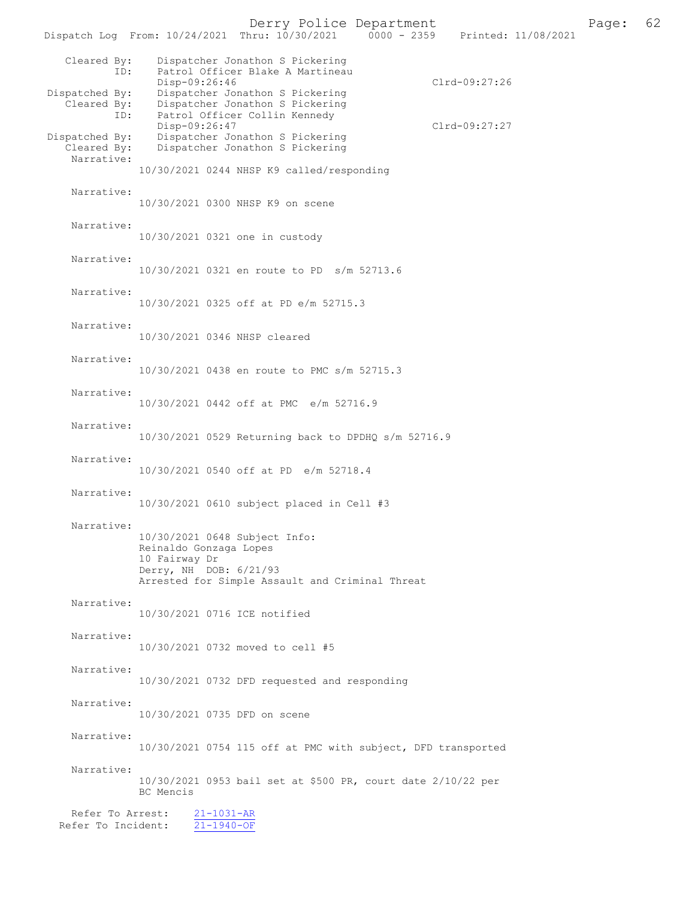Derry Police Department Page: 62 Dispatch Log From: 10/24/2021 Thru: 10/30/2021 Cleared By: Dispatcher Jonathon S Pickering ID: Patrol Officer Blake A Martineau Disp-09:26:46 Clrd-09:27:26<br>Dispatched By: Dispatcher Jonathon S Pickering Clrd-09:27:26 patched By: Dispatcher Jonathon S Pickering<br>Cleared By: Dispatcher Jonathon S Pickering Dispatcher Jonathon S Pickering ID: Patrol Officer Collin Kennedy Disp-09:26:47 Clrd-09:27:27<br>Dispatched By: Dispatcher Jonathon S Pickering Clrd-09:27:27 patched By: Dispatcher Jonathon S Pickering<br>Cleared By: Dispatcher Jonathon S Pickering Dispatcher Jonathon S Pickering Narrative: 10/30/2021 0244 NHSP K9 called/responding Narrative: 10/30/2021 0300 NHSP K9 on scene Narrative: 10/30/2021 0321 one in custody Narrative: 10/30/2021 0321 en route to PD s/m 52713.6 Narrative: 10/30/2021 0325 off at PD e/m 52715.3 Narrative: 10/30/2021 0346 NHSP cleared Narrative: 10/30/2021 0438 en route to PMC s/m 52715.3 Narrative: 10/30/2021 0442 off at PMC e/m 52716.9 Narrative: 10/30/2021 0529 Returning back to DPDHQ s/m 52716.9 Narrative: 10/30/2021 0540 off at PD e/m 52718.4 Narrative: 10/30/2021 0610 subject placed in Cell #3 Narrative: 10/30/2021 0648 Subject Info: Reinaldo Gonzaga Lopes 10 Fairway Dr Derry, NH DOB: 6/21/93 Arrested for Simple Assault and Criminal Threat Narrative: 10/30/2021 0716 ICE notified Narrative: 10/30/2021 0732 moved to cell #5 Narrative: 10/30/2021 0732 DFD requested and responding Narrative: 10/30/2021 0735 DFD on scene Narrative: 10/30/2021 0754 115 off at PMC with subject, DFD transported Narrative: 10/30/2021 0953 bail set at \$500 PR, court date 2/10/22 per BC Mencis Refer To Arrest: 21-1031-AR Refer To Incident: 21-1940-OF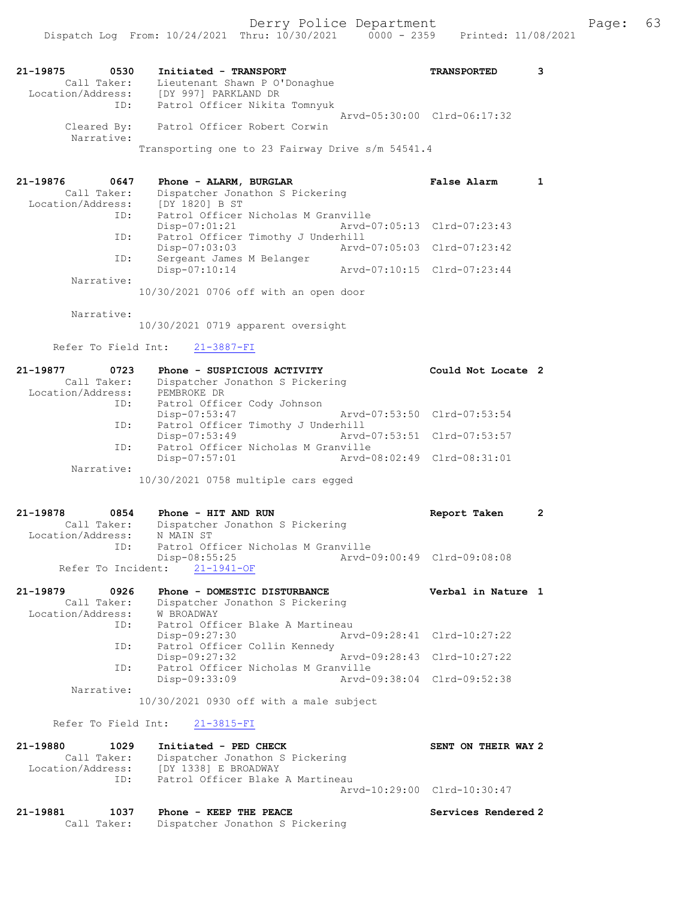| 21-19875<br>0530<br>Call Taker: | Initiated - TRANSPORT<br>Lieutenant Shawn P O'Donaghue | <b>TRANSPORTED</b> |  |
|---------------------------------|--------------------------------------------------------|--------------------|--|
| Location/Address:<br>ID:        | [DY 997] PARKLAND DR<br>Patrol Officer Nikita Tomnyuk  |                    |  |
|                                 | Aryd-05:30:00 Clrd-06:17:32                            |                    |  |
| Cleared By:<br>Narrative:       | Patrol Officer Robert Corwin                           |                    |  |
|                                 | Transporting one to 23 Fairway Drive s/m 54541.4       |                    |  |

| 21-19876<br>0647<br>Call Taker:<br>Location/Address: | Phone - ALARM, BURGLAR<br>Dispatcher Jonathon S Pickering<br>[DY 1820] B ST | <b>False Alarm</b>          |  |
|------------------------------------------------------|-----------------------------------------------------------------------------|-----------------------------|--|
| ID:                                                  | Patrol Officer Nicholas M Granville                                         |                             |  |
|                                                      | Arvd-07:05:13 Clrd-07:23:43<br>$Disp-07:01:21$                              |                             |  |
| ID:                                                  | Patrol Officer Timothy J Underhill                                          |                             |  |
|                                                      | Arvd-07:05:03 Clrd-07:23:42<br>$Disp-07:03:03$                              |                             |  |
| ID:                                                  | Sergeant James M Belanger                                                   |                             |  |
|                                                      | $Disp-07:10:14$                                                             | Arvd-07:10:15 Clrd-07:23:44 |  |
| Narrative:                                           |                                                                             |                             |  |

10/30/2021 0706 off with an open door

Narrative:

10/30/2021 0719 apparent oversight

## Refer To Field Int: 21-3887-FI

| 21-19877          | 0723       | Phone - SUSPICIOUS ACTIVITY           |                             | Could Not Locate 2          |
|-------------------|------------|---------------------------------------|-----------------------------|-----------------------------|
| Call Taker:       |            | Dispatcher Jonathon S Pickering       |                             |                             |
| Location/Address: |            | PEMBROKE DR                           |                             |                             |
|                   | ID:        | Patrol Officer Cody Johnson           |                             |                             |
|                   |            | Disp-07:53:47                         |                             | Arvd-07:53:50 Clrd-07:53:54 |
|                   | ID:        | Patrol Officer Timothy J Underhill    |                             |                             |
|                   |            | Disp-07:53:49                         | Arvd-07:53:51 Clrd-07:53:57 |                             |
|                   | ID:        | Patrol Officer Nicholas M Granville   |                             |                             |
|                   |            | $Disp-07:57:01$                       |                             | Arvd-08:02:49 Clrd-08:31:01 |
|                   | Narrative: |                                       |                             |                             |
|                   |            | $10/30/2021$ 0758 multiple cars eqged |                             |                             |

| 21-19878          | 0854        |           | Phone - HIT AND RUN             |                                     | Report Taken |  |
|-------------------|-------------|-----------|---------------------------------|-------------------------------------|--------------|--|
|                   | Call Taker: |           | Dispatcher Jonathon S Pickering |                                     |              |  |
| Location/Address: |             | N MAIN ST |                                 |                                     |              |  |
| ID:               |             |           |                                 | Patrol Officer Nicholas M Granville |              |  |
|                   |             |           | Disp-08:55:25                   | Aryd-09:00:49 Clrd-09:08:08         |              |  |
|                   |             |           | Refer To Incident: 21-1941-OF   |                                     |              |  |

| 21-19879          | 0926        | Phone - DOMESTIC DISTURBANCE     |                                     | Verbal in Nature 1 |
|-------------------|-------------|----------------------------------|-------------------------------------|--------------------|
|                   | Call Taker: | Dispatcher Jonathon S Pickering  |                                     |                    |
| Location/Address: |             | W BROADWAY                       |                                     |                    |
|                   | ID:         | Patrol Officer Blake A Martineau |                                     |                    |
|                   |             | Disp-09:27:30                    | Arvd-09:28:41 Clrd-10:27:22         |                    |
|                   | ID:         | Patrol Officer Collin Kennedy    |                                     |                    |
|                   |             | $Disp-09:27:32$                  | Arvd-09:28:43 Clrd-10:27:22         |                    |
| ID:               |             |                                  | Patrol Officer Nicholas M Granville |                    |
|                   |             | Disp-09:33:09                    | Arvd-09:38:04 Clrd-09:52:38         |                    |
|                   | Narrative:  |                                  |                                     |                    |

10/30/2021 0930 off with a male subject

## Refer To Field Int: 21-3815-FI

| 21-19880          | 1029 | Initiated - PED CHECK            | SENT ON THEIR WAY 2 |  |
|-------------------|------|----------------------------------|---------------------|--|
| Call Taker:       |      | Dispatcher Jonathon S Pickering  |                     |  |
| Location/Address: |      | IDY 13381 E BROADWAY             |                     |  |
|                   | TD:  | Patrol Officer Blake A Martineau |                     |  |
|                   |      | Aryd-10:29:00 Clrd-10:30:47      |                     |  |

| 21-19881 | 1037 | Phone - KEEP THE PEACE                      | Services Rendered 2 |
|----------|------|---------------------------------------------|---------------------|
|          |      | Call Taker: Dispatcher Jonathon S Pickering |                     |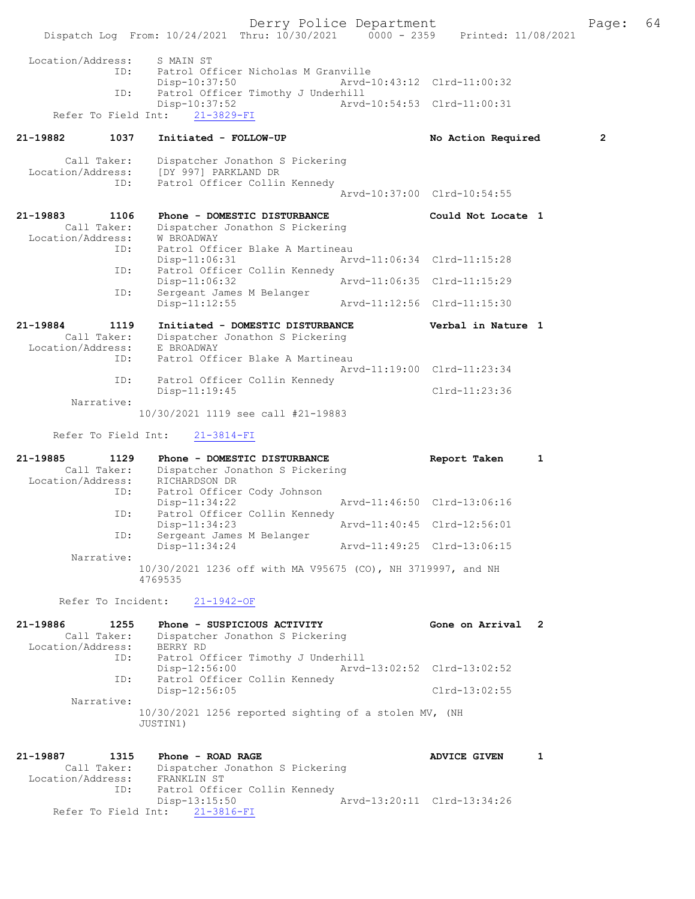Derry Police Department Fage: 64 Dispatch Log From: 10/24/2021 Thru: 10/30/2021 0000 - 2359 Printed: 11/08/2021 Location/Address: S MAIN ST ID: Patrol Officer Nicholas M Granville Disp-10:37:50 Arvd-10:43:12 Clrd-11:00:32 ID: Patrol Officer Timothy J Underhill<br>Disp-10:37:52 Arvd- Disp-10:37:52 Arvd-10:54:53 Clrd-11:00:31 Refer To Field Int: 21-3829-FI 21-19882 1037 Initiated - FOLLOW-UP No Action Required 2 Call Taker: Dispatcher Jonathon S Pickering Location/Address: [DY 997] PARKLAND DR ID: Patrol Officer Collin Kennedy Arvd-10:37:00 Clrd-10:54:55 21-19883 1106 Phone - DOMESTIC DISTURBANCE Could Not Locate 1 Call Taker: Dispatcher Jonathon S Pickering Location/Address: W BROADWAY ID: Patrol Officer Blake A Martineau<br>Disp-11:06:31 Art Disp-11:06:31 Arvd-11:06:34 Clrd-11:15:28 ID: Patrol Officer Collin Kennedy<br>Disp-11:06:32 Disp-11:06:32 Arvd-11:06:35 Clrd-11:15:29 ID: Sergeant James M Belanger Disp-11:12:55 Arvd-11:12:56 Clrd-11:15:30 21-19884 1119 Initiated - DOMESTIC DISTURBANCE Verbal in Nature 1 Call Taker: Dispatcher Jonathon S Pickering Location/Address: E BROADWAY ID: Patrol Officer Blake A Martineau Arvd-11:19:00 Clrd-11:23:34 ID: Patrol Officer Collin Kennedy Disp-11:19:45 Clrd-11:23:36 Narrative: 10/30/2021 1119 see call #21-19883 Refer To Field Int: 21-3814-FI 21-19885 1129 Phone - DOMESTIC DISTURBANCE Report Taken 1 Call Taker: Dispatcher Jonathon S Pickering Location/Address: RICHARDSON DR ID: Patrol Officer Cody Johnson Arvd-11:46:50 Clrd-13:06:16 ID: Patrol Officer Collin Kennedy<br>Disp-11:34:23 Arvd-11:40:45 Clrd-12:56:01 ID: Sergeant James M Belanger Disp-11:34:24 Arvd-11:49:25 Clrd-13:06:15 Narrative: 10/30/2021 1236 off with MA V95675 (CO), NH 3719997, and NH 4769535 Refer To Incident: 21-1942-OF 21-19886 1255 Phone - SUSPICIOUS ACTIVITY Cone on Arrival 2 Call Taker: Dispatcher Jonathon S Pickering Location/Address: BERRY RD ID: Patrol Officer Timothy J Underhill Disp-12:56:00 Arvd-13:02:52 Clrd-13:02:52 ID: Patrol Officer Collin Kennedy Disp-12:56:05 Clrd-13:02:55 Narrative: 10/30/2021 1256 reported sighting of a stolen MV, (NH JUSTIN1) 21-19887 1315 Phone - ROAD RAGE 1 21-19887 1 Call Taker: Dispatcher Jonathon S Pickering Location/Address: FRANKLIN ST ID: Patrol Officer Collin Kennedy Disp-13:15:50 Arvd-13:20:11 Clrd-13:34:26 Refer To Field Int: 21-3816-FI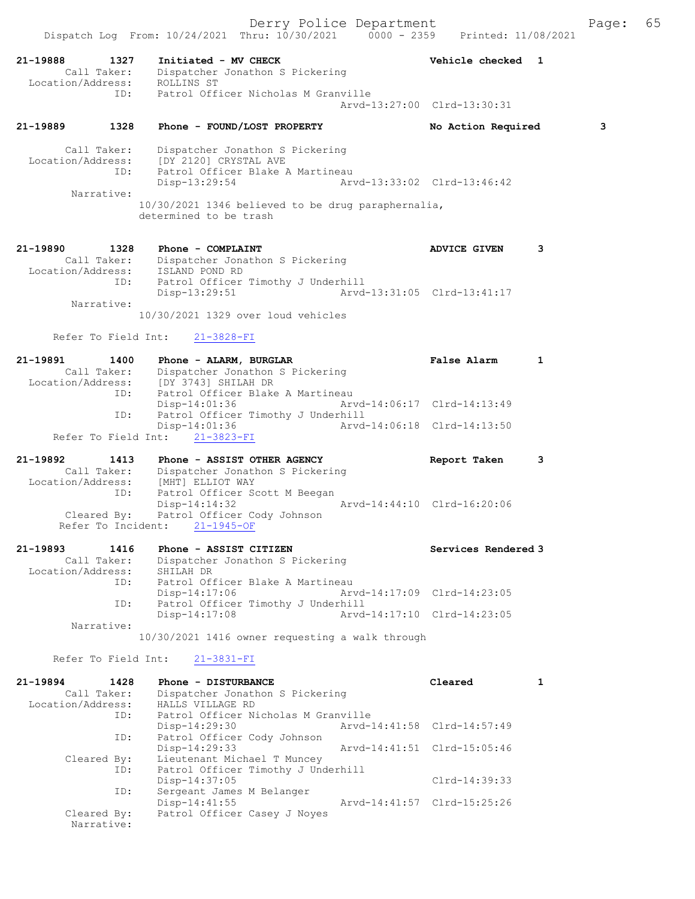## 21-19889 1328 Phone - FOUND/LOST PROPERTY No Action Required 3 Call Taker: Dispatcher Jonathon S Pickering Location/Address: [DY 2120] CRYSTAL AVE ID: Patrol Officer Blake A Martineau Disp-13:29:54 Arvd-13:33:02 Clrd-13:46:42 Narrative: 10/30/2021 1346 believed to be drug paraphernalia, determined to be trash

## 21-19890 1328 Phone - COMPLAINT **120 120 1328 Phone - COMPLAINT** Call Taker: Dispatcher Jonathon S Pickering

| Location/Address:                  | ISLAND POND RD                     |                             |  |
|------------------------------------|------------------------------------|-----------------------------|--|
| ID:                                | Patrol Officer Timothy J Underhill |                             |  |
|                                    | Disp-13:29:51                      | Arvd-13:31:05 Clrd-13:41:17 |  |
| Narrative:                         |                                    |                             |  |
| 10/30/2021 1329 over loud vehicles |                                    |                             |  |

# Refer To Field Int: 21-3828-FI

| 21-19891          | 1400        | Phone - ALARM, BURGLAR                 |                             | <b>False Alarm</b> |  |
|-------------------|-------------|----------------------------------------|-----------------------------|--------------------|--|
|                   | Call Taker: | Dispatcher Jonathon S Pickering        |                             |                    |  |
| Location/Address: |             | [DY 3743] SHILAH DR                    |                             |                    |  |
|                   | ID:         | Patrol Officer Blake A Martineau       |                             |                    |  |
|                   |             | $Disp-14:01:36$                        | Arvd-14:06:17 Clrd-14:13:49 |                    |  |
|                   |             | ID: Patrol Officer Timothy J Underhill |                             |                    |  |
|                   |             | $Disp-14:01:36$                        | Arvd-14:06:18 Clrd-14:13:50 |                    |  |
|                   |             | Refer To Field Int: 21-3823-FI         |                             |                    |  |

### 21-19892 1413 Phone - ASSIST OTHER AGENCY Report Taken 3 Call Taker: Dispatcher Jonathon S Pickering Location/Address: [MHT] ELLIOT WAY ID: Patrol Officer Scott M Beegan Disp-14:14:32 Arvd-14:44:10 Clrd-16:20:06 Cleared By: Patrol Officer Cody Johnson Refer To Incident: 21-1945-OF

#### 21-19893 1416 Phone - ASSIST CITIZEN Services Rendered 3 Call Taker: Dispatcher Jonathon S Pickering Location/Address: SHILAH DR ID: Patrol Officer Blake A Martineau Disp-14:17:06 Arvd-14:17:09 Clrd-14:23:05 ID: Patrol Officer Timothy J Underhill<br>Disp-14:17:08 Arvd-Arvd-14:17:10 Clrd-14:23:05 Narrative:

10/30/2021 1416 owner requesting a walk through

# Refer To Field Int: 21-3831-FI

| 21-19894           | 1428                      | Phone - DISTURBANCE                 |  | Cleared                     |  |
|--------------------|---------------------------|-------------------------------------|--|-----------------------------|--|
| Call Taker:        |                           | Dispatcher Jonathon S Pickering     |  |                             |  |
| Location/Address:  |                           | HALLS VILLAGE RD                    |  |                             |  |
| ID:                |                           | Patrol Officer Nicholas M Granville |  |                             |  |
|                    |                           | Disp-14:29:30                       |  | Arvd-14:41:58 Clrd-14:57:49 |  |
| ID:                |                           | Patrol Officer Cody Johnson         |  |                             |  |
|                    |                           | $Disp-14:29:33$                     |  | Arvd-14:41:51 Clrd-15:05:46 |  |
| Cleared By:<br>ID: |                           | Lieutenant Michael T Muncey         |  |                             |  |
|                    |                           | Patrol Officer Timothy J Underhill  |  |                             |  |
|                    |                           | $Disp-14:37:05$                     |  | Clrd-14:39:33               |  |
|                    | ID:                       | Sergeant James M Belanger           |  |                             |  |
|                    |                           | $Disp-14:41:55$                     |  | Arvd-14:41:57 Clrd-15:25:26 |  |
|                    | Cleared By:<br>Narrative: | Patrol Officer Casey J Noyes        |  |                             |  |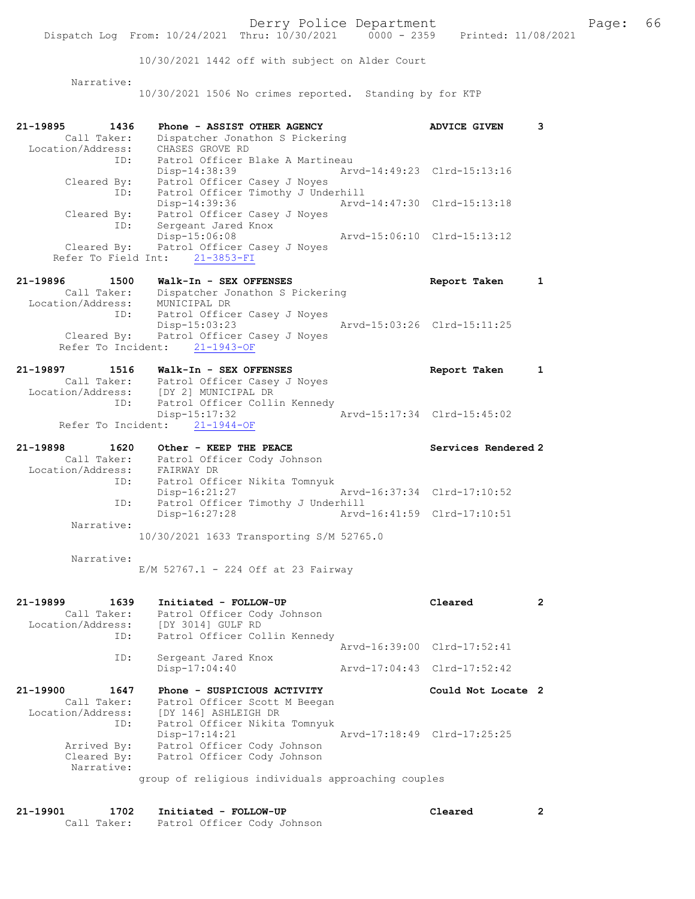10/30/2021 1442 off with subject on Alder Court Narrative: 10/30/2021 1506 No crimes reported. Standing by for KTP 21-19895 1436 Phone - ASSIST OTHER AGENCY ADVICE GIVEN 3 Call Taker: Dispatcher Jonathon S Pickering Location/Address: CHASES GROVE RD ID: Patrol Officer Blake A Martineau Disp-14:38:39 Arvd-14:49:23 Clrd-15:13:16 Cleared By: Patrol Officer Casey J Noyes ID: Patrol Officer Timothy J Underhill Disp-14:39:36 Arvd-14:47:30 Clrd-15:13:18 Cleared By: Patrol Officer Casey J Noyes ID: Sergeant Jared Knox Disp-15:06:08 Arvd-15:06:10 Clrd-15:13:12 Disp-15:06:08<br>Cleared By: Patrol Officer Casey J Noyes Refer To Field Int: 21-3853-FI 21-19896 1500 Walk-In - SEX OFFENSES Report Taken 1 Call Taker: Dispatcher Jonathon S Pickering Location/Address: MUNICIPAL DR ID: Patrol Officer Casey J Noyes Disp-15:03:23 Arvd-15:03:26 Clrd-15:11:25 Cleared By: Patrol Officer Casey J Noyes Refer To Incident: 21-1943-OF 21-19897 1516 Walk-In - SEX OFFENSES Report Taken 1 Call Taker: Patrol Officer Casey J Noyes Location/Address: [DY 2] MUNICIPAL DR ID: Patrol Officer Collin Kennedy Disp-15:17:32 Arvd-15:17:34 Clrd-15:45:02 Refer To Incident: 21-1944-OF 21-19898 1620 Other - KEEP THE PEACE No. 21-19898 Services Rendered 2 Call Taker: Patrol Officer Cody Johnson Location/Address: FAIRWAY DR ID: Patrol Officer Nikita Tomnyuk Disp-16:21:27 Arvd-16:37:34 Clrd-17:10:52 ID: Patrol Officer Timothy J Underhill Disp-16:27:28 Arvd-16:41:59 Clrd-17:10:51 Narrative: 10/30/2021 1633 Transporting S/M 52765.0 Narrative: E/M 52767.1 - 224 Off at 23 Fairway 21-19899 1639 Initiated - FOLLOW-UP Cleared 2 Call Taker: Patrol Officer Cody Johnson Location/Address: [DY 3014] GULF RD ID: Patrol Officer Collin Kennedy Arvd-16:39:00 Clrd-17:52:41 ID: Sergeant Jared Knox Disp-17:04:40 Arvd-17:04:43 Clrd-17:52:42 21-19900 1647 Phone - SUSPICIOUS ACTIVITY Could Not Locate 2 Call Taker: Patrol Officer Scott M Beegan Location/Address: [DY 146] ASHLEIGH DR ID: Patrol Officer Nikita Tomnyuk Disp-17:14:21 Arvd-17:18:49 Clrd-17:25:25 Arrived By: Patrol Officer Cody Johnson Cleared By: Patrol Officer Cody Johnson Narrative: group of religious individuals approaching couples

21-19901 1702 Initiated - FOLLOW-UP Cleared 2 Call Taker: Patrol Officer Cody Johnson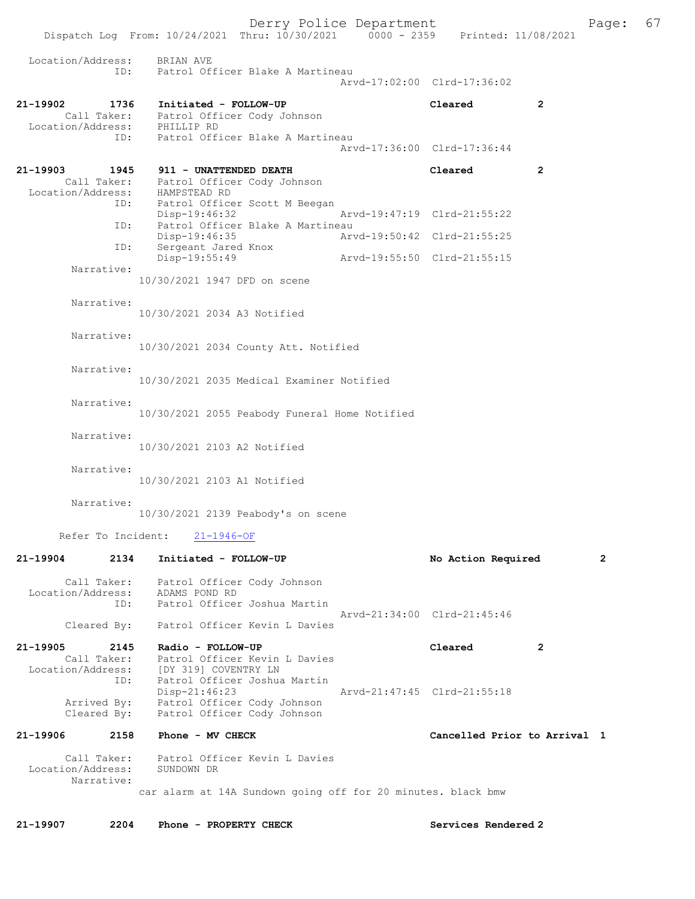Derry Police Department Fage: 67 Dispatch Log From: 10/24/2021 Thru: 10/30/2021 0000 - 2359 Printed: 11/08/2021 Location/Address: BRIAN AVE ID: Patrol Officer Blake A Martineau Arvd-17:02:00 Clrd-17:36:02 21-19902 1736 Initiated - FOLLOW-UP Cleared 2 Call Taker: Patrol Officer Cody Johnson Location/Address: PHILLIP RD ID: Patrol Officer Blake A Martineau Arvd-17:36:00 Clrd-17:36:44 21-19903 1945 911 - UNATTENDED DEATH Cleared 2 Call Taker: Patrol Officer Cody Johnson Location/Address: HAMPSTEAD RD ID: Patrol Officer Scott M Beegan Disp-19:46:32 Arvd-19:47:19 Clrd-21:55:22<br>TD: Patrol Officer Blake A Martineau Patrol Officer Blake A Martineau<br>Disp-19:46:35 Arw Arvd-19:50:42 Clrd-21:55:25 ID: Sergeant Jared Knox<br>Disp-19:55:49 Disp-19:55:49 Arvd-19:55:50 Clrd-21:55:15 Narrative: 10/30/2021 1947 DFD on scene Narrative: 10/30/2021 2034 A3 Notified Narrative: 10/30/2021 2034 County Att. Notified Narrative: 10/30/2021 2035 Medical Examiner Notified Narrative: 10/30/2021 2055 Peabody Funeral Home Notified Narrative: 10/30/2021 2103 A2 Notified Narrative: 10/30/2021 2103 A1 Notified Narrative: 10/30/2021 2139 Peabody's on scene Refer To Incident: 21-1946-OF 21-19904 2134 Initiated - FOLLOW-UP No Action Required 2 Call Taker: Patrol Officer Cody Johnson Location/Address: ADAMS POND RD ID: Patrol Officer Joshua Martin Arvd-21:34:00 Clrd-21:45:46 Cleared By: Patrol Officer Kevin L Davies 21-19905 2145 Radio - FOLLOW-UP Cleared 2 Call Taker: Patrol Officer Kevin L Davies Location/Address: [DY 319] COVENTRY LN ID: Patrol Officer Joshua Martin<br>Disp-21:46:23 Arvd-21:47:45 Clrd-21:55:18 Arrived By: Patrol Officer Cody Johnson Cleared By: Patrol Officer Cody Johnson 21-19906 2158 Phone - MV CHECK Cancelled Prior to Arrival 1 Call Taker: Patrol Officer Kevin L Davies<br>ion/Address: SUNDOWN DR Location/Address: Narrative: car alarm at 14A Sundown going off for 20 minutes. black bmw

21-19907 2204 Phone - PROPERTY CHECK Services Rendered 2